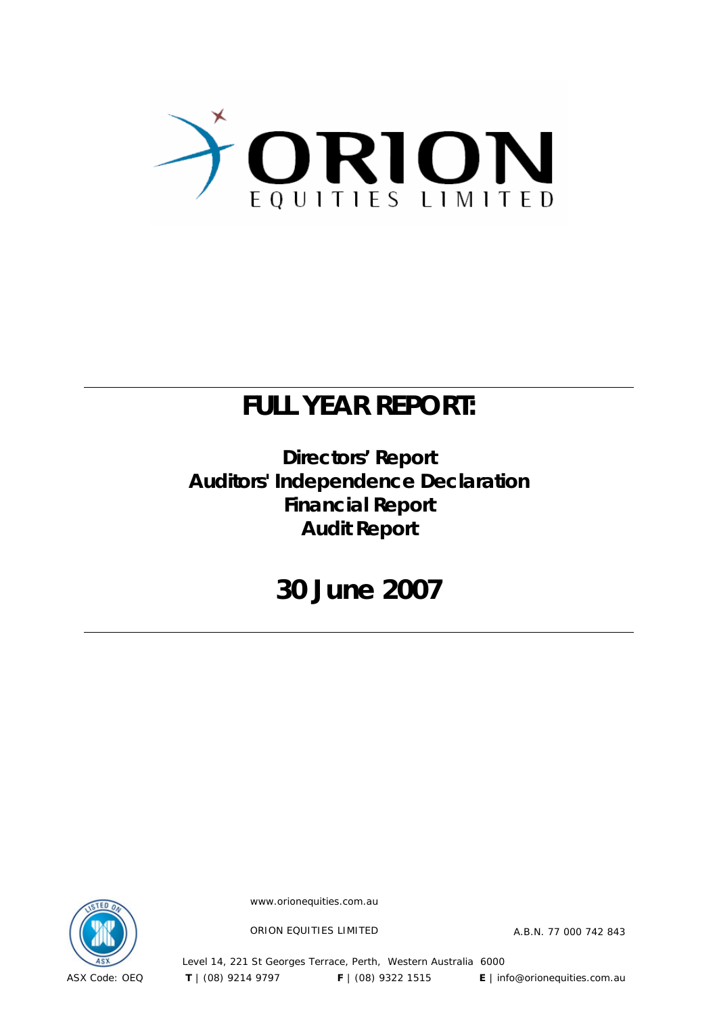

## **FULL YEAR REPORT:**

### **Directors' Report Auditors' Independence Declaration Financial Report Audit Report**

## **30 June 2007**



www.orionequities.com.au

ORION EQUITIES LIMITED A.B.N. 77 000 742 843

Level 14, 221 St Georges Terrace, Perth, Western Australia 6000 ASX Code: OEQ **T** | (08) 9214 9797 **F** | (08) 9322 1515 **E** | info@orionequities.com.au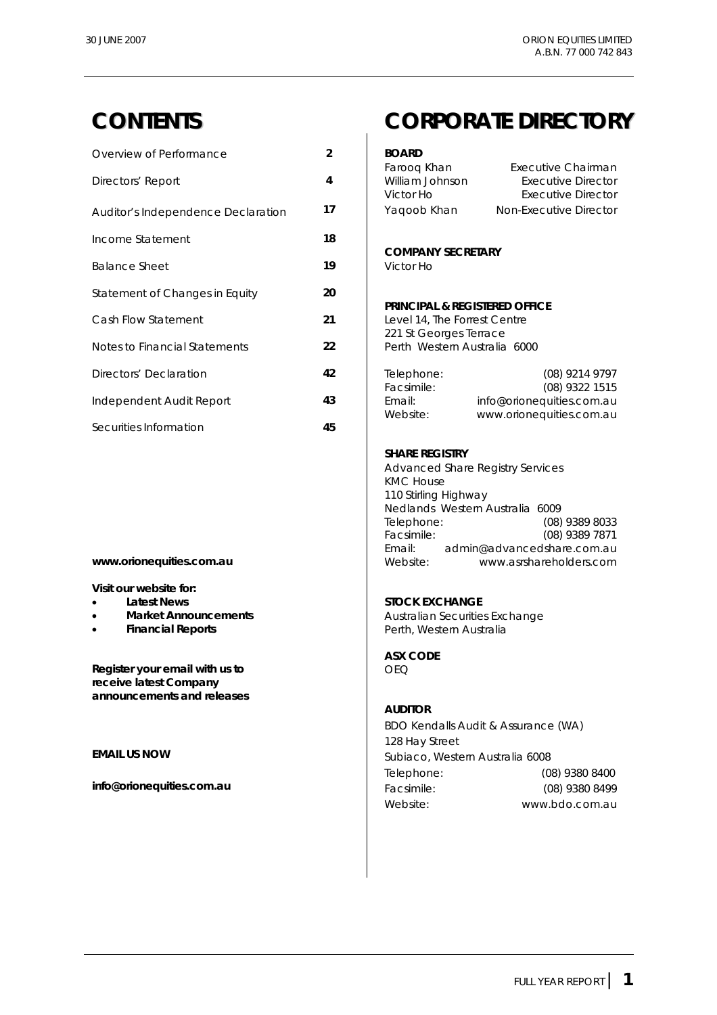| Overview of Performance            | $\overline{2}$ | <b>BOARD</b>                                                             |                                                                |  |
|------------------------------------|----------------|--------------------------------------------------------------------------|----------------------------------------------------------------|--|
| Directors' Report                  | 4              | Faroog Khan<br>William Johnson<br>Victor Ho                              | Executive Chairman<br>Executive Director<br>Executive Director |  |
| Auditor's Independence Declaration | 17             | Yaqoob Khan                                                              | Non-Executive Director                                         |  |
| Income Statement                   | 18             |                                                                          |                                                                |  |
| <b>Balance Sheet</b>               | 19             | <b>COMPANY SECRETARY</b><br>Victor Ho                                    |                                                                |  |
| Statement of Changes in Equity     | 20             |                                                                          |                                                                |  |
| Cash Flow Statement                | 21             | <b>PRINCIPAL &amp; REGISTERED OFFICE</b><br>Level 14, The Forrest Centre |                                                                |  |
| Notes to Financial Statements      | 22             | 221 St Georges Terrace<br>Perth Western Australia 6000                   |                                                                |  |
| Directors' Declaration             | 42             | Telephone:<br>Facsimile:                                                 | (08) 9214 9797<br>(08) 9322 1515                               |  |
| Independent Audit Report           | 43             | Email:<br>Website:                                                       | info@orionequities.com.au                                      |  |
| Securities Information             | 45             |                                                                          | www.orionequities.com.au                                       |  |

**Visit our website for:** 

- 
- 
- 

**Register your email with us to** <br>
OEQ **receive latest Company announcements and releases** 

### **CONTENTS CORPORATE DIRECTORY**

| Faroog Khan<br>William Johnson | Executive Chairman<br>Executive Director |
|--------------------------------|------------------------------------------|
| Victor Ho                      | Executive Director                       |
| Yaqoob Khan                    | Non-Executive Director                   |

#### **PRINCIPAL & REGISTERED OFFICE**

#### **SHARE REGISTRY**

 Advanced Share Registry Services KMC House 110 Stirling Highway Nedlands Western Australia 6009 Telephone: (08) 9389 8033<br>Facsimile: (08) 9389 7871  $(08)$  9389 7871 Email: admin@advancedshare.com.au **www.orionequities.com.au 1990** Mebsite: www.asrshareholders.com

#### **Latest News Contract Contract Latest News**

**Market Announcements Australian Securities Exchange Financial Reports Perth, Western Australia** 

**ASX CODE** 

#### **AUDITOR**

 BDO Kendalls Audit & Assurance (WA) 128 Hay Street **EMAIL US NOW EMAIL US NOW Subiaco**, Western Australia 6008 Telephone: (08) 9380 8400 **info@orionequities.com.au** Facsimile: (08) 9380 8499 Website: www.bdo.com.au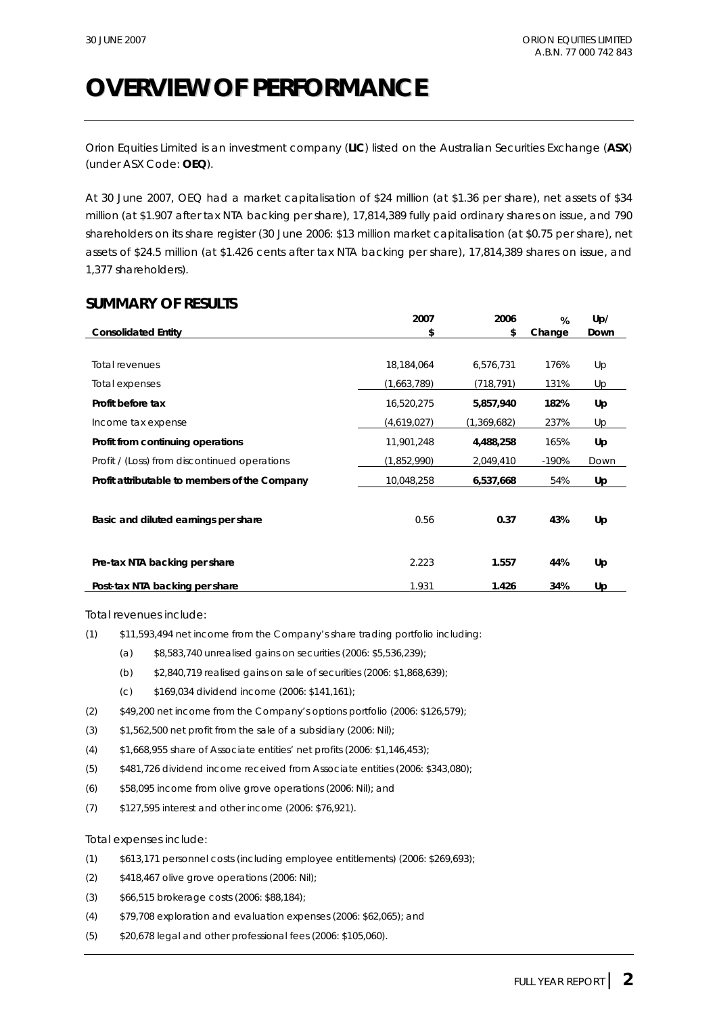## **OVERVIEW OF PERFORMANCE**

Orion Equities Limited is an investment company (**LIC**) listed on the Australian Securities Exchange (**ASX**) (under ASX Code: **OEQ**).

At 30 June 2007, OEQ had a market capitalisation of \$24 million (at \$1.36 per share), net assets of \$34 million (at \$1.907 after tax NTA backing per share), 17,814,389 fully paid ordinary shares on issue, and 790 shareholders on its share register (30 June 2006: \$13 million market capitalisation (at \$0.75 per share), net assets of \$24.5 million (at \$1.426 cents after tax NTA backing per share), 17,814,389 shares on issue, and 1,377 shareholders).

#### **SUMMARY OF RESULTS**

|                                               | 2007        | 2006        | %       | Up/  |
|-----------------------------------------------|-------------|-------------|---------|------|
| <b>Consolidated Entity</b>                    | \$          | \$          | Change  | Down |
|                                               |             |             |         |      |
| Total revenues                                | 18,184,064  | 6,576,731   | 176%    | Up   |
| Total expenses                                | (1,663,789) | (718, 791)  | 131%    | Up   |
| Profit before tax                             | 16,520,275  | 5,857,940   | 182%    | Up   |
| Income tax expense                            | (4,619,027) | (1,369,682) | 237%    | Up   |
| Profit from continuing operations             | 11,901,248  | 4,488,258   | 165%    | Up   |
| Profit / (Loss) from discontinued operations  | (1,852,990) | 2,049,410   | $-190%$ | Down |
| Profit attributable to members of the Company | 10,048,258  | 6,537,668   | 54%     | Up   |
|                                               |             |             |         |      |
| Basic and diluted earnings per share          | 0.56        | 0.37        | 43%     | Up   |
|                                               |             |             |         |      |
| Pre-tax NTA backing per share                 | 2.223       | 1.557       | 44%     | Up   |
| Post-tax NTA backing per share                | 1.931       | 1.426       | 34%     | Up   |

Total revenues include:

- (1) \$11,593,494 net income from the Company's share trading portfolio including:
	- (a) \$8,583,740 unrealised gains on securities (2006: \$5,536,239);
	- (b) \$2,840,719 realised gains on sale of securities (2006: \$1,868,639);
	- (c) \$169,034 dividend income (2006: \$141,161);
- (2) \$49,200 net income from the Company's options portfolio (2006: \$126,579);
- (3) \$1,562,500 net profit from the sale of a subsidiary (2006: Nil);
- (4) \$1,668,955 share of Associate entities' net profits (2006: \$1,146,453);
- (5) \$481,726 dividend income received from Associate entities (2006: \$343,080);
- (6) \$58,095 income from olive grove operations (2006: Nil); and
- (7) \$127,595 interest and other income (2006: \$76,921).

#### Total expenses include:

- (1) \$613,171 personnel costs (including employee entitlements) (2006: \$269,693);
- (2) \$418,467 olive grove operations (2006: Nil);
- (3) \$66,515 brokerage costs (2006: \$88,184);
- (4) \$79,708 exploration and evaluation expenses (2006: \$62,065); and
- (5) \$20,678 legal and other professional fees (2006: \$105,060).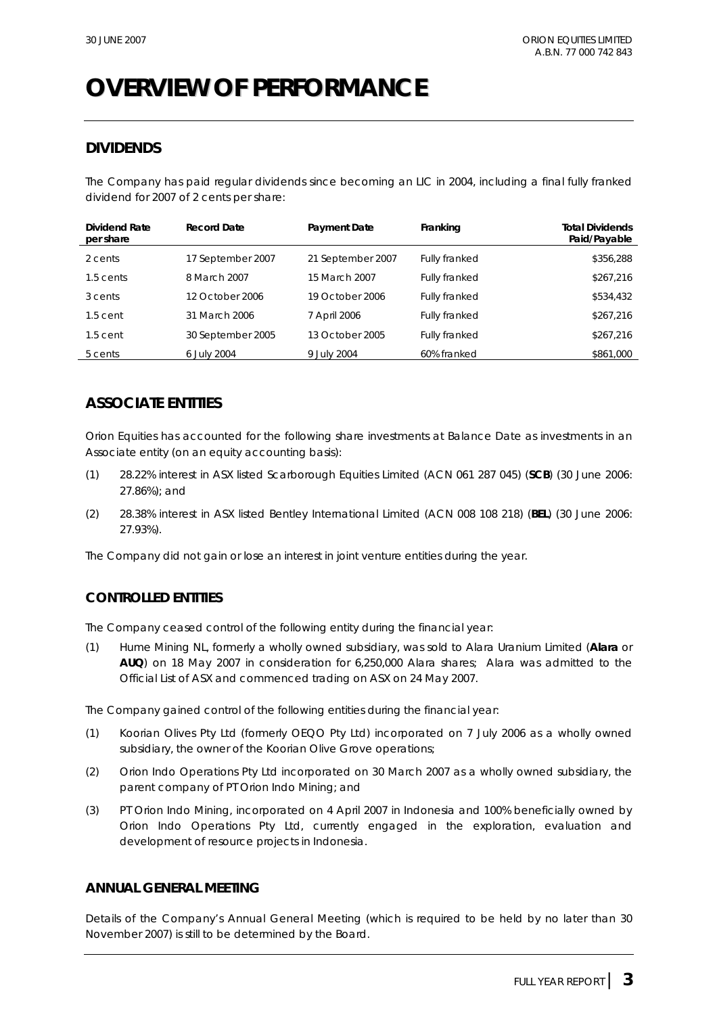## **OVERVIEW OF PERFORMANCE**

### **DIVIDENDS**

The Company has paid regular dividends since becoming an LIC in 2004, including a final fully franked dividend for 2007 of 2 cents per share:

| Dividend Rate<br>per share | <b>Record Date</b> | Payment Date      | Franking             | <b>Total Dividends</b><br>Paid/Payable |
|----------------------------|--------------------|-------------------|----------------------|----------------------------------------|
| 2 cents                    | 17 September 2007  | 21 September 2007 | Fully franked        | \$356,288                              |
| 1.5 cents                  | 8 March 2007       | 15 March 2007     | <b>Fully franked</b> | \$267,216                              |
| 3 cents                    | 12 October 2006    | 19 October 2006   | <b>Fully franked</b> | \$534,432                              |
| $1.5$ cent                 | 31 March 2006      | 7 April 2006      | Fully franked        | \$267,216                              |
| $1.5$ cent                 | 30 September 2005  | 13 October 2005   | Fully franked        | \$267,216                              |
| 5 cents                    | 6 July 2004        | 9 July 2004       | 60% franked          | \$861,000                              |

### **ASSOCIATE ENTITIES**

Orion Equities has accounted for the following share investments at Balance Date as investments in an Associate entity (on an equity accounting basis):

- (1) 28.22% interest in ASX listed Scarborough Equities Limited (ACN 061 287 045) (**SCB**) (30 June 2006: 27.86%); and
- (2) 28.38% interest in ASX listed Bentley International Limited (ACN 008 108 218) (**BEL**) (30 June 2006: 27.93%).

The Company did not gain or lose an interest in joint venture entities during the year.

#### **CONTROLLED ENTITIES**

The Company ceased control of the following entity during the financial year:

(1) Hume Mining NL, formerly a wholly owned subsidiary, was sold to Alara Uranium Limited (**Alara** or **AUQ**) on 18 May 2007 in consideration for 6,250,000 Alara shares; Alara was admitted to the Official List of ASX and commenced trading on ASX on 24 May 2007.

The Company gained control of the following entities during the financial year:

- (1) Koorian Olives Pty Ltd (formerly OEQO Pty Ltd) incorporated on 7 July 2006 as a wholly owned subsidiary, the owner of the Koorian Olive Grove operations;
- (2) Orion Indo Operations Pty Ltd incorporated on 30 March 2007 as a wholly owned subsidiary, the parent company of PT Orion Indo Mining; and
- (3) PT Orion Indo Mining, incorporated on 4 April 2007 in Indonesia and 100% beneficially owned by Orion Indo Operations Pty Ltd, currently engaged in the exploration, evaluation and development of resource projects in Indonesia.

#### **ANNUAL GENERAL MEETING**

Details of the Company's Annual General Meeting (which is required to be held by no later than 30 November 2007) is still to be determined by the Board.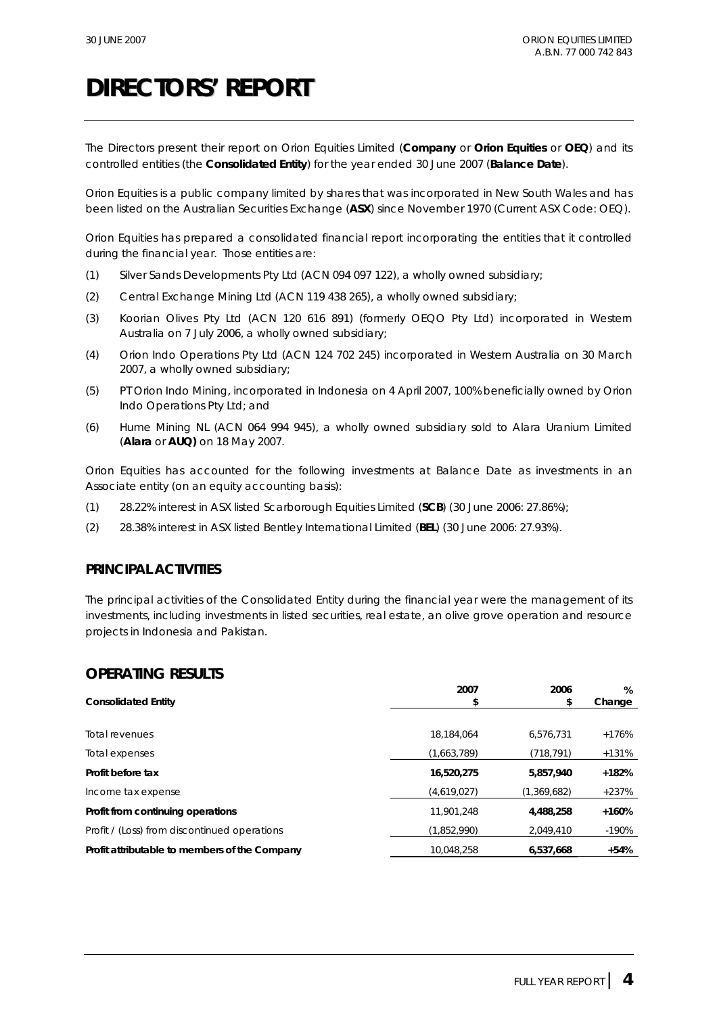The Directors present their report on Orion Equities Limited (**Company** or **Orion Equities** or **OEQ**) and its controlled entities (the **Consolidated Entity**) for the year ended 30 June 2007 (**Balance Date**).

Orion Equities is a public company limited by shares that was incorporated in New South Wales and has been listed on the Australian Securities Exchange (**ASX**) since November 1970 (Current ASX Code: OEQ).

Orion Equities has prepared a consolidated financial report incorporating the entities that it controlled during the financial year. Those entities are:

- (1) Silver Sands Developments Pty Ltd (ACN 094 097 122), a wholly owned subsidiary;
- (2) Central Exchange Mining Ltd (ACN 119 438 265), a wholly owned subsidiary;
- (3) Koorian Olives Pty Ltd (ACN 120 616 891) (formerly OEQO Pty Ltd) incorporated in Western Australia on 7 July 2006, a wholly owned subsidiary;
- (4) Orion Indo Operations Pty Ltd (ACN 124 702 245) incorporated in Western Australia on 30 March 2007, a wholly owned subsidiary;
- (5) PT Orion Indo Mining, incorporated in Indonesia on 4 April 2007, 100% beneficially owned by Orion Indo Operations Pty Ltd; and
- (6) Hume Mining NL (ACN 064 994 945), a wholly owned subsidiary sold to Alara Uranium Limited (**Alara** or **AUQ)** on 18 May 2007.

Orion Equities has accounted for the following investments at Balance Date as investments in an Associate entity (on an equity accounting basis):

- (1) 28.22% interest in ASX listed Scarborough Equities Limited (**SCB**) (30 June 2006: 27.86%);
- (2) 28.38% interest in ASX listed Bentley International Limited (**BEL**) (30 June 2006: 27.93%).

#### **PRINCIPAL ACTIVITIES**

The principal activities of the Consolidated Entity during the financial year were the management of its investments, including investments in listed securities, real estate, an olive grove operation and resource projects in Indonesia and Pakistan.

#### **OPERATING RESULTS**

|                                               | 2007        | 2006        | %       |
|-----------------------------------------------|-------------|-------------|---------|
| <b>Consolidated Entity</b>                    |             |             | Change  |
|                                               |             |             |         |
| <b>Total revenues</b>                         | 18.184.064  | 6.576.731   | $+176%$ |
| Total expenses                                | (1.663.789) | (718, 791)  | $+131%$ |
| Profit before tax                             | 16,520,275  | 5,857,940   | $+182%$ |
| Income tax expense                            | (4,619,027) | (1,369,682) | $+237%$ |
| Profit from continuing operations             | 11.901.248  | 4,488,258   | $+160%$ |
| Profit / (Loss) from discontinued operations  | (1,852,990) | 2,049,410   | $-190%$ |
| Profit attributable to members of the Company | 10,048,258  | 6,537,668   | $+54%$  |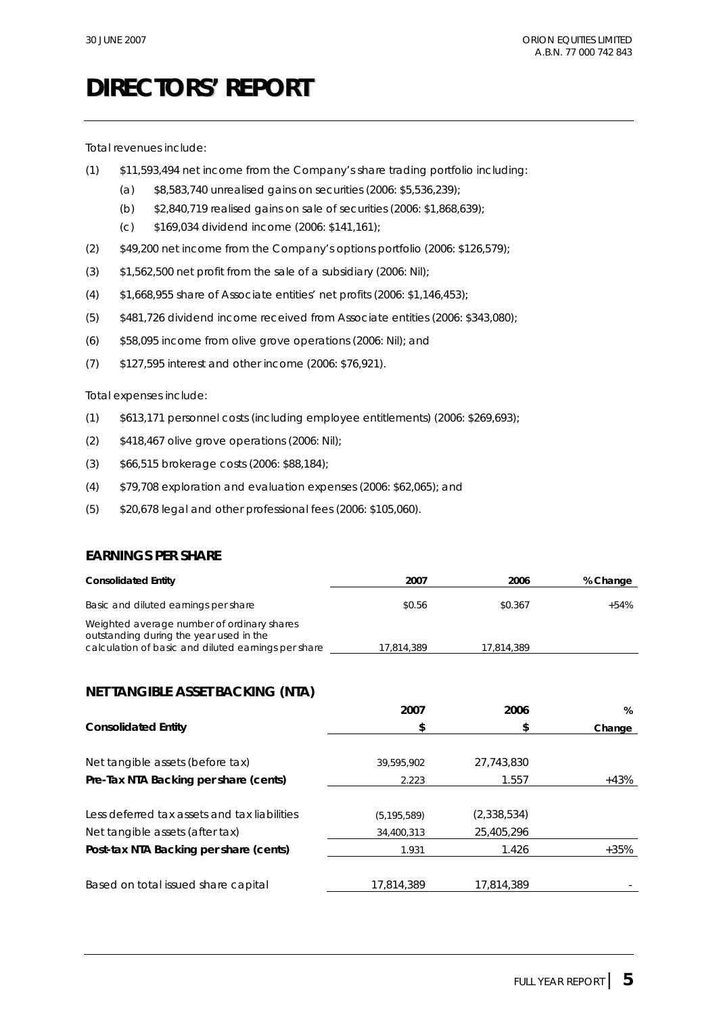Total revenues include:

- (1) \$11,593,494 net income from the Company's share trading portfolio including:
	- (a) \$8,583,740 unrealised gains on securities (2006: \$5,536,239);
	- (b) \$2,840,719 realised gains on sale of securities (2006: \$1,868,639);
	- (c) \$169,034 dividend income (2006: \$141,161);
- (2) \$49,200 net income from the Company's options portfolio (2006: \$126,579);
- $(3)$  \$1,562,500 net profit from the sale of a subsidiary (2006: Nil);
- (4) \$1,668,955 share of Associate entities' net profits (2006: \$1,146,453);
- (5) \$481,726 dividend income received from Associate entities (2006: \$343,080);
- (6) \$58,095 income from olive grove operations (2006: Nil); and
- (7) \$127,595 interest and other income (2006: \$76,921).

Total expenses include:

- (1) \$613,171 personnel costs (including employee entitlements) (2006: \$269,693);
- (2) \$418,467 olive grove operations (2006: Nil);
- (3) \$66,515 brokerage costs (2006: \$88,184);
- (4) \$79,708 exploration and evaluation expenses (2006: \$62,065); and
- (5) \$20,678 legal and other professional fees (2006: \$105,060).

#### **EARNINGS PER SHARE**

| <b>Consolidated Entity</b>                                                                                                                   | 2007       | 2006       | % Change |
|----------------------------------------------------------------------------------------------------------------------------------------------|------------|------------|----------|
| Basic and diluted earnings per share                                                                                                         | \$0.56     | \$0.367    | $+54%$   |
| Weighted average number of ordinary shares<br>outstanding during the year used in the<br>calculation of basic and diluted earnings per share | 17.814.389 | 17.814.389 |          |

### **NET TANGIBLE ASSET BACKING (NTA)**

|                                              | 2007          | 2006        | %      |
|----------------------------------------------|---------------|-------------|--------|
| <b>Consolidated Entity</b>                   | \$            |             | Change |
|                                              |               |             |        |
| Net tangible assets (before tax)             | 39,595,902    | 27,743,830  |        |
| Pre-Tax NTA Backing per share (cents)        | 2.223         | 1.557       | $+43%$ |
|                                              |               |             |        |
| Less deferred tax assets and tax liabilities | (5, 195, 589) | (2,338,534) |        |
| Net tangible assets (after tax)              | 34,400,313    | 25,405,296  |        |
| Post-tax NTA Backing per share (cents)       | 1.931         | 1.426       | $+35%$ |
|                                              |               |             |        |
| Based on total issued share capital          | 17,814,389    | 17,814,389  |        |
|                                              |               |             |        |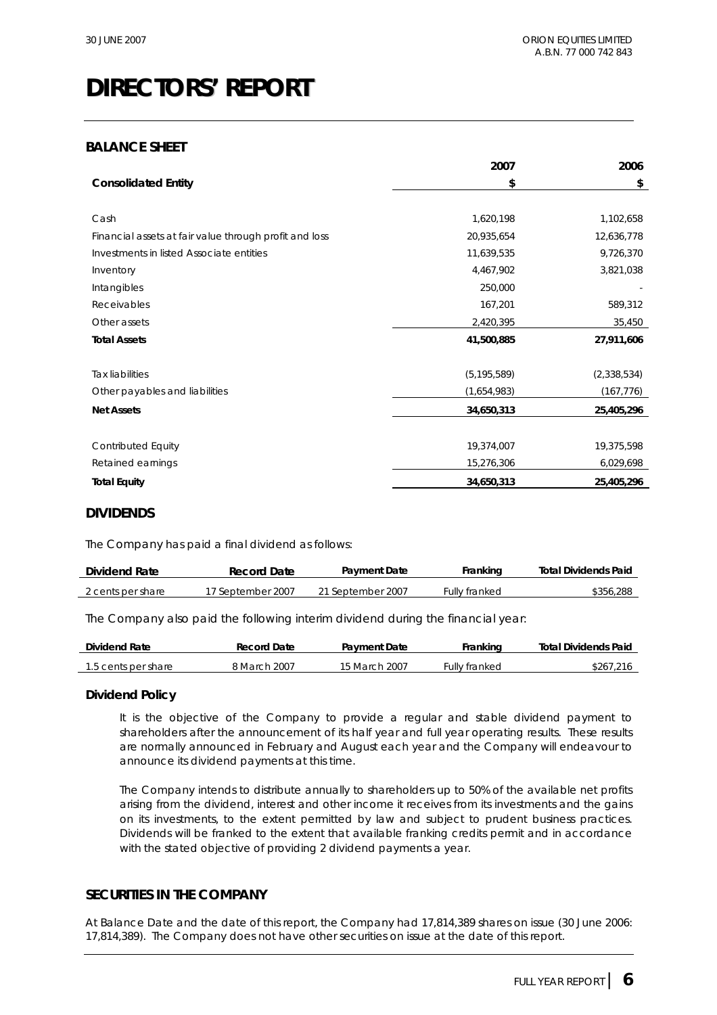#### **BALANCE SHEET**

|                                                        | 2007          | 2006          |
|--------------------------------------------------------|---------------|---------------|
| <b>Consolidated Entity</b>                             | \$            | \$            |
|                                                        |               |               |
| Cash                                                   | 1,620,198     | 1,102,658     |
| Financial assets at fair value through profit and loss | 20,935,654    | 12,636,778    |
| Investments in listed Associate entities               | 11,639,535    | 9,726,370     |
| Inventory                                              | 4,467,902     | 3,821,038     |
| Intangibles                                            | 250,000       |               |
| Receivables                                            | 167,201       | 589,312       |
| Other assets                                           | 2,420,395     | 35,450        |
| <b>Total Assets</b>                                    | 41,500,885    | 27,911,606    |
|                                                        |               |               |
| <b>Tax liabilities</b>                                 | (5, 195, 589) | (2, 338, 534) |
| Other payables and liabilities                         | (1,654,983)   | (167, 776)    |
| <b>Net Assets</b>                                      | 34,650,313    | 25,405,296    |
|                                                        |               |               |
| <b>Contributed Equity</b>                              | 19,374,007    | 19,375,598    |
| Retained earnings                                      | 15,276,306    | 6,029,698     |
| <b>Total Equity</b>                                    | 34,650,313    | 25,405,296    |

#### **DIVIDENDS**

The Company has paid a final dividend as follows:

| Dividend Rate     | <b>Payment Date</b><br>Record Date |                   | Franking      | <b>Total Dividends Paid</b> |
|-------------------|------------------------------------|-------------------|---------------|-----------------------------|
| 2 cents per share | 17 September 2007                  | 21 September 2007 | Fully franked | \$356,288                   |

The Company also paid the following interim dividend during the financial year:

| Dividend Rate       | <b>Record Date</b> | <b>Payment Date</b> | Franking     | <b>Total Dividends Paid</b> |
|---------------------|--------------------|---------------------|--------------|-----------------------------|
| 1.5 cents per share | 3 March 2007       | 15 March 2007       | ully franked | \$267                       |

#### **Dividend Policy**

It is the objective of the Company to provide a regular and stable dividend payment to shareholders after the announcement of its half year and full year operating results. These results are normally announced in February and August each year and the Company will endeavour to announce its dividend payments at this time.

The Company intends to distribute annually to shareholders up to 50% of the available net profits arising from the dividend, interest and other income it receives from its investments and the gains on its investments, to the extent permitted by law and subject to prudent business practices. Dividends will be franked to the extent that available franking credits permit and in accordance with the stated objective of providing 2 dividend payments a year.

#### **SECURITIES IN THE COMPANY**

At Balance Date and the date of this report, the Company had 17,814,389 shares on issue (30 June 2006: 17,814,389). The Company does not have other securities on issue at the date of this report.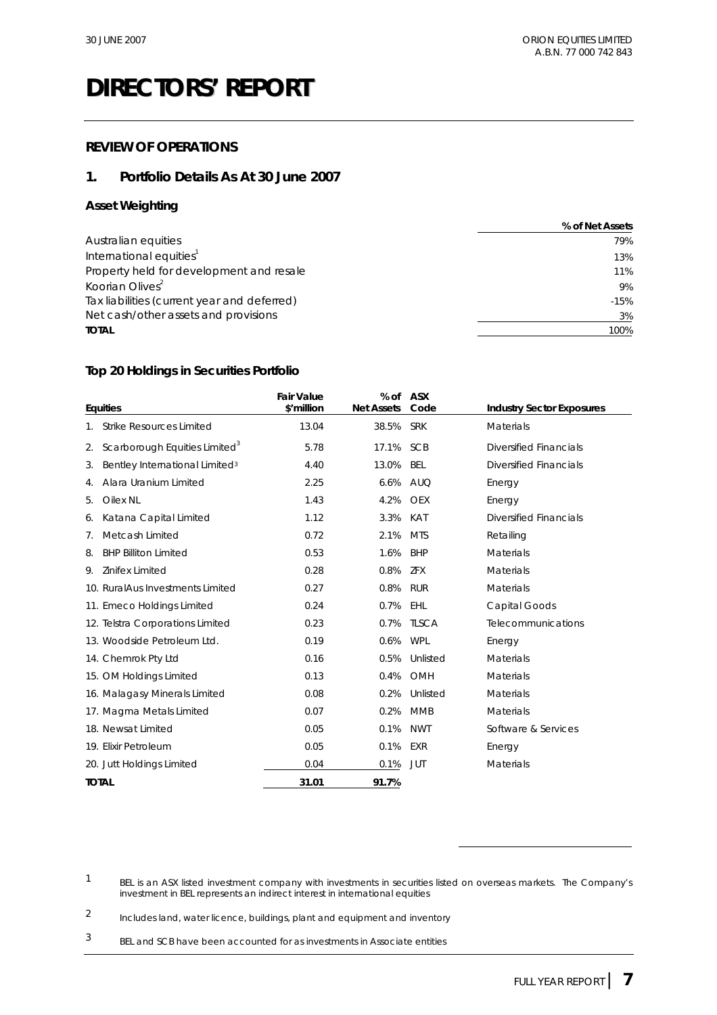#### **REVIEW OF OPERATIONS**

#### **1. Portfolio Details As At 30 June 2007**

#### **Asset Weighting**

|                                             | % of Net Assets |
|---------------------------------------------|-----------------|
| Australian equities                         | 79%             |
| International equities <sup>1</sup>         | 13%             |
| Property held for development and resale    | 11%             |
| Koorian Olives <sup>2</sup>                 | 9%              |
| Tax liabilities (current year and deferred) | $-15%$          |
| Net cash/other assets and provisions        | 3%              |
| <b>TOTAL</b>                                | 100%            |
|                                             |                 |

#### **Top 20 Holdings in Securities Portfolio**

| <b>Equities</b> |                                            | <b>Fair Value</b><br>\$'million | % of<br><b>Net Assets</b> | <b>ASX</b><br>Code | <b>Industry Sector Exposures</b> |
|-----------------|--------------------------------------------|---------------------------------|---------------------------|--------------------|----------------------------------|
| 1.              | <b>Strike Resources Limited</b>            | 13.04                           | 38.5%                     | <b>SRK</b>         | Materials                        |
| 2.              | Scarborough Equities Limited <sup>3</sup>  | 5.78                            | 17.1%                     | <b>SCB</b>         | <b>Diversified Financials</b>    |
| 3.              | Bentley International Limited <sup>3</sup> | 4.40                            | 13.0%                     | <b>BEL</b>         | <b>Diversified Financials</b>    |
| 4.              | Alara Uranium Limited                      | 2.25                            | 6.6%                      | <b>AUQ</b>         | Energy                           |
| 5.              | <b>Oilex NL</b>                            | 1.43                            | 4.2%                      | <b>OEX</b>         | Energy                           |
| 6.              | Katana Capital Limited                     | 1.12                            | 3.3%                      | KAT                | <b>Diversified Financials</b>    |
| 7.              | Metcash Limited                            | 0.72                            | 2.1%                      | <b>MTS</b>         | Retailing                        |
| 8.              | <b>BHP Billiton Limited</b>                | 0.53                            | 1.6%                      | <b>BHP</b>         | <b>Materials</b>                 |
| 9.              | Zinifex Limited                            | 0.28                            | 0.8%                      | ZFX                | Materials                        |
|                 | 10. RuralAus Investments Limited           | 0.27                            | 0.8%                      | <b>RUR</b>         | Materials                        |
|                 | 11. Emeco Holdings Limited                 | 0.24                            | 0.7%                      | EHL                | <b>Capital Goods</b>             |
|                 | 12. Telstra Corporations Limited           | 0.23                            | 0.7%                      | <b>TLSCA</b>       | Telecommunications               |
|                 | 13. Woodside Petroleum Ltd.                | 0.19                            | 0.6%                      | <b>WPL</b>         | Energy                           |
|                 | 14. Chemrok Pty Ltd                        | 0.16                            | 0.5%                      | Unlisted           | <b>Materials</b>                 |
|                 | 15. OM Holdings Limited                    | 0.13                            | 0.4%                      | OMH                | <b>Materials</b>                 |
|                 | 16. Malagasy Minerals Limited              | 0.08                            | 0.2%                      | Unlisted           | <b>Materials</b>                 |
|                 | 17. Magma Metals Limited                   | 0.07                            | 0.2%                      | <b>MMB</b>         | <b>Materials</b>                 |
|                 | 18. Newsat Limited                         | 0.05                            | 0.1%                      | <b>NWT</b>         | Software & Services              |
|                 | 19. Elixir Petroleum                       | 0.05                            | 0.1%                      | EXR                | Energy                           |
|                 | 20. Jutt Holdings Limited                  | 0.04                            | 0.1%                      | <b>JUT</b>         | Materials                        |
| <b>TOTAL</b>    |                                            | 31.01                           | 91.7%                     |                    |                                  |

 $\overline{a}$ 

2 Includes land, water licence, buildings, plant and equipment and inventory

3 BEL and SCB have been accounted for as investments in Associate entities

<sup>1</sup> BEL is an ASX listed investment company with investments in securities listed on overseas markets. The Company's investment in BEL represents an indirect interest in international equities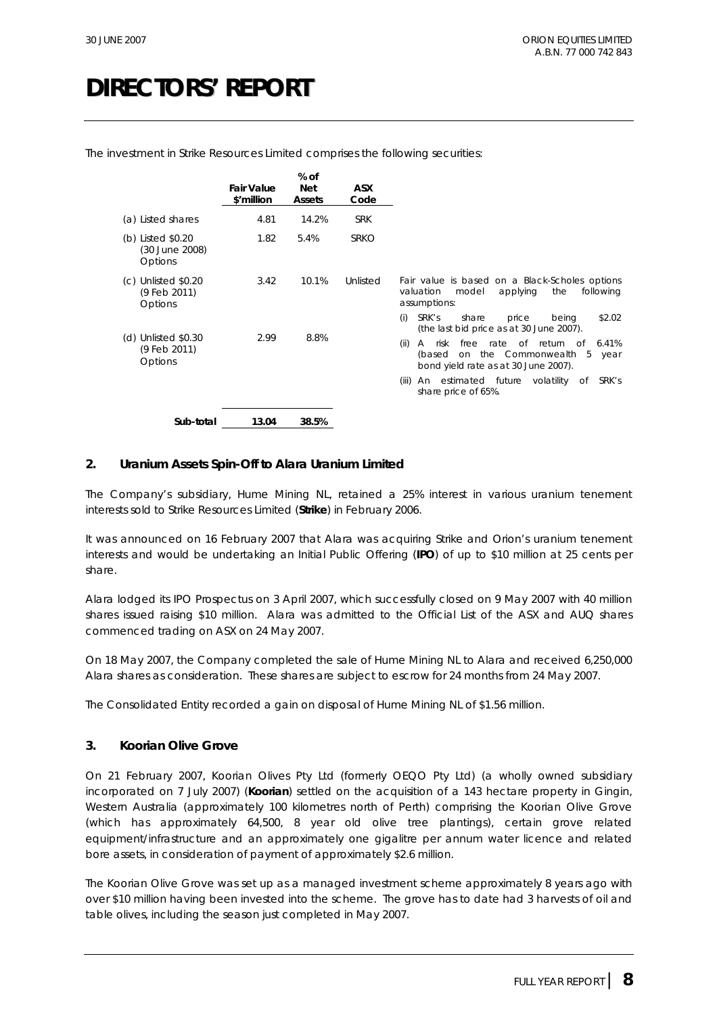|                                                  | <b>Fair Value</b><br>\$'million | % of<br><b>Net</b><br>Assets | <b>ASX</b><br>Code |                                                                                                                                                                                                                                                                                                                                             |
|--------------------------------------------------|---------------------------------|------------------------------|--------------------|---------------------------------------------------------------------------------------------------------------------------------------------------------------------------------------------------------------------------------------------------------------------------------------------------------------------------------------------|
| (a) Listed shares                                | 4.81                            | 14.2%                        | <b>SRK</b>         |                                                                                                                                                                                                                                                                                                                                             |
| (b) Listed \$0.20<br>(30 June 2008)<br>Options   | 1.82                            | 5.4%                         | <b>SRKO</b>        |                                                                                                                                                                                                                                                                                                                                             |
| $(c)$ Unlisted \$0.20<br>(9 Feb 2011)<br>Options | 3.42                            | 10.1%                        | Unlisted           | Fair value is based on a Black-Scholes options<br>the<br>valuation<br>model<br>applying<br>following<br>assumptions:                                                                                                                                                                                                                        |
| $(d)$ Unlisted \$0.30<br>(9 Feb 2011)<br>Options | 2.99                            | 8.8%                         |                    | SRK's<br>\$2.02<br>(i)<br>share<br>being<br>price<br>(the last bid price as at 30 June 2007).<br>free<br>rate of return of<br>6.41%<br>(ii)<br>risk<br>$\mathsf{A}$<br>on the Commonwealth<br>(based<br>-5<br>year<br>bond yield rate as at 30 June 2007).<br>SRK's<br>An estimated future volatility<br>(iii)<br>of<br>share price of 65%. |
| Sub-total                                        | 13.04                           | 38.5%                        |                    |                                                                                                                                                                                                                                                                                                                                             |

The investment in Strike Resources Limited comprises the following securities:

#### **2. Uranium Assets Spin-Off to Alara Uranium Limited**

The Company's subsidiary, Hume Mining NL, retained a 25% interest in various uranium tenement interests sold to Strike Resources Limited (**Strike**) in February 2006.

It was announced on 16 February 2007 that Alara was acquiring Strike and Orion's uranium tenement interests and would be undertaking an Initial Public Offering (**IPO**) of up to \$10 million at 25 cents per share.

Alara lodged its IPO Prospectus on 3 April 2007, which successfully closed on 9 May 2007 with 40 million shares issued raising \$10 million. Alara was admitted to the Official List of the ASX and AUQ shares commenced trading on ASX on 24 May 2007.

On 18 May 2007, the Company completed the sale of Hume Mining NL to Alara and received 6,250,000 Alara shares as consideration. These shares are subject to escrow for 24 months from 24 May 2007.

The Consolidated Entity recorded a gain on disposal of Hume Mining NL of \$1.56 million.

#### **3. Koorian Olive Grove**

On 21 February 2007, Koorian Olives Pty Ltd (formerly OEQO Pty Ltd) (a wholly owned subsidiary incorporated on 7 July 2007) (**Koorian**) settled on the acquisition of a 143 hectare property in Gingin, Western Australia (approximately 100 kilometres north of Perth) comprising the Koorian Olive Grove (which has approximately 64,500, 8 year old olive tree plantings), certain grove related equipment/infrastructure and an approximately one gigalitre per annum water licence and related bore assets, in consideration of payment of approximately \$2.6 million.

The Koorian Olive Grove was set up as a managed investment scheme approximately 8 years ago with over \$10 million having been invested into the scheme. The grove has to date had 3 harvests of oil and table olives, including the season just completed in May 2007.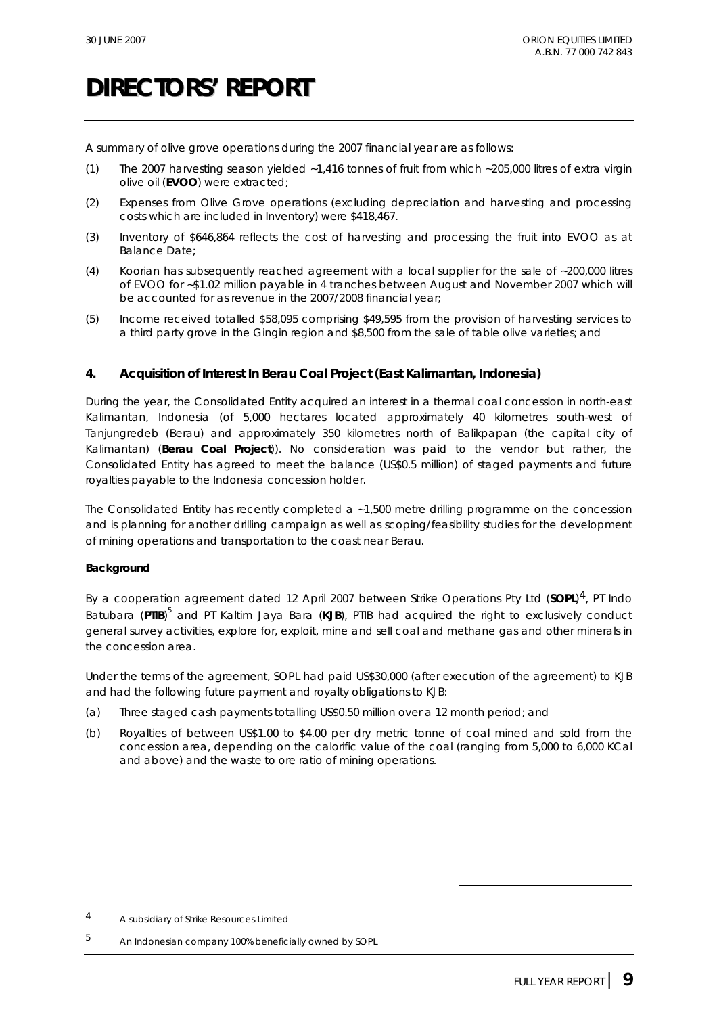A summary of olive grove operations during the 2007 financial year are as follows:

- (1) The 2007 harvesting season yielded ~1,416 tonnes of fruit from which ~205,000 litres of extra virgin olive oil (**EVOO**) were extracted;
- (2) Expenses from Olive Grove operations (excluding depreciation and harvesting and processing costs which are included in Inventory) were \$418,467.
- (3) Inventory of \$646,864 reflects the cost of harvesting and processing the fruit into EVOO as at Balance Date;
- (4) Koorian has subsequently reached agreement with a local supplier for the sale of ~200,000 litres of EVOO for ~\$1.02 million payable in 4 tranches between August and November 2007 which will be accounted for as revenue in the 2007/2008 financial year;
- (5) Income received totalled \$58,095 comprising \$49,595 from the provision of harvesting services to a third party grove in the Gingin region and \$8,500 from the sale of table olive varieties; and

#### **4. Acquisition of Interest In Berau Coal Project (East Kalimantan, Indonesia)**

During the year, the Consolidated Entity acquired an interest in a thermal coal concession in north-east Kalimantan, Indonesia (of 5,000 hectares located approximately 40 kilometres south-west of Tanjungredeb (Berau) and approximately 350 kilometres north of Balikpapan (the capital city of Kalimantan) (**Berau Coal Project**)). No consideration was paid to the vendor but rather, the Consolidated Entity has agreed to meet the balance (US\$0.5 million) of staged payments and future royalties payable to the Indonesia concession holder.

The Consolidated Entity has recently completed a ~1,500 metre drilling programme on the concession and is planning for another drilling campaign as well as scoping/feasibility studies for the development of mining operations and transportation to the coast near Berau.

#### **Background**

By a cooperation agreement dated 12 April 2007 between Strike Operations Pty Ltd (**SOPL**)4, PT Indo Batubara (PTIB)<sup>5</sup> and PT Kaltim Jaya Bara (KJB), PTIB had acquired the right to exclusively conduct general survey activities, explore for, exploit, mine and sell coal and methane gas and other minerals in the concession area.

Under the terms of the agreement, SOPL had paid US\$30,000 (after execution of the agreement) to KJB and had the following future payment and royalty obligations to KJB:

- (a) Three staged cash payments totalling US\$0.50 million over a 12 month period; and
- (b) Royalties of between US\$1.00 to \$4.00 per dry metric tonne of coal mined and sold from the concession area, depending on the calorific value of the coal (ranging from 5,000 to 6,000 KCal and above) and the waste to ore ratio of mining operations.

 $\overline{a}$ 

<sup>4</sup> A subsidiary of Strike Resources Limited

<sup>5</sup> An Indonesian company 100% beneficially owned by SOPL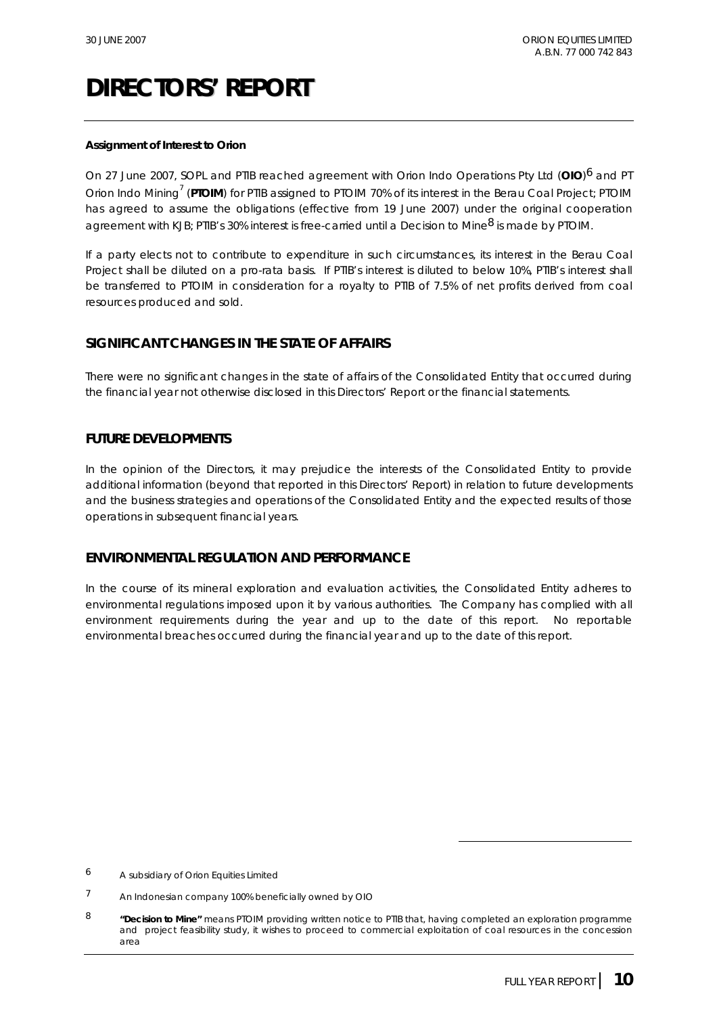#### **Assignment of Interest to Orion**

On 27 June 2007, SOPL and PTIB reached agreement with Orion Indo Operations Pty Ltd (**OIO**)6 and PT Orion Indo Mining<sup>7</sup> (PTOIM) for PTIB assigned to PTOIM 70% of its interest in the Berau Coal Project; PTOIM has agreed to assume the obligations (effective from 19 June 2007) under the original cooperation agreement with KJB; PTIB's 30% interest is free-carried until a Decision to Mine<sup>8</sup> is made by PTOIM.

If a party elects not to contribute to expenditure in such circumstances, its interest in the Berau Coal Project shall be diluted on a pro-rata basis. If PTIB's interest is diluted to below 10%, PTIB's interest shall be transferred to PTOIM in consideration for a royalty to PTIB of 7.5% of net profits derived from coal resources produced and sold.

#### **SIGNIFICANT CHANGES IN THE STATE OF AFFAIRS**

There were no significant changes in the state of affairs of the Consolidated Entity that occurred during the financial year not otherwise disclosed in this Directors' Report or the financial statements.

#### **FUTURE DEVELOPMENTS**

In the opinion of the Directors, it may prejudice the interests of the Consolidated Entity to provide additional information (beyond that reported in this Directors' Report) in relation to future developments and the business strategies and operations of the Consolidated Entity and the expected results of those operations in subsequent financial years.

#### **ENVIRONMENTAL REGULATION AND PERFORMANCE**

In the course of its mineral exploration and evaluation activities, the Consolidated Entity adheres to environmental regulations imposed upon it by various authorities. The Company has complied with all environment requirements during the year and up to the date of this report. No reportable environmental breaches occurred during the financial year and up to the date of this report.

 $\overline{a}$ 

<sup>6</sup> A subsidiary of Orion Equities Limited

<sup>7</sup> An Indonesian company 100% beneficially owned by OIO

<sup>8</sup> **"Decision to Mine"** means PTOIM providing written notice to PTIB that, having completed an exploration programme and project feasibility study, it wishes to proceed to commercial exploitation of coal resources in the concession area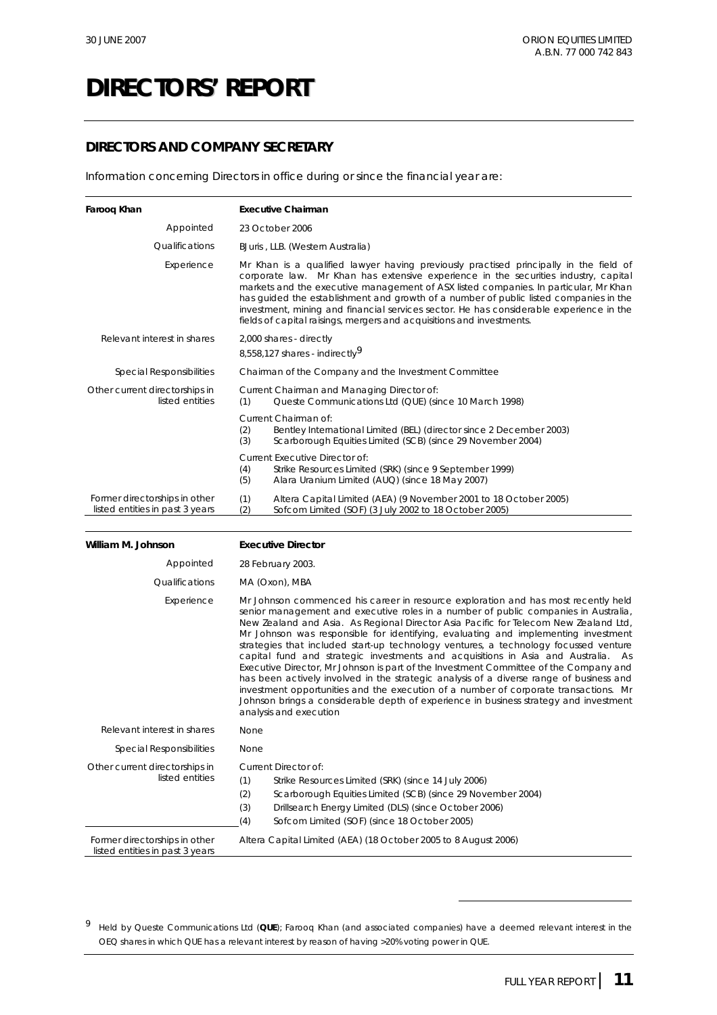### **DIRECTORS AND COMPANY SECRETARY**

Information concerning Directors in office during or since the financial year are:

| Faroog Khan                                                      | <b>Executive Chairman</b>                                                                                                                                                                                                                                                                                                                                                                                                                                                                                                         |
|------------------------------------------------------------------|-----------------------------------------------------------------------------------------------------------------------------------------------------------------------------------------------------------------------------------------------------------------------------------------------------------------------------------------------------------------------------------------------------------------------------------------------------------------------------------------------------------------------------------|
| Appointed                                                        | 23 October 2006                                                                                                                                                                                                                                                                                                                                                                                                                                                                                                                   |
| Qualifications                                                   | BJuris, LLB. (Western Australia)                                                                                                                                                                                                                                                                                                                                                                                                                                                                                                  |
| Experience                                                       | Mr Khan is a qualified lawyer having previously practised principally in the field of<br>corporate law. Mr Khan has extensive experience in the securities industry, capital<br>markets and the executive management of ASX listed companies. In particular, Mr Khan<br>has quided the establishment and growth of a number of public listed companies in the<br>investment, mining and financial services sector. He has considerable experience in the<br>fields of capital raisings, mergers and acquisitions and investments. |
| Relevant interest in shares                                      | 2,000 shares - directly<br>8,558,127 shares - indirectly <sup>9</sup>                                                                                                                                                                                                                                                                                                                                                                                                                                                             |
| Special Responsibilities                                         | Chairman of the Company and the Investment Committee                                                                                                                                                                                                                                                                                                                                                                                                                                                                              |
| Other current directorships in<br>listed entities                | Current Chairman and Managing Director of:<br>Queste Communications Ltd (QUE) (since 10 March 1998)<br>(1)                                                                                                                                                                                                                                                                                                                                                                                                                        |
|                                                                  | Current Chairman of:<br>(2)<br>Bentley International Limited (BEL) (director since 2 December 2003)<br>(3)<br>Scarborough Equities Limited (SCB) (since 29 November 2004)                                                                                                                                                                                                                                                                                                                                                         |
|                                                                  | Current Executive Director of:<br>(4)<br>Strike Resources Limited (SRK) (since 9 September 1999)<br>(5)<br>Alara Uranium Limited (AUQ) (since 18 May 2007)                                                                                                                                                                                                                                                                                                                                                                        |
| Former directorships in other<br>listed entities in past 3 years | (1)<br>Altera Capital Limited (AEA) (9 November 2001 to 18 October 2005)<br>(2)<br>Sofcom Limited (SOF) (3 July 2002 to 18 October 2005)                                                                                                                                                                                                                                                                                                                                                                                          |

| William M. Johnson                                               | <b>Executive Director</b>                                                                                                                                                                                                                                                                                                                                                                                                                                                                                                                                                                                                                                                                                                                                                                                                                                                                                                           |
|------------------------------------------------------------------|-------------------------------------------------------------------------------------------------------------------------------------------------------------------------------------------------------------------------------------------------------------------------------------------------------------------------------------------------------------------------------------------------------------------------------------------------------------------------------------------------------------------------------------------------------------------------------------------------------------------------------------------------------------------------------------------------------------------------------------------------------------------------------------------------------------------------------------------------------------------------------------------------------------------------------------|
| Appointed                                                        | 28 February 2003.                                                                                                                                                                                                                                                                                                                                                                                                                                                                                                                                                                                                                                                                                                                                                                                                                                                                                                                   |
| Qualifications                                                   | MA (Oxon), MBA                                                                                                                                                                                                                                                                                                                                                                                                                                                                                                                                                                                                                                                                                                                                                                                                                                                                                                                      |
| Experience                                                       | Mr Johnson commenced his career in resource exploration and has most recently held<br>senior management and executive roles in a number of public companies in Australia,<br>New Zealand and Asia. As Regional Director Asia Pacific for Telecom New Zealand Ltd,<br>Mr Johnson was responsible for identifying, evaluating and implementing investment<br>strategies that included start-up technology ventures, a technology focussed venture<br>capital fund and strategic investments and acquisitions in Asia and Australia. As<br>Executive Director, Mr Johnson is part of the Investment Committee of the Company and<br>has been actively involved in the strategic analysis of a diverse range of business and<br>investment opportunities and the execution of a number of corporate transactions. Mr<br>Johnson brings a considerable depth of experience in business strategy and investment<br>analysis and execution |
| Relevant interest in shares                                      | None                                                                                                                                                                                                                                                                                                                                                                                                                                                                                                                                                                                                                                                                                                                                                                                                                                                                                                                                |
| <b>Special Responsibilities</b>                                  | None                                                                                                                                                                                                                                                                                                                                                                                                                                                                                                                                                                                                                                                                                                                                                                                                                                                                                                                                |
| Other current directorships in<br>listed entities                | Current Director of:<br>(1)<br>Strike Resources Limited (SRK) (since 14 July 2006)<br>(2)<br>Scarborough Equities Limited (SCB) (since 29 November 2004)<br>(3)<br>Drillsearch Energy Limited (DLS) (since October 2006)<br>(4)<br>Sofcom Limited (SOF) (since 18 October 2005)                                                                                                                                                                                                                                                                                                                                                                                                                                                                                                                                                                                                                                                     |
| Former directorships in other<br>listed entities in past 3 years | Altera Capital Limited (AEA) (18 October 2005 to 8 August 2006)                                                                                                                                                                                                                                                                                                                                                                                                                                                                                                                                                                                                                                                                                                                                                                                                                                                                     |

9 Held by Queste Communications Ltd (**QUE**); Farooq Khan (and associated companies) have a deemed relevant interest in the OEQ shares in which QUE has a relevant interest by reason of having >20% voting power in QUE.

 $\overline{a}$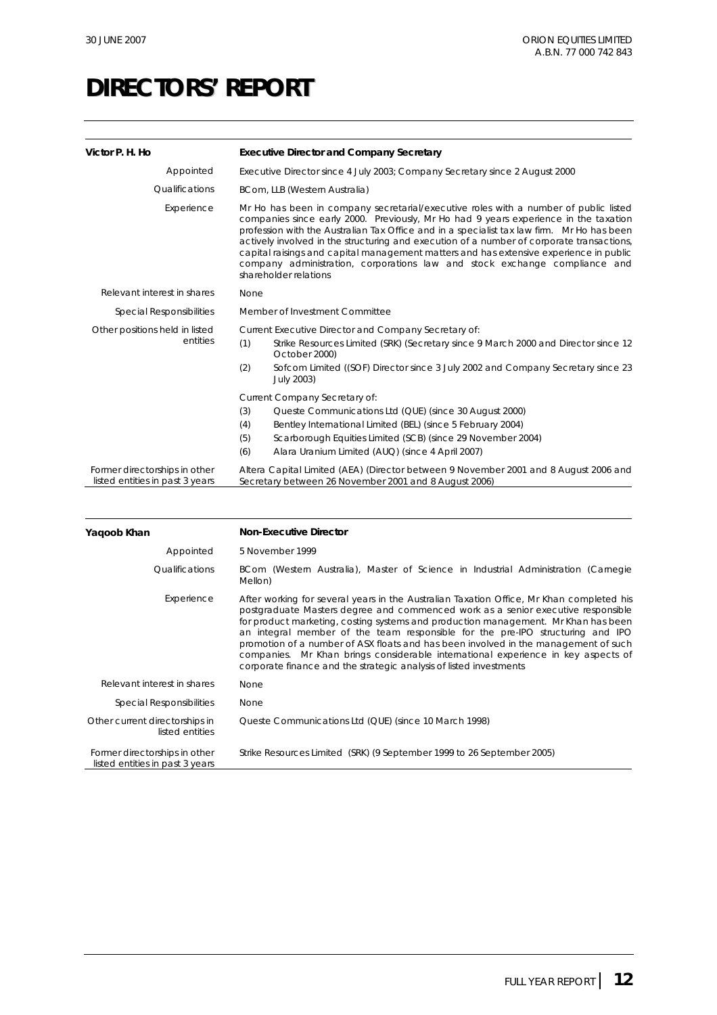| Victor P. H. Ho                                                  | <b>Executive Director and Company Secretary</b>                                                                                                                                                                                                                                                                                                                                                                                                                                                                                                                          |
|------------------------------------------------------------------|--------------------------------------------------------------------------------------------------------------------------------------------------------------------------------------------------------------------------------------------------------------------------------------------------------------------------------------------------------------------------------------------------------------------------------------------------------------------------------------------------------------------------------------------------------------------------|
| Appointed                                                        | Executive Director since 4 July 2003; Company Secretary since 2 August 2000                                                                                                                                                                                                                                                                                                                                                                                                                                                                                              |
| Qualifications                                                   | BCom, LLB (Western Australia)                                                                                                                                                                                                                                                                                                                                                                                                                                                                                                                                            |
| Experience                                                       | Mr Ho has been in company secretarial/executive roles with a number of public listed<br>companies since early 2000. Previously, Mr Ho had 9 years experience in the taxation<br>profession with the Australian Tax Office and in a specialist tax law firm. Mr Ho has been<br>actively involved in the structuring and execution of a number of corporate transactions,<br>capital raisings and capital management matters and has extensive experience in public<br>company administration, corporations law and stock exchange compliance and<br>shareholder relations |
| Relevant interest in shares                                      | None                                                                                                                                                                                                                                                                                                                                                                                                                                                                                                                                                                     |
| <b>Special Responsibilities</b>                                  | Member of Investment Committee                                                                                                                                                                                                                                                                                                                                                                                                                                                                                                                                           |
| Other positions held in listed<br>entities                       | Current Executive Director and Company Secretary of:<br>(1)<br>Strike Resources Limited (SRK) (Secretary since 9 March 2000 and Director since 12<br>October 2000)<br>Sofcom Limited ((SOF) Director since 3 July 2002 and Company Secretary since 23<br>(2)<br>July 2003)                                                                                                                                                                                                                                                                                               |
|                                                                  | Current Company Secretary of:<br>(3)<br>Queste Communications Ltd (QUE) (since 30 August 2000)<br>(4)<br>Bentley International Limited (BEL) (since 5 February 2004)<br>(5)<br>Scarborough Equities Limited (SCB) (since 29 November 2004)<br>(6)<br>Alara Uranium Limited (AUQ) (since 4 April 2007)                                                                                                                                                                                                                                                                    |
| Former directorships in other<br>listed entities in past 3 years | Altera Capital Limited (AEA) (Director between 9 November 2001 and 8 August 2006 and<br>Secretary between 26 November 2001 and 8 August 2006)                                                                                                                                                                                                                                                                                                                                                                                                                            |

| Yagoob Khan                                                      | <b>Non-Executive Director</b>                                                                                                                                                                                                                                                                                                                                                                                                                                                                                                                                                                          |
|------------------------------------------------------------------|--------------------------------------------------------------------------------------------------------------------------------------------------------------------------------------------------------------------------------------------------------------------------------------------------------------------------------------------------------------------------------------------------------------------------------------------------------------------------------------------------------------------------------------------------------------------------------------------------------|
| Appointed                                                        | 5 November 1999                                                                                                                                                                                                                                                                                                                                                                                                                                                                                                                                                                                        |
| Qualifications                                                   | BCom (Western Australia), Master of Science in Industrial Administration (Carnegie<br>Mellon)                                                                                                                                                                                                                                                                                                                                                                                                                                                                                                          |
| Experience                                                       | After working for several years in the Australian Taxation Office, Mr Khan completed his<br>postgraduate Masters degree and commenced work as a senior executive responsible<br>for product marketing, costing systems and production management. Mr Khan has been<br>an integral member of the team responsible for the pre-IPO structuring and IPO<br>promotion of a number of ASX floats and has been involved in the management of such<br>companies. Mr Khan brings considerable international experience in key aspects of<br>corporate finance and the strategic analysis of listed investments |
| Relevant interest in shares                                      | None                                                                                                                                                                                                                                                                                                                                                                                                                                                                                                                                                                                                   |
| Special Responsibilities                                         | None                                                                                                                                                                                                                                                                                                                                                                                                                                                                                                                                                                                                   |
| Other current directorships in<br>listed entities                | Queste Communications Ltd (QUE) (since 10 March 1998)                                                                                                                                                                                                                                                                                                                                                                                                                                                                                                                                                  |
| Former directorships in other<br>listed entities in past 3 years | Strike Resources Limited (SRK) (9 September 1999 to 26 September 2005)                                                                                                                                                                                                                                                                                                                                                                                                                                                                                                                                 |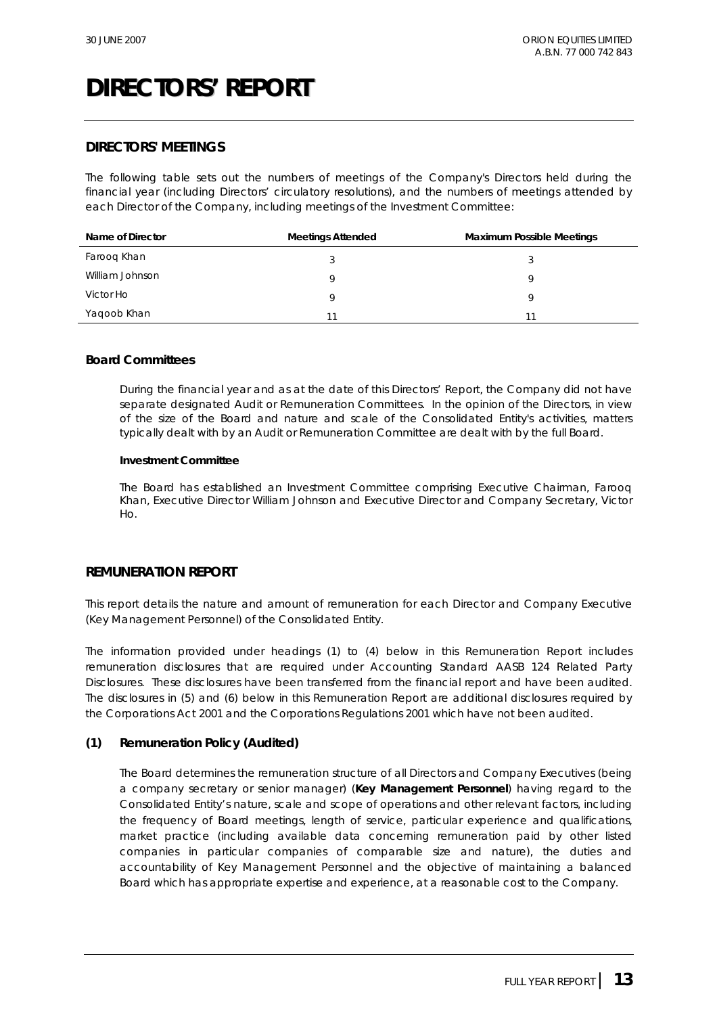#### **DIRECTORS' MEETINGS**

The following table sets out the numbers of meetings of the Company's Directors held during the financial year (including Directors' circulatory resolutions), and the numbers of meetings attended by each Director of the Company, including meetings of the Investment Committee:

| Name of Director | <b>Meetings Attended</b> | <b>Maximum Possible Meetings</b> |
|------------------|--------------------------|----------------------------------|
| Farooq Khan      |                          |                                  |
| William Johnson  |                          | a                                |
| Victor Ho        |                          |                                  |
| Yaqoob Khan      |                          | 11                               |

#### **Board Committees**

During the financial year and as at the date of this Directors' Report, the Company did not have separate designated Audit or Remuneration Committees. In the opinion of the Directors, in view of the size of the Board and nature and scale of the Consolidated Entity's activities, matters typically dealt with by an Audit or Remuneration Committee are dealt with by the full Board.

#### **Investment Committee**

The Board has established an Investment Committee comprising Executive Chairman, Farooq Khan, Executive Director William Johnson and Executive Director and Company Secretary, Victor  $H<sub>O</sub>$ 

#### **REMUNERATION REPORT**

This report details the nature and amount of remuneration for each Director and Company Executive (Key Management Personnel) of the Consolidated Entity.

The information provided under headings (1) to (4) below in this Remuneration Report includes remuneration disclosures that are required under Accounting Standard AASB 124 *Related Party Disclosures*. These disclosures have been transferred from the financial report and have been audited. The disclosures in (5) and (6) below in this Remuneration Report are additional disclosures required by the *Corporations Act 2001* and the *Corporations Regulations 2001* which have not been audited.

#### **(1) Remuneration Policy (Audited)**

The Board determines the remuneration structure of all Directors and Company Executives (being a company secretary or senior manager) (**Key Management Personnel**) having regard to the Consolidated Entity's nature, scale and scope of operations and other relevant factors, including the frequency of Board meetings, length of service, particular experience and qualifications, market practice (including available data concerning remuneration paid by other listed companies in particular companies of comparable size and nature), the duties and accountability of Key Management Personnel and the objective of maintaining a balanced Board which has appropriate expertise and experience, at a reasonable cost to the Company.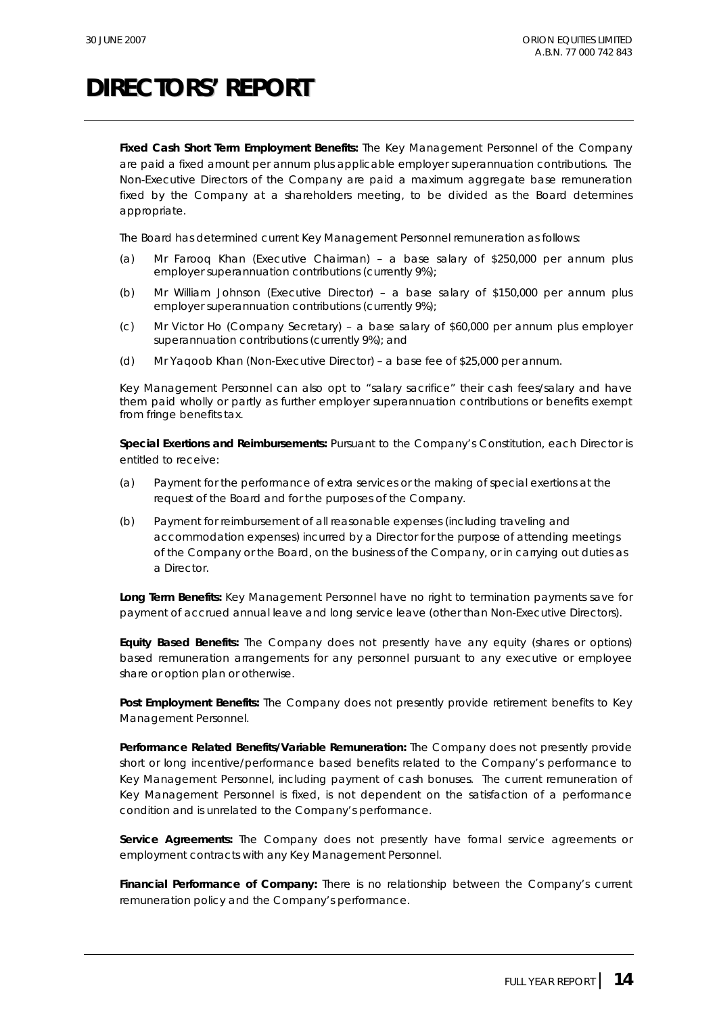**Fixed Cash Short Term Employment Benefits:** The Key Management Personnel of the Company are paid a fixed amount per annum plus applicable employer superannuation contributions. The Non-Executive Directors of the Company are paid a maximum aggregate base remuneration fixed by the Company at a shareholders meeting, to be divided as the Board determines appropriate.

The Board has determined current Key Management Personnel remuneration as follows:

- (a) Mr Farooq Khan (Executive Chairman) a base salary of \$250,000 per annum plus employer superannuation contributions (currently 9%);
- (b) Mr William Johnson (Executive Director) a base salary of \$150,000 per annum plus employer superannuation contributions (currently 9%);
- (c) Mr Victor Ho (Company Secretary) a base salary of \$60,000 per annum plus employer superannuation contributions (currently 9%); and
- (d) Mr Yaqoob Khan (Non-Executive Director) a base fee of \$25,000 per annum.

Key Management Personnel can also opt to "salary sacrifice" their cash fees/salary and have them paid wholly or partly as further employer superannuation contributions or benefits exempt from fringe benefits tax.

**Special Exertions and Reimbursements:** Pursuant to the Company's Constitution, each Director is entitled to receive:

- (a) Payment for the performance of extra services or the making of special exertions at the request of the Board and for the purposes of the Company.
- (b) Payment for reimbursement of all reasonable expenses (including traveling and accommodation expenses) incurred by a Director for the purpose of attending meetings of the Company or the Board, on the business of the Company, or in carrying out duties as a Director.

**Long Term Benefits:** Key Management Personnel have no right to termination payments save for payment of accrued annual leave and long service leave (other than Non-Executive Directors).

**Equity Based Benefits:** The Company does not presently have any equity (shares or options) based remuneration arrangements for any personnel pursuant to any executive or employee share or option plan or otherwise.

**Post Employment Benefits:** The Company does not presently provide retirement benefits to Key Management Personnel.

**Performance Related Benefits/Variable Remuneration:** The Company does not presently provide short or long incentive/performance based benefits related to the Company's performance to Key Management Personnel, including payment of cash bonuses. The current remuneration of Key Management Personnel is fixed, is not dependent on the satisfaction of a performance condition and is unrelated to the Company's performance.

**Service Agreements:** The Company does not presently have formal service agreements or employment contracts with any Key Management Personnel.

**Financial Performance of Company:** There is no relationship between the Company's current remuneration policy and the Company's performance.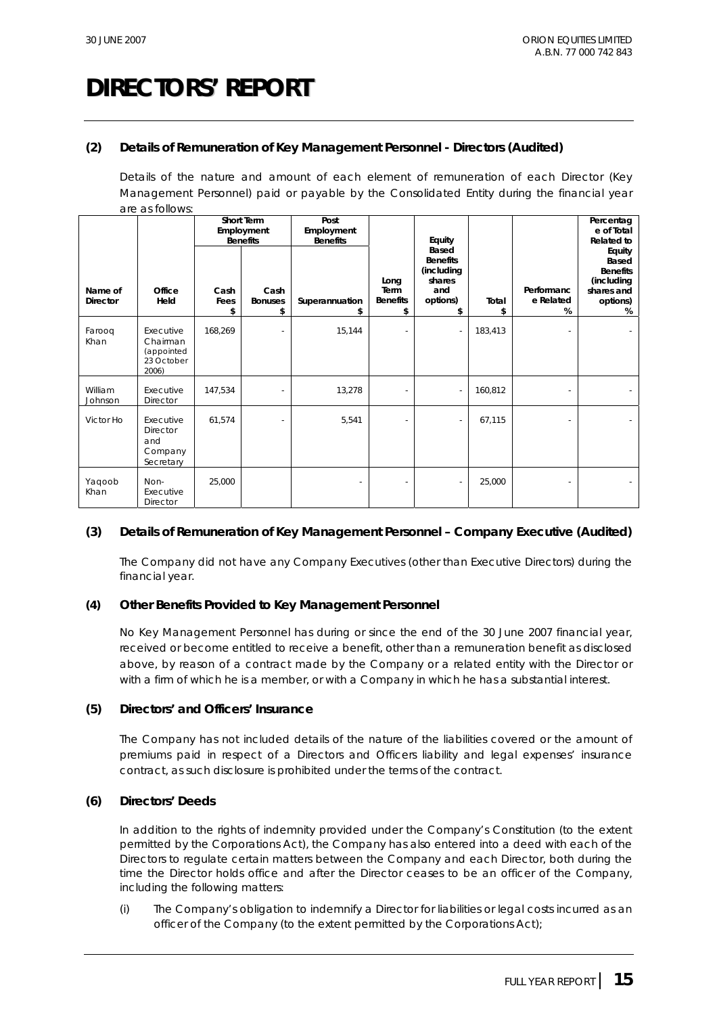#### **(2) Details of Remuneration of Key Management Personnel - Directors (Audited)**

Details of the nature and amount of each element of remuneration of each Director (Key Management Personnel) paid or payable by the Consolidated Entity during the financial year are as follows:

|                            |                                                            | Short Term<br>Employment<br><b>Benefits</b> |                              | Post<br>Employment<br><b>Benefits</b> |                                              | Equity                                                                           |             |                              | Percentag<br>e of Total<br><b>Related to</b>                                    |
|----------------------------|------------------------------------------------------------|---------------------------------------------|------------------------------|---------------------------------------|----------------------------------------------|----------------------------------------------------------------------------------|-------------|------------------------------|---------------------------------------------------------------------------------|
| Name of<br><b>Director</b> | Office<br>Held                                             | Cash<br>Fees<br>\$                          | Cash<br><b>Bonuses</b><br>\$ | Superannuation                        | Long<br><b>Term</b><br><b>Benefits</b><br>\$ | <b>Based</b><br><b>Benefits</b><br>(including<br>shares<br>and<br>options)<br>\$ | Total<br>\$ | Performanc<br>e Related<br>% | Equity<br>Based<br><b>Benefits</b><br>(including<br>shares and<br>options)<br>% |
| Farooq<br>Khan             | Executive<br>Chairman<br>(appointed<br>23 October<br>2006) | 168,269                                     |                              | 15,144                                |                                              |                                                                                  | 183,413     |                              |                                                                                 |
| William<br>Johnson         | Executive<br>Director                                      | 147,534                                     |                              | 13,278                                |                                              |                                                                                  | 160,812     |                              |                                                                                 |
| Victor Ho                  | Executive<br>Director<br>and<br>Company<br>Secretary       | 61,574                                      |                              | 5,541                                 |                                              |                                                                                  | 67,115      |                              | $\sim$                                                                          |
| Yaqoob<br>Khan             | Non-<br>Executive<br><b>Director</b>                       | 25,000                                      |                              | $\overline{\phantom{a}}$              | $\overline{\phantom{0}}$                     |                                                                                  | 25,000      |                              | $\sim$                                                                          |

#### **(3) Details of Remuneration of Key Management Personnel – Company Executive (Audited)**

The Company did not have any Company Executives (other than Executive Directors) during the financial year.

#### **(4) Other Benefits Provided to Key Management Personnel**

No Key Management Personnel has during or since the end of the 30 June 2007 financial year, received or become entitled to receive a benefit, other than a remuneration benefit as disclosed above, by reason of a contract made by the Company or a related entity with the Director or with a firm of which he is a member, or with a Company in which he has a substantial interest.

#### **(5) Directors' and Officers' Insurance**

The Company has not included details of the nature of the liabilities covered or the amount of premiums paid in respect of a Directors and Officers liability and legal expenses' insurance contract, as such disclosure is prohibited under the terms of the contract.

#### **(6) Directors' Deeds**

In addition to the rights of indemnity provided under the Company's Constitution (to the extent permitted by the Corporations Act), the Company has also entered into a deed with each of the Directors to regulate certain matters between the Company and each Director, both during the time the Director holds office and after the Director ceases to be an officer of the Company, including the following matters:

(i) The Company's obligation to indemnify a Director for liabilities or legal costs incurred as an officer of the Company (to the extent permitted by the Corporations Act);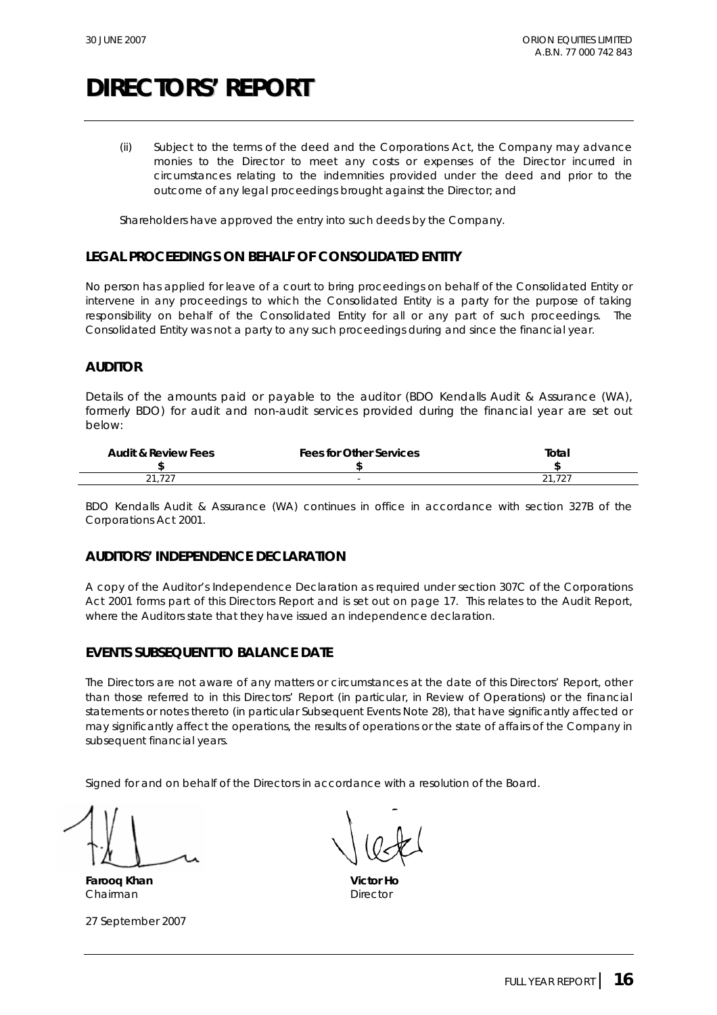(ii) Subject to the terms of the deed and the Corporations Act, the Company may advance monies to the Director to meet any costs or expenses of the Director incurred in circumstances relating to the indemnities provided under the deed and prior to the outcome of any legal proceedings brought against the Director; and

Shareholders have approved the entry into such deeds by the Company.

#### **LEGAL PROCEEDINGS ON BEHALF OF CONSOLIDATED ENTITY**

No person has applied for leave of a court to bring proceedings on behalf of the Consolidated Entity or intervene in any proceedings to which the Consolidated Entity is a party for the purpose of taking responsibility on behalf of the Consolidated Entity for all or any part of such proceedings. The Consolidated Entity was not a party to any such proceedings during and since the financial year.

#### **AUDITOR**

Details of the amounts paid or payable to the auditor (BDO Kendalls Audit & Assurance (WA), formerly BDO) for audit and non-audit services provided during the financial year are set out below:

| <b>Audit &amp; Review Fees</b> | <b>Fees for Other Services</b> | Total                                  |
|--------------------------------|--------------------------------|----------------------------------------|
|                                |                                |                                        |
| $\sim$<br>$  -$                |                                | $^{\circ}$<br>$\overline{\phantom{0}}$ |

BDO Kendalls Audit & Assurance (WA) continues in office in accordance with section 327B of the *Corporations Act 2001*.

#### **AUDITORS' INDEPENDENCE DECLARATION**

A copy of the Auditor's Independence Declaration as required under section 307C of the Corporations Act 2001 forms part of this Directors Report and is set out on page 17. This relates to the Audit Report, where the Auditors state that they have issued an independence declaration.

#### **EVENTS SUBSEQUENT TO BALANCE DATE**

The Directors are not aware of any matters or circumstances at the date of this Directors' Report, other than those referred to in this Directors' Report (in particular, in Review of Operations) or the financial statements or notes thereto (in particular Subsequent Events Note 28), that have significantly affected or may significantly affect the operations, the results of operations or the state of affairs of the Company in subsequent financial years.

Signed for and on behalf of the Directors in accordance with a resolution of the Board.

**Farooq Khan Victor Ho** Chairman **Director** Director

27 September 2007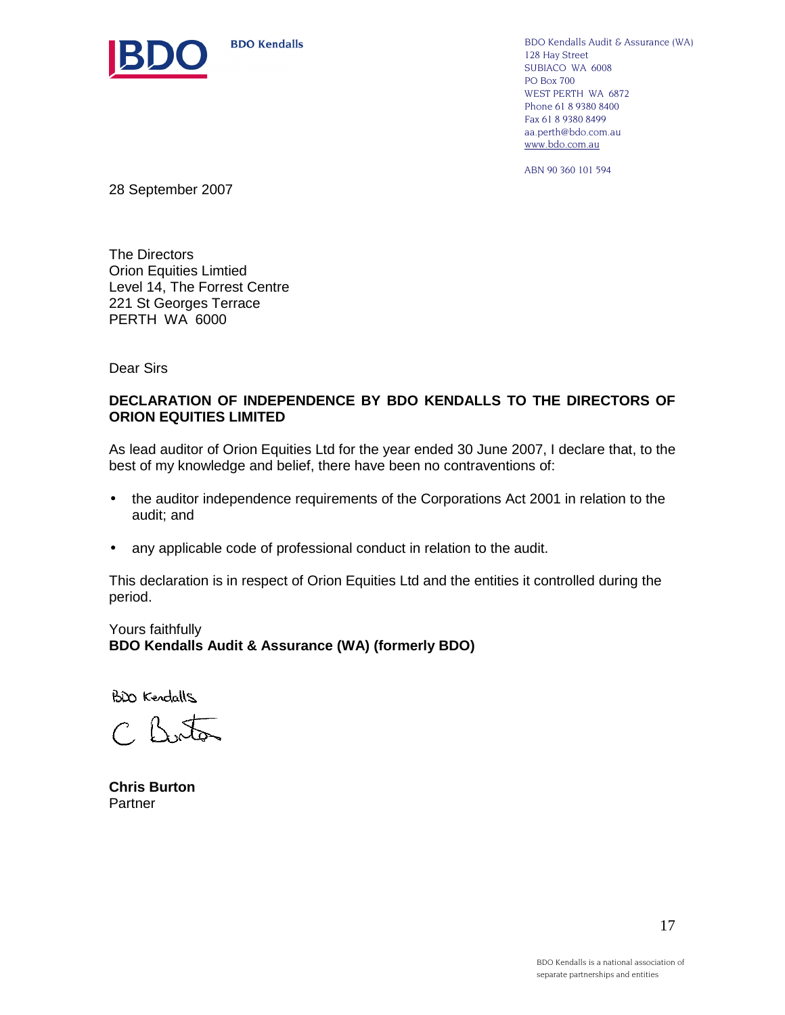

BDO Kendalls Audit & Assurance (WA) 128 Hay Street SUBIACO WA 6008 PO Box 700 WEST PERTH WA 6872 Phone 61 8 9380 8400 Fax 61 8 9380 8499 aa.perth@bdo.com.au www.bdo.com.au

ABN 90 360 101 594

28 September 2007

The Directors Orion Equities Limtied Level 14, The Forrest Centre 221 St Georges Terrace PERTH WA 6000

Dear Sirs

#### **DECLARATION OF INDEPENDENCE BY BDO KENDALLS TO THE DIRECTORS OF ORION EQUITIES LIMITED**

As lead auditor of Orion Equities Ltd for the year ended 30 June 2007, I declare that, to the best of my knowledge and belief, there have been no contraventions of:

- the auditor independence requirements of the Corporations Act 2001 in relation to the audit; and
- any applicable code of professional conduct in relation to the audit.

This declaration is in respect of Orion Equities Ltd and the entities it controlled during the period.

Yours faithfully **BDO Kendalls Audit & Assurance (WA) (formerly BDO)** 

BDO Kendalls

C. Boton

**Chris Burton**  Partner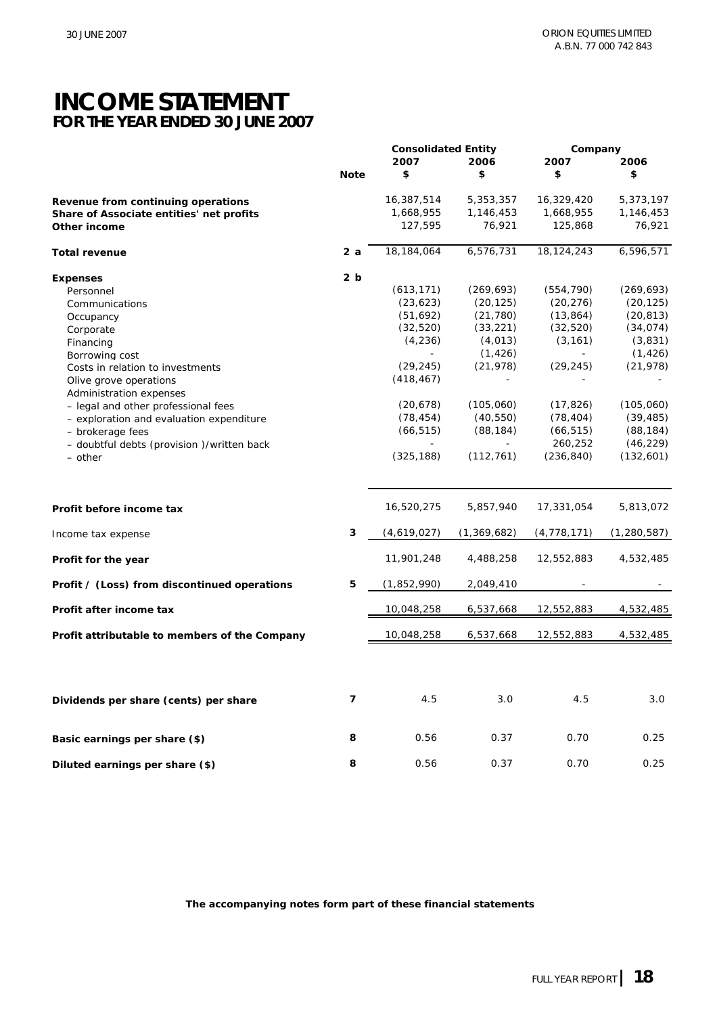### **INCOME STATEMENT FOR THE YEAR ENDED 30 JUNE 2007**

|                                               |                | <b>Consolidated Entity</b> |             |                          | Company       |  |  |
|-----------------------------------------------|----------------|----------------------------|-------------|--------------------------|---------------|--|--|
|                                               |                | 2007                       | 2006        | 2007                     | 2006          |  |  |
|                                               | <b>Note</b>    | \$                         | \$          | \$                       | \$            |  |  |
| Revenue from continuing operations            |                | 16,387,514                 | 5,353,357   | 16,329,420               | 5,373,197     |  |  |
| Share of Associate entities' net profits      |                | 1,668,955                  | 1,146,453   | 1,668,955                | 1,146,453     |  |  |
| Other income                                  |                | 127,595                    | 76,921      | 125,868                  | 76,921        |  |  |
| <b>Total revenue</b>                          | 2 a            | 18,184,064                 | 6,576,731   | 18, 124, 243             | 6,596,571     |  |  |
| <b>Expenses</b>                               | 2 <sub>b</sub> |                            |             |                          |               |  |  |
| Personnel                                     |                | (613, 171)                 | (269, 693)  | (554, 790)               | (269, 693)    |  |  |
| Communications                                |                | (23, 623)                  | (20, 125)   | (20, 276)                | (20, 125)     |  |  |
| Occupancy                                     |                | (51, 692)                  | (21, 780)   | (13, 864)                | (20, 813)     |  |  |
| Corporate                                     |                | (32, 520)                  | (33, 221)   | (32, 520)                | (34, 074)     |  |  |
|                                               |                | (4, 236)                   | (4, 013)    | (3, 161)                 | (3,831)       |  |  |
| Financing                                     |                |                            |             |                          |               |  |  |
| Borrowing cost                                |                |                            | (1, 426)    | $\overline{\phantom{a}}$ | (1, 426)      |  |  |
| Costs in relation to investments              |                | (29, 245)                  | (21, 978)   | (29, 245)                | (21, 978)     |  |  |
| Olive grove operations                        |                | (418, 467)                 |             |                          |               |  |  |
| Administration expenses                       |                |                            |             |                          |               |  |  |
| - legal and other professional fees           |                | (20, 678)                  | (105,060)   | (17, 826)                | (105, 060)    |  |  |
| - exploration and evaluation expenditure      |                | (78, 454)                  | (40, 550)   | (78, 404)                | (39, 485)     |  |  |
| - brokerage fees                              |                | (66, 515)                  | (88, 184)   | (66, 515)                | (88, 184)     |  |  |
| - doubtful debts (provision )/written back    |                |                            |             | 260,252                  | (46, 229)     |  |  |
| – other                                       |                | (325, 188)                 | (112, 761)  | (236, 840)               | (132,601)     |  |  |
|                                               |                |                            |             |                          |               |  |  |
| Profit before income tax                      |                | 16,520,275                 | 5,857,940   | 17,331,054               | 5,813,072     |  |  |
| Income tax expense                            | 3              | (4,619,027)                | (1,369,682) | (4, 778, 171)            | (1, 280, 587) |  |  |
| Profit for the year                           |                | 11,901,248                 | 4,488,258   | 12,552,883               | 4,532,485     |  |  |
| Profit / (Loss) from discontinued operations  | 5              | (1,852,990)                | 2,049,410   |                          |               |  |  |
| Profit after income tax                       |                | 10,048,258                 | 6,537,668   | 12,552,883               | 4,532,485     |  |  |
| Profit attributable to members of the Company |                | 10,048,258                 | 6,537,668   | 12,552,883               | 4,532,485     |  |  |
|                                               |                |                            |             |                          |               |  |  |
| Dividends per share (cents) per share         | 7              | 4.5                        | 3.0         | 4.5                      | 3.0           |  |  |
| Basic earnings per share (\$)                 | 8              | 0.56                       | 0.37        | 0.70                     | 0.25          |  |  |
| Diluted earnings per share (\$)               | 8              | 0.56                       | 0.37        | 0.70                     | 0.25          |  |  |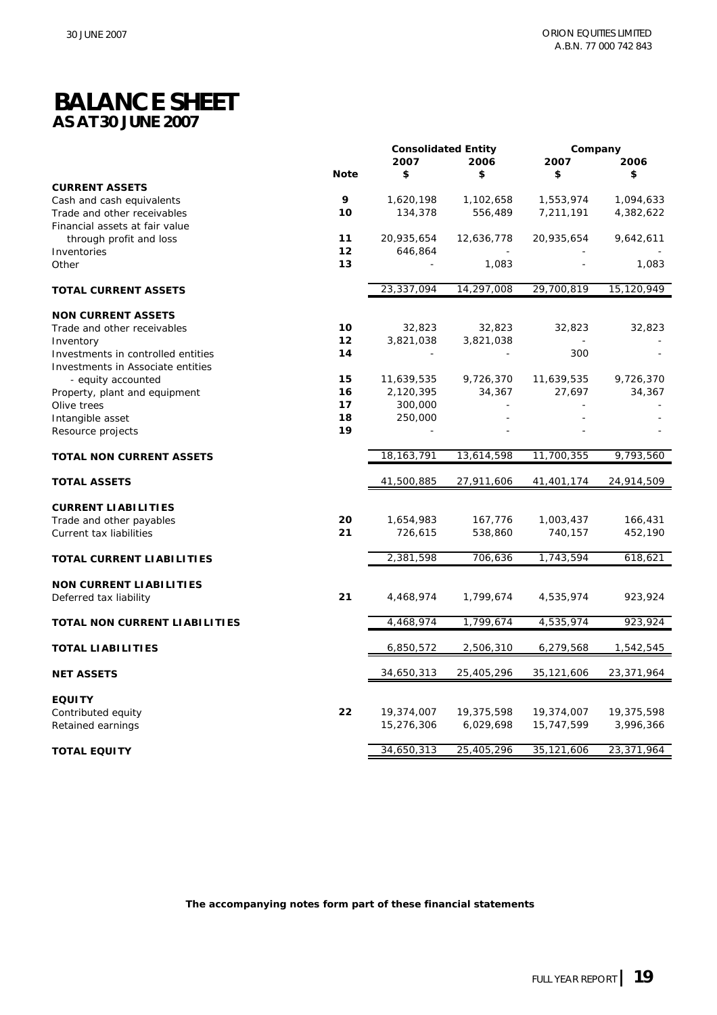### **BALANCE SHEET AS AT 30 JUNE 2007**

|                                    |             | <b>Consolidated Entity</b> |            | Company    |            |
|------------------------------------|-------------|----------------------------|------------|------------|------------|
|                                    |             | 2007                       | 2006       | 2007       | 2006       |
|                                    | <b>Note</b> | \$                         | \$         | \$         | \$         |
| <b>CURRENT ASSETS</b>              |             |                            |            |            |            |
| Cash and cash equivalents          | 9           | 1,620,198                  | 1,102,658  | 1,553,974  | 1,094,633  |
| Trade and other receivables        | 10          | 134,378                    | 556,489    | 7,211,191  | 4,382,622  |
| Financial assets at fair value     |             |                            |            |            |            |
| through profit and loss            | 11          | 20,935,654                 | 12,636,778 | 20,935,654 | 9,642,611  |
| Inventories                        | 12          | 646,864                    |            |            |            |
| Other                              | 13          |                            | 1,083      |            | 1,083      |
|                                    |             | 23,337,094                 | 14,297,008 | 29,700,819 | 15,120,949 |
| <b>TOTAL CURRENT ASSETS</b>        |             |                            |            |            |            |
| <b>NON CURRENT ASSETS</b>          |             |                            |            |            |            |
| Trade and other receivables        | 10          | 32,823                     | 32,823     | 32,823     | 32,823     |
| Inventory                          | 12          | 3,821,038                  | 3,821,038  |            |            |
| Investments in controlled entities | 14          |                            |            | 300        |            |
| Investments in Associate entities  |             |                            |            |            |            |
| - equity accounted                 | 15          | 11,639,535                 | 9,726,370  | 11,639,535 | 9,726,370  |
| Property, plant and equipment      | 16          | 2,120,395                  | 34,367     | 27,697     | 34,367     |
| Olive trees                        | 17          | 300,000                    | ÷.         |            |            |
| Intangible asset                   | 18          | 250,000                    |            |            |            |
| Resource projects                  | 19          |                            |            |            |            |
| <b>TOTAL NON CURRENT ASSETS</b>    |             | 18, 163, 791               | 13,614,598 | 11,700,355 | 9,793,560  |
|                                    |             |                            |            |            |            |
| <b>TOTAL ASSETS</b>                |             | 41,500,885                 | 27,911,606 | 41,401,174 | 24,914,509 |
| <b>CURRENT LIABILITIES</b>         |             |                            |            |            |            |
| Trade and other payables           | 20          | 1,654,983                  | 167,776    | 1,003,437  | 166,431    |
| Current tax liabilities            | 21          | 726,615                    | 538,860    | 740,157    | 452,190    |
|                                    |             |                            |            |            |            |
| TOTAL CURRENT LIABILITIES          |             | 2,381,598                  | 706,636    | 1,743,594  | 618,621    |
|                                    |             |                            |            |            |            |
| <b>NON CURRENT LIABILITIES</b>     |             |                            |            |            |            |
| Deferred tax liability             | 21          | 4,468,974                  | 1,799,674  | 4,535,974  | 923,924    |
| TOTAL NON CURRENT LIABILITIES      |             | 4,468,974                  | 1,799,674  | 4,535,974  | 923,924    |
|                                    |             |                            |            |            |            |
| <b>TOTAL LIABILITIES</b>           |             | 6,850,572                  | 2,506,310  | 6,279,568  | 1,542,545  |
| <b>NET ASSETS</b>                  |             | 34,650,313                 | 25,405,296 | 35,121,606 | 23,371,964 |
| <b>EQUITY</b>                      |             |                            |            |            |            |
| Contributed equity                 | 22          | 19,374,007                 | 19,375,598 | 19,374,007 | 19,375,598 |
|                                    |             | 15,276,306                 | 6,029,698  | 15,747,599 | 3,996,366  |
| Retained earnings                  |             |                            |            |            |            |
| <b>TOTAL EQUITY</b>                |             | 34,650,313                 | 25,405,296 | 35,121,606 | 23,371,964 |
|                                    |             |                            |            |            |            |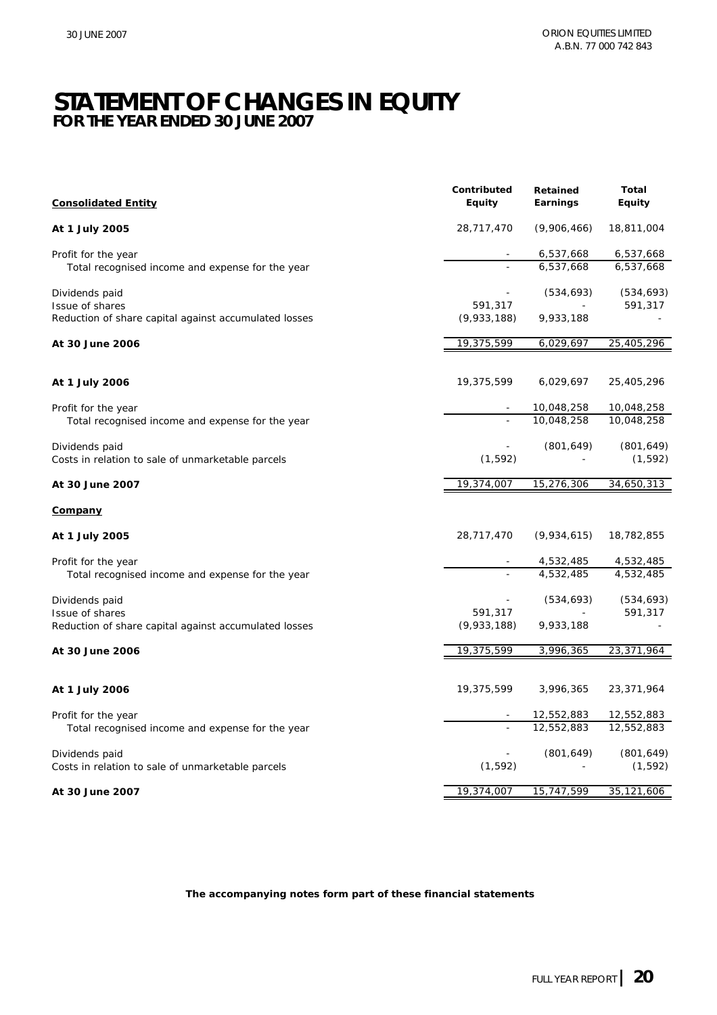### **STATEMENT OF CHANGES IN EQUITY FOR THE YEAR ENDED 30 JUNE 2007**

| <b>Consolidated Entity</b>                                          | Contributed<br>Equity | Retained<br>Earnings | <b>Total</b><br><b>Equity</b> |
|---------------------------------------------------------------------|-----------------------|----------------------|-------------------------------|
| At 1 July 2005                                                      | 28,717,470            | (9,906,466)          | 18,811,004                    |
| Profit for the year                                                 |                       | 6,537,668            | 6,537,668                     |
| Total recognised income and expense for the year                    |                       | 6,537,668            | 6,537,668                     |
| Dividends paid<br>Issue of shares                                   | 591,317               | (534, 693)           | (534, 693)<br>591,317         |
| Reduction of share capital against accumulated losses               | (9,933,188)           | 9,933,188            |                               |
| At 30 June 2006                                                     | 19,375,599            | 6,029,697            | 25,405,296                    |
| At 1 July 2006                                                      | 19,375,599            | 6,029,697            | 25,405,296                    |
| Profit for the year                                                 |                       | 10,048,258           | 10,048,258                    |
| Total recognised income and expense for the year                    |                       | 10,048,258           | 10,048,258                    |
| Dividends paid<br>Costs in relation to sale of unmarketable parcels | (1, 592)              | (801, 649)           | (801, 649)<br>(1, 592)        |
| At 30 June 2007                                                     | 19,374,007            | 15,276,306           | 34,650,313                    |
| <u>Company</u>                                                      |                       |                      |                               |
| At 1 July 2005                                                      | 28,717,470            | (9,934,615)          | 18,782,855                    |
| Profit for the year                                                 |                       | 4,532,485            | 4,532,485                     |
| Total recognised income and expense for the year                    |                       | 4,532,485            | 4,532,485                     |
| Dividends paid<br>Issue of shares                                   | 591,317               | (534, 693)           | (534, 693)<br>591,317         |
| Reduction of share capital against accumulated losses               | (9,933,188)           | 9,933,188            |                               |
| At 30 June 2006                                                     | 19,375,599            | 3,996,365            | 23,371,964                    |
| At 1 July 2006                                                      | 19,375,599            | 3,996,365            | 23,371,964                    |
| Profit for the year                                                 |                       | 12,552,883           | 12,552,883                    |
| Total recognised income and expense for the year                    |                       | 12,552,883           | 12,552,883                    |
| Dividends paid<br>Costs in relation to sale of unmarketable parcels | (1, 592)              | (801, 649)           | (801, 649)<br>(1, 592)        |
| At 30 June 2007                                                     | 19,374,007            | 15,747,599           | 35,121,606                    |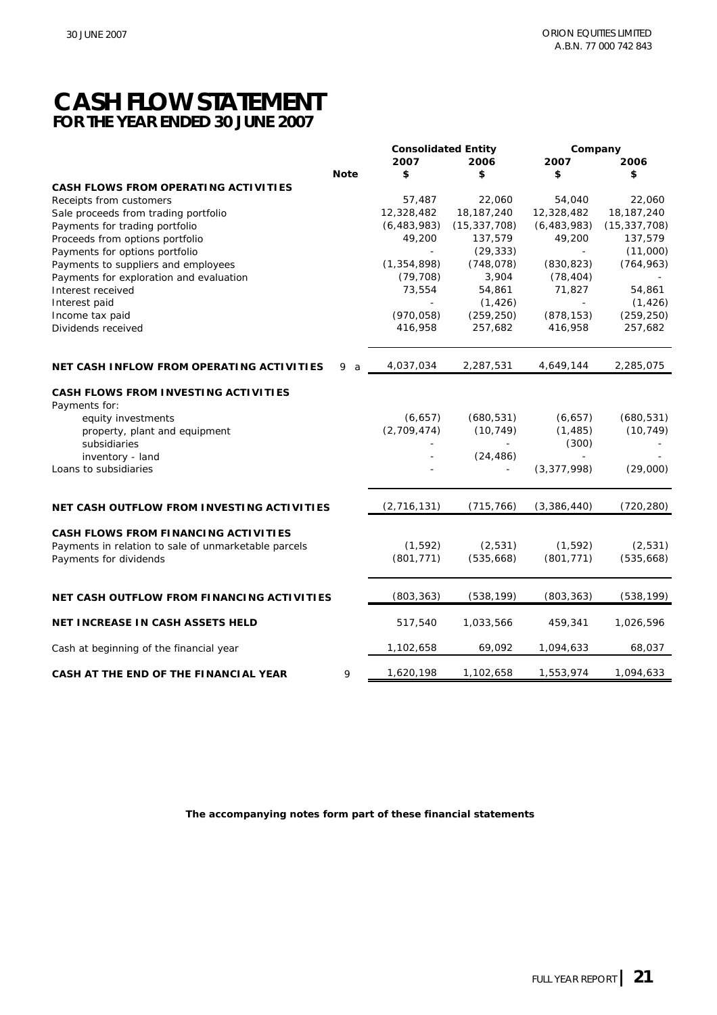### **CASH FLOW STATEMENT FOR THE YEAR ENDED 30 JUNE 2007**

|                                                              |             | <b>Consolidated Entity</b> |                | Company       |                |
|--------------------------------------------------------------|-------------|----------------------------|----------------|---------------|----------------|
|                                                              |             | 2007                       | 2006           | 2007          | 2006           |
|                                                              | <b>Note</b> | \$                         | \$             | \$            | \$             |
| CASH FLOWS FROM OPERATING ACTIVITIES                         |             |                            |                |               |                |
| Receipts from customers                                      |             | 57,487                     | 22,060         | 54,040        | 22,060         |
| Sale proceeds from trading portfolio                         |             | 12,328,482                 | 18, 187, 240   | 12,328,482    | 18, 187, 240   |
| Payments for trading portfolio                               |             | (6, 483, 983)              | (15, 337, 708) | (6, 483, 983) | (15, 337, 708) |
| Proceeds from options portfolio                              |             | 49,200                     | 137,579        | 49,200        | 137,579        |
| Payments for options portfolio                               |             |                            | (29, 333)      |               | (11,000)       |
| Payments to suppliers and employees                          |             | (1, 354, 898)              | (748, 078)     | (830, 823)    | (764, 963)     |
| Payments for exploration and evaluation                      |             | (79, 708)                  | 3,904          | (78, 404)     |                |
| Interest received                                            |             | 73,554                     | 54,861         | 71,827        | 54,861         |
| Interest paid                                                |             |                            | (1, 426)       |               | (1, 426)       |
| Income tax paid                                              |             | (970, 058)                 | (259, 250)     | (878, 153)    | (259, 250)     |
| Dividends received                                           |             | 416,958                    | 257,682        | 416,958       | 257,682        |
| NET CASH INFLOW FROM OPERATING ACTIVITIES                    | 9<br>a      | 4,037,034                  | 2,287,531      | 4,649,144     | 2,285,075      |
| <b>CASH FLOWS FROM INVESTING ACTIVITIES</b><br>Payments for: |             |                            |                |               |                |
| equity investments                                           |             | (6,657)                    | (680, 531)     | (6,657)       | (680, 531)     |
| property, plant and equipment                                |             | (2,709,474)                | (10, 749)      | (1, 485)      | (10, 749)      |
| subsidiaries                                                 |             |                            |                | (300)         |                |
| inventory - land                                             |             |                            | (24, 486)      |               |                |
| Loans to subsidiaries                                        |             |                            |                | (3, 377, 998) | (29,000)       |
| NET CASH OUTFLOW FROM INVESTING ACTIVITIES                   |             | (2,716,131)                | (715, 766)     | (3,386,440)   | (720, 280)     |
|                                                              |             |                            |                |               |                |
| CASH FLOWS FROM FINANCING ACTIVITIES                         |             |                            |                |               |                |
| Payments in relation to sale of unmarketable parcels         |             | (1, 592)                   | (2, 531)       | (1, 592)      | (2,531)        |
| Payments for dividends                                       |             | (801, 771)                 | (535,668)      | (801, 771)    | (535, 668)     |
| NET CASH OUTFLOW FROM FINANCING ACTIVITIES                   |             | (803, 363)                 | (538, 199)     | (803, 363)    | (538, 199)     |
|                                                              |             |                            |                |               |                |
| <b>NET INCREASE IN CASH ASSETS HELD</b>                      |             | 517,540                    | 1,033,566      | 459,341       | 1,026,596      |
| Cash at beginning of the financial year                      |             | 1,102,658                  | 69,092         | 1,094,633     | 68,037         |
| CASH AT THE END OF THE FINANCIAL YEAR                        | 9           | 1,620,198                  | 1,102,658      | 1,553,974     | 1,094,633      |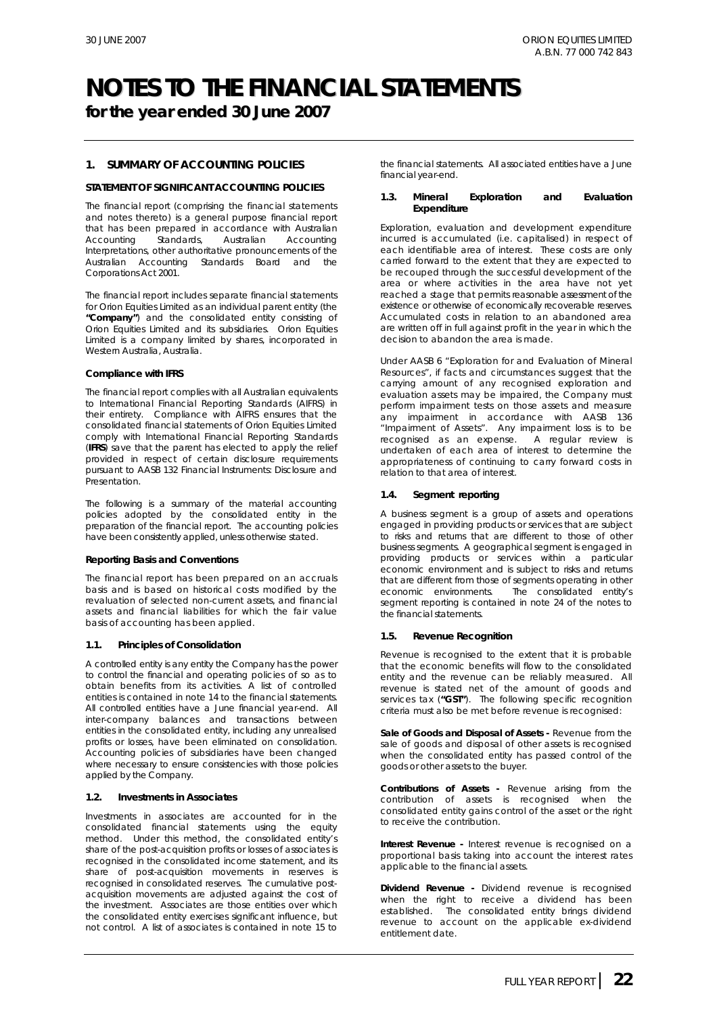**for the year ended 30 June 2007**

#### **1. SUMMARY OF ACCOUNTING POLICIES**

#### **STATEMENT OF SIGNIFICANT ACCOUNTING POLICIES**

The financial report (comprising the financial statements and notes thereto) is a general purpose financial report that has been prepared in accordance with Australian Accounting Standards, Australian Accounting Interpretations, other authoritative pronouncements of the Australian Accounting Standards Board and the Corporations Act 2001.

The financial report includes separate financial statements for Orion Equities Limited as an individual parent entity (the **"Company"**) and the consolidated entity consisting of Orion Equities Limited and its subsidiaries. Orion Equities Limited is a company limited by shares, incorporated in Western Australia, Australia.

#### **Compliance with IFRS**

The financial report complies with all Australian equivalents to International Financial Reporting Standards (AIFRS) in their entirety. Compliance with AIFRS ensures that the consolidated financial statements of Orion Equities Limited comply with International Financial Reporting Standards (**IFRS**) save that the parent has elected to apply the relief provided in respect of certain disclosure requirements pursuant to *AASB 132 Financial Instruments: Disclosure and Presentation*.

The following is a summary of the material accounting policies adopted by the consolidated entity in the preparation of the financial report. The accounting policies have been consistently applied, unless otherwise stated.

#### *Reporting Basis and Conventions*

The financial report has been prepared on an accruals basis and is based on historical costs modified by the revaluation of selected non-current assets, and financial assets and financial liabilities for which the fair value basis of accounting has been applied.

#### **1.1. Principles of Consolidation**

A controlled entity is any entity the Company has the power to control the financial and operating policies of so as to obtain benefits from its activities. A list of controlled entities is contained in note 14 to the financial statements. All controlled entities have a June financial year-end. All inter-company balances and transactions between entities in the consolidated entity, including any unrealised profits or losses, have been eliminated on consolidation. Accounting policies of subsidiaries have been changed where necessary to ensure consistencies with those policies applied by the Company.

#### **1.2. Investments in Associates**

Investments in associates are accounted for in the consolidated financial statements using the equity method. Under this method, the consolidated entity's share of the post-acquisition profits or losses of associates is recognised in the consolidated income statement, and its share of post-acquisition movements in reserves is recognised in consolidated reserves. The cumulative postacquisition movements are adjusted against the cost of the investment. Associates are those entities over which the consolidated entity exercises significant influence, but not control. A list of associates is contained in note 15 to the financial statements. All associated entities have a June financial year-end.

#### **1.3. Mineral Exploration and Evaluation Expenditure**

Exploration, evaluation and development expenditure incurred is accumulated (i.e. capitalised) in respect of each identifiable area of interest. These costs are only carried forward to the extent that they are expected to be recouped through the successful development of the area or where activities in the area have not yet reached a stage that permits reasonable assessment of the existence or otherwise of economically recoverable reserves. Accumulated costs in relation to an abandoned area are written off in full against profit in the year in which the decision to abandon the area is made.

Under AASB 6 "Exploration for and Evaluation of Mineral Resources", if facts and circumstances suggest that the carrying amount of any recognised exploration and evaluation assets may be impaired, the Company must perform impairment tests on those assets and measure any impairment in accordance with AASB 136 "Impairment of Assets". Any impairment loss is to be recognised as an expense. A regular review is undertaken of each area of interest to determine the appropriateness of continuing to carry forward costs in relation to that area of interest.

#### **1.4. Segment reporting**

A business segment is a group of assets and operations engaged in providing products or services that are subject to risks and returns that are different to those of other business segments. A geographical segment is engaged in providing products or services within a particular economic environment and is subject to risks and returns that are different from those of segments operating in other economic environments. The consolidated entity's segment reporting is contained in note 24 of the notes to the financial statements.

#### **1.5. Revenue Recognition**

Revenue is recognised to the extent that it is probable that the economic benefits will flow to the consolidated entity and the revenue can be reliably measured. All revenue is stated net of the amount of goods and services tax (**"GST"**). The following specific recognition criteria must also be met before revenue is recognised:

*Sale of Goods and Disposal of Assets* **-** Revenue from the sale of goods and disposal of other assets is recognised when the consolidated entity has passed control of the goods or other assets to the buyer.

*Contributions of Assets* **-** Revenue arising from the contribution of assets is recognised when the consolidated entity gains control of the asset or the right to receive the contribution.

*Interest Revenue* **-** Interest revenue is recognised on a proportional basis taking into account the interest rates applicable to the financial assets.

*Dividend Revenue* **-** Dividend revenue is recognised when the right to receive a dividend has been established. The consolidated entity brings dividend revenue to account on the applicable ex-dividend entitlement date.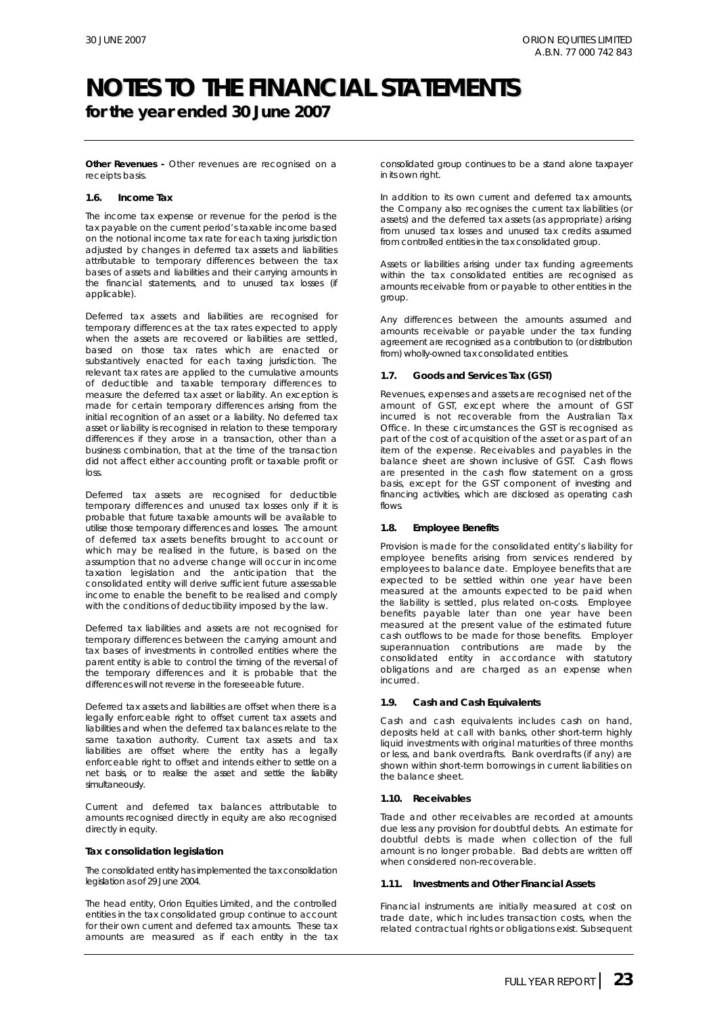**for the year ended 30 June 2007**

**Other Revenues** - Other revenues are recognised on a receipts basis.

#### **1.6. Income Tax**

The income tax expense or revenue for the period is the tax payable on the current period's taxable income based on the notional income tax rate for each taxing jurisdiction adjusted by changes in deferred tax assets and liabilities attributable to temporary differences between the tax bases of assets and liabilities and their carrying amounts in the financial statements, and to unused tax losses (if applicable).

Deferred tax assets and liabilities are recognised for temporary differences at the tax rates expected to apply when the assets are recovered or liabilities are settled. based on those tax rates which are enacted or substantively enacted for each taxing jurisdiction. The relevant tax rates are applied to the cumulative amounts of deductible and taxable temporary differences to measure the deferred tax asset or liability. An exception is made for certain temporary differences arising from the initial recognition of an asset or a liability. No deferred tax asset or liability is recognised in relation to these temporary differences if they arose in a transaction, other than a business combination, that at the time of the transaction did not affect either accounting profit or taxable profit or loss.

Deferred tax assets are recognised for deductible temporary differences and unused tax losses only if it is probable that future taxable amounts will be available to utilise those temporary differences and losses. The amount of deferred tax assets benefits brought to account or which may be realised in the future, is based on the assumption that no adverse change will occur in income taxation legislation and the anticipation that the consolidated entity will derive sufficient future assessable income to enable the benefit to be realised and comply with the conditions of deductibility imposed by the law.

Deferred tax liabilities and assets are not recognised for temporary differences between the carrying amount and tax bases of investments in controlled entities where the parent entity is able to control the timing of the reversal of the temporary differences and it is probable that the differences will not reverse in the foreseeable future.

Deferred tax assets and liabilities are offset when there is a legally enforceable right to offset current tax assets and liabilities and when the deferred tax balances relate to the same taxation authority. Current tax assets and tax liabilities are offset where the entity has a legally enforceable right to offset and intends either to settle on a net basis, or to realise the asset and settle the liability simultaneously.

Current and deferred tax balances attributable to amounts recognised directly in equity are also recognised directly in equity.

#### *Tax consolidation legislation*

The consolidated entity has implemented the tax consolidation legislation as of 29 June 2004.

The head entity, Orion Equities Limited, and the controlled entities in the tax consolidated group continue to account for their own current and deferred tax amounts. These tax amounts are measured as if each entity in the tax consolidated group continues to be a stand alone taxpayer in its own right.

In addition to its own current and deferred tax amounts, the Company also recognises the current tax liabilities (or assets) and the deferred tax assets (as appropriate) arising from unused tax losses and unused tax credits assumed from controlled entities in the tax consolidated group.

Assets or liabilities arising under tax funding agreements within the tax consolidated entities are recognised as amounts receivable from or payable to other entities in the group.

Any differences between the amounts assumed and amounts receivable or payable under the tax funding agreement are recognised as a contribution to (or distribution from) wholly-owned tax consolidated entities.

#### **1.7. Goods and Services Tax (GST)**

Revenues, expenses and assets are recognised net of the amount of GST, except where the amount of GST incurred is not recoverable from the Australian Tax Office. In these circumstances the GST is recognised as part of the cost of acquisition of the asset or as part of an item of the expense. Receivables and payables in the balance sheet are shown inclusive of GST. Cash flows are presented in the cash flow statement on a gross basis, except for the GST component of investing and financing activities, which are disclosed as operating cash flows.

#### **1.8. Employee Benefits**

Provision is made for the consolidated entity's liability for employee benefits arising from services rendered by employees to balance date. Employee benefits that are expected to be settled within one year have been measured at the amounts expected to be paid when the liability is settled, plus related on-costs. Employee benefits payable later than one year have been measured at the present value of the estimated future cash outflows to be made for those benefits. Employer superannuation contributions are made by the consolidated entity in accordance with statutory obligations and are charged as an expense when incurred.

#### **1.9. Cash and Cash Equivalents**

Cash and cash equivalents includes cash on hand, deposits held at call with banks, other short-term highly liquid investments with original maturities of three months or less, and bank overdrafts. Bank overdrafts (if any) are shown within short-term borrowings in current liabilities on the balance sheet.

#### **1.10. Receivables**

Trade and other receivables are recorded at amounts due less any provision for doubtful debts. An estimate for doubtful debts is made when collection of the full amount is no longer probable. Bad debts are written off when considered non-recoverable.

#### **1.11. Investments and Other Financial Assets**

Financial instruments are initially measured at cost on trade date, which includes transaction costs, when the related contractual rights or obligations exist. Subsequent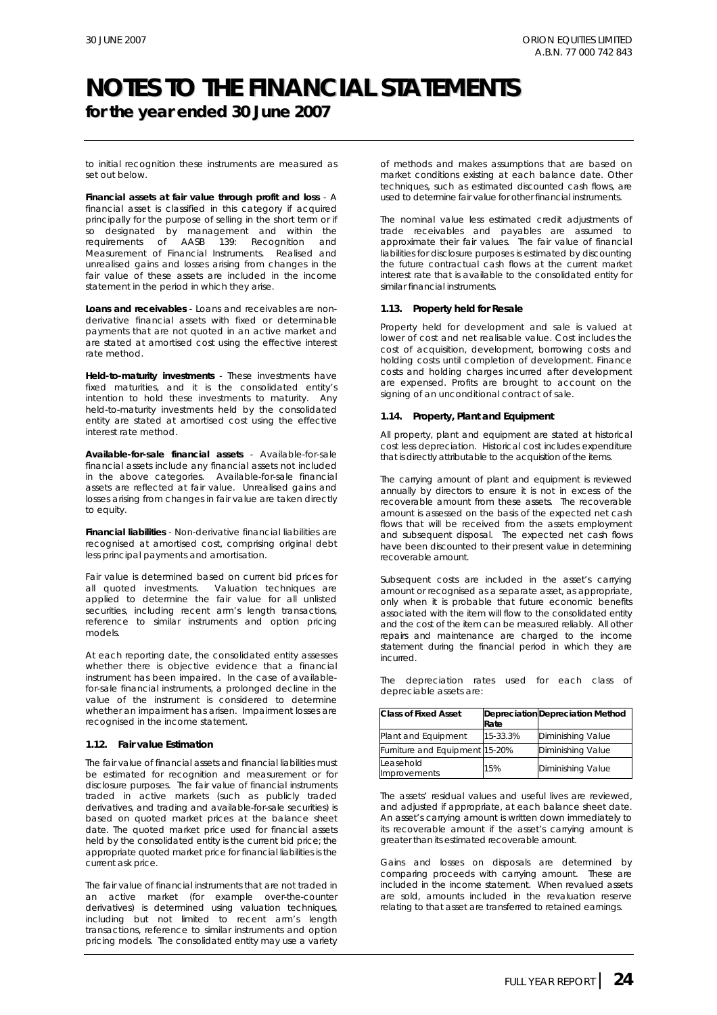**for the year ended 30 June 2007**

to initial recognition these instruments are measured as set out below.

*Financial assets at fair value through profit and loss* - A financial asset is classified in this category if acquired principally for the purpose of selling in the short term or if so designated by management and within the requirements of AASB 139: *Recognition and Measurement of Financial Instruments*. Realised and unrealised gains and losses arising from changes in the fair value of these assets are included in the income statement in the period in which they arise.

*Loans and receivables* - Loans and receivables are nonderivative financial assets with fixed or determinable payments that are not quoted in an active market and are stated at amortised cost using the effective interest rate method.

*Held-to-maturity investments* - These investments have fixed maturities, and it is the consolidated entity's intention to hold these investments to maturity. Any held-to-maturity investments held by the consolidated entity are stated at amortised cost using the effective interest rate method.

*Available-for-sale financial assets* - Available-for-sale financial assets include any financial assets not included in the above categories. Available-for-sale financial assets are reflected at fair value. Unrealised gains and losses arising from changes in fair value are taken directly to equity.

*Financial liabilities* - Non-derivative financial liabilities are recognised at amortised cost, comprising original debt less principal payments and amortisation.

Fair value is determined based on current bid prices for all quoted investments. Valuation techniques are Valuation techniques are applied to determine the fair value for all unlisted securities, including recent arm's length transactions, reference to similar instruments and option pricing models.

At each reporting date, the consolidated entity assesses whether there is objective evidence that a financial instrument has been impaired. In the case of availablefor-sale financial instruments, a prolonged decline in the value of the instrument is considered to determine whether an impairment has arisen. Impairment losses are recognised in the income statement.

#### **1.12. Fair value Estimation**

The fair value of financial assets and financial liabilities must be estimated for recognition and measurement or for disclosure purposes. The fair value of financial instruments traded in active markets (such as publicly traded derivatives, and trading and available-for-sale securities) is based on quoted market prices at the balance sheet date. The quoted market price used for financial assets held by the consolidated entity is the current bid price; the appropriate quoted market price for financial liabilities is the current ask price.

The fair value of financial instruments that are not traded in an active market (for example over-the-counter derivatives) is determined using valuation techniques, including but not limited to recent arm's length transactions, reference to similar instruments and option pricing models. The consolidated entity may use a variety

of methods and makes assumptions that are based on market conditions existing at each balance date. Other techniques, such as estimated discounted cash flows, are used to determine fair value for other financial instruments.

The nominal value less estimated credit adjustments of trade receivables and payables are assumed to approximate their fair values. The fair value of financial liabilities for disclosure purposes is estimated by discounting the future contractual cash flows at the current market interest rate that is available to the consolidated entity for similar financial instruments.

#### **1.13. Property held for Resale**

Property held for development and sale is valued at lower of cost and net realisable value. Cost includes the cost of acquisition, development, borrowing costs and holding costs until completion of development. Finance costs and holding charges incurred after development are expensed. Profits are brought to account on the signing of an unconditional contract of sale.

#### **1.14. Property, Plant and Equipment**

All property, plant and equipment are stated at historical cost less depreciation. Historical cost includes expenditure that is directly attributable to the acquisition of the items.

The carrying amount of plant and equipment is reviewed annually by directors to ensure it is not in excess of the recoverable amount from these assets. The recoverable amount is assessed on the basis of the expected net cash flows that will be received from the assets employment and subsequent disposal. The expected net cash flows have been discounted to their present value in determining recoverable amount.

Subsequent costs are included in the asset's carrying amount or recognised as a separate asset, as appropriate, only when it is probable that future economic benefits associated with the item will flow to the consolidated entity and the cost of the item can be measured reliably. All other repairs and maintenance are charged to the income statement during the financial period in which they are incurred.

The depreciation rates used for each class of depreciable assets are:

| <b>Class of Fixed Asset</b>    | Rate     | Depreciation Depreciation Method |
|--------------------------------|----------|----------------------------------|
| Plant and Equipment            | 15-33.3% | Diminishing Value                |
| Furniture and Equipment 15-20% |          | Diminishing Value                |
| Leasehold<br>Improvements      | 15%      | <b>Diminishing Value</b>         |

The assets' residual values and useful lives are reviewed, and adjusted if appropriate, at each balance sheet date. An asset's carrying amount is written down immediately to its recoverable amount if the asset's carrying amount is greater than its estimated recoverable amount.

Gains and losses on disposals are determined by comparing proceeds with carrying amount. These are included in the income statement. When revalued assets are sold, amounts included in the revaluation reserve relating to that asset are transferred to retained earnings.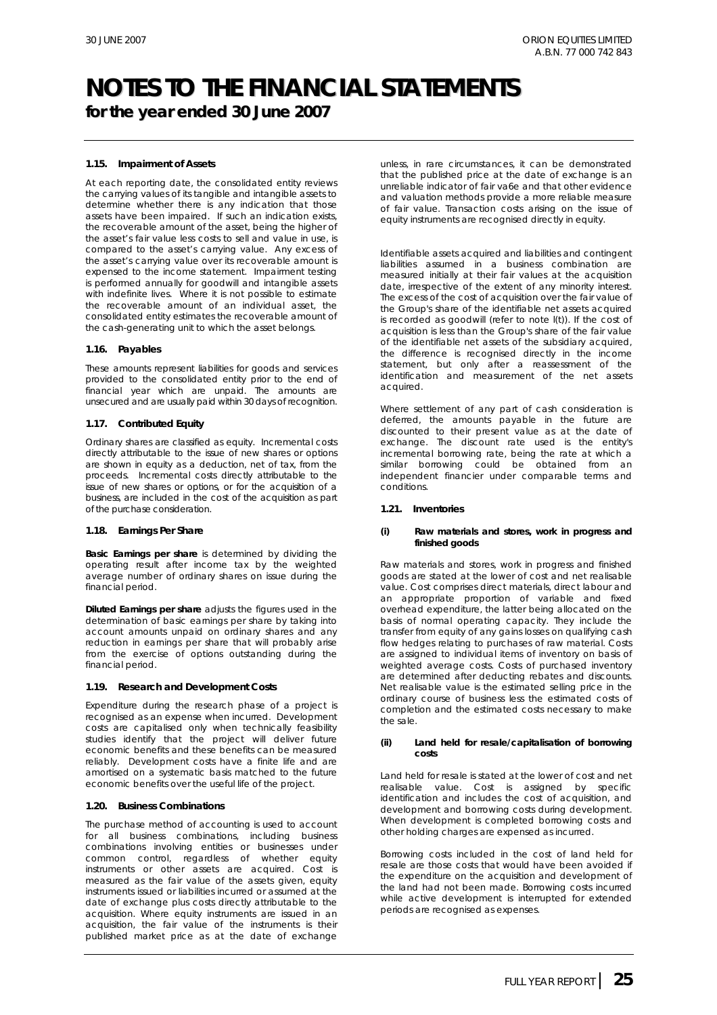**for the year ended 30 June 2007**

#### **1.15. Impairment of Assets**

At each reporting date, the consolidated entity reviews the carrying values of its tangible and intangible assets to determine whether there is any indication that those assets have been impaired. If such an indication exists, the recoverable amount of the asset, being the higher of the asset's fair value less costs to sell and value in use, is compared to the asset's carrying value. Any excess of the asset's carrying value over its recoverable amount is expensed to the income statement. Impairment testing is performed annually for goodwill and intangible assets with indefinite lives. Where it is not possible to estimate the recoverable amount of an individual asset, the consolidated entity estimates the recoverable amount of the cash-generating unit to which the asset belongs.

#### **1.16. Payables**

These amounts represent liabilities for goods and services provided to the consolidated entity prior to the end of financial year which are unpaid. The amounts are unsecured and are usually paid within 30 days of recognition.

#### **1.17. Contributed Equity**

Ordinary shares are classified as equity. Incremental costs directly attributable to the issue of new shares or options are shown in equity as a deduction, net of tax, from the proceeds. Incremental costs directly attributable to the issue of new shares or options, or for the acquisition of a business, are included in the cost of the acquisition as part of the purchase consideration.

#### **1.18. Earnings Per Share**

*Basic Earnings per share* is determined by dividing the operating result after income tax by the weighted average number of ordinary shares on issue during the financial period.

*Diluted Earnings per share* adjusts the figures used in the determination of basic earnings per share by taking into account amounts unpaid on ordinary shares and any reduction in earnings per share that will probably arise from the exercise of options outstanding during the financial period.

#### **1.19. Research and Development Costs**

Expenditure during the research phase of a project is recognised as an expense when incurred. Development costs are capitalised only when technically feasibility studies identify that the project will deliver future economic benefits and these benefits can be measured reliably. Development costs have a finite life and are amortised on a systematic basis matched to the future economic benefits over the useful life of the project.

#### **1.20. Business Combinations**

The purchase method of accounting is used to account for all business combinations, including business combinations involving entities or businesses under common control, regardless of whether equity instruments or other assets are acquired. Cost is measured as the fair value of the assets given, equity instruments issued or liabilities incurred or assumed at the date of exchange plus costs directly attributable to the acquisition. Where equity instruments are issued in an acquisition, the fair value of the instruments is their published market price as at the date of exchange

unless, in rare circumstances, it can be demonstrated that the published price at the date of exchange is an unreliable indicator of fair va6e and that other evidence and valuation methods provide a more reliable measure of fair value. Transaction costs arising on the issue of equity instruments are recognised directly in equity.

Identifiable assets acquired and liabilities and contingent liabilities assumed in a business combination are measured initially at their fair values at the acquisition date, irrespective of the extent of any minority interest. The excess of the cost of acquisition over the fair value of the Group's share of the identifiable net assets acquired is recorded as goodwill (refer to note l(t)). If the cost of acquisition is less than the Group's share of the fair value of the identifiable net assets of the subsidiary acquired, the difference is recognised directly in the income statement, but only after a reassessment of the identification and measurement of the net assets acquired.

Where settlement of any part of cash consideration is deferred, the amounts payable in the future are discounted to their present value as at the date of exchange. The discount rate used is the entity's incremental borrowing rate, being the rate at which a similar borrowing could be obtained from an independent financier under comparable terms and conditions.

#### **1.21. Inventories**

#### *(i)* **Raw materials and stores, work in progress and finished goods**

Raw materials and stores, work in progress and finished goods are stated at the lower of cost and net realisable value. Cost comprises direct materials, direct labour and an appropriate proportion of variable and fixed overhead expenditure, the latter being allocated on the basis of normal operating capacity. They include the transfer from equity of any gains losses on qualifying cash flow hedges relating to purchases of raw material. Costs are assigned to individual items of inventory on basis of weighted average costs. Costs of purchased inventory are determined after deducting rebates and discounts. Net realisable value is the estimated selling price in the ordinary course of business less the estimated costs of completion and the estimated costs necessary to make the sale.

#### *(ii)* **Land held for resale/capitalisation of borrowing costs**

Land held for resale is stated at the lower of cost and net realisable value. Cost is assigned by specific identification and includes the cost of acquisition, and development and borrowing costs during development. When development is completed borrowing costs and other holding charges are expensed as incurred.

Borrowing costs included in the cost of land held for resale are those costs that would have been avoided if the expenditure on the acquisition and development of the land had not been made. Borrowing costs incurred while active development is interrupted for extended periods are recognised as expenses.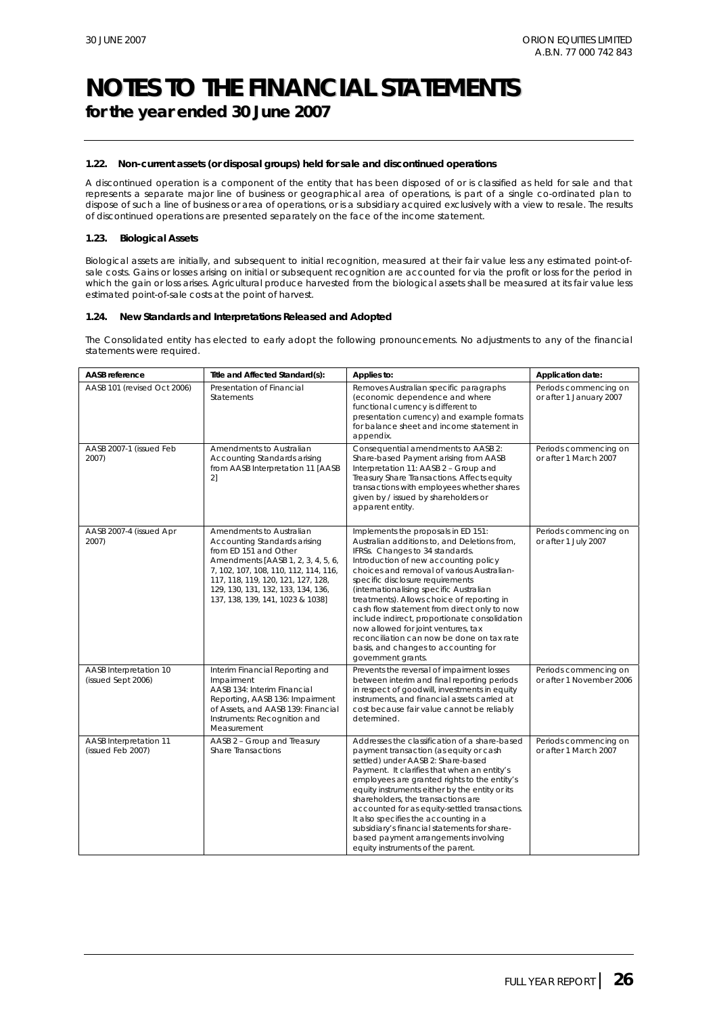**for the year ended 30 June 2007**

#### **1.22. Non-current assets (or disposal groups) held for sale and discontinued operations**

A discontinued operation is a component of the entity that has been disposed of or is classified as held for sale and that represents a separate major line of business or geographical area of operations, is part of a single co-ordinated plan to dispose of such a line of business or area of operations, or is a subsidiary acquired exclusively with a view to resale. The results of discontinued operations are presented separately on the face of the income statement.

#### **1.23. Biological Assets**

Biological assets are initially, and subsequent to initial recognition, measured at their fair value less any estimated point-ofsale costs. Gains or losses arising on initial or subsequent recognition are accounted for via the profit or loss for the period in which the gain or loss arises. Agricultural produce harvested from the biological assets shall be measured at its fair value less estimated point-of-sale costs at the point of harvest.

#### **1.24. New Standards and Interpretations Released and Adopted**

The Consolidated entity has elected to early adopt the following pronouncements. No adjustments to any of the financial statements were required.

| <b>AASB</b> reference                        | Title and Affected Standard(s):                                                                                                                                                                                                                                                  | Applies to:                                                                                                                                                                                                                                                                                                                                                                                                                                                                                                                                                                                   | Application date:                                 |
|----------------------------------------------|----------------------------------------------------------------------------------------------------------------------------------------------------------------------------------------------------------------------------------------------------------------------------------|-----------------------------------------------------------------------------------------------------------------------------------------------------------------------------------------------------------------------------------------------------------------------------------------------------------------------------------------------------------------------------------------------------------------------------------------------------------------------------------------------------------------------------------------------------------------------------------------------|---------------------------------------------------|
| AASB 101 (revised Oct 2006)                  | Presentation of Financial<br><b>Statements</b>                                                                                                                                                                                                                                   | Removes Australian specific paragraphs<br>(economic dependence and where<br>functional currency is different to<br>presentation currency) and example formats<br>for balance sheet and income statement in<br>appendix.                                                                                                                                                                                                                                                                                                                                                                       | Periods commencing on<br>or after 1 January 2007  |
| AASB 2007-1 (issued Feb<br>2007)             | Amendments to Australian<br>Accounting Standards arising<br>from AASB Interpretation 11 [AASB<br>2]                                                                                                                                                                              | Consequential amendments to AASB 2:<br>Share-based Payment arising from AASB<br>Interpretation 11: AASB 2 - Group and<br>Treasury Share Transactions. Affects equity<br>transactions with employees whether shares<br>given by / issued by shareholders or<br>apparent entity.                                                                                                                                                                                                                                                                                                                | Periods commencing on<br>or after 1 March 2007    |
| AASB 2007-4 (issued Apr<br>2007)             | Amendments to Australian<br>Accounting Standards arising<br>from ED 151 and Other<br>Amendments [AASB 1, 2, 3, 4, 5, 6,<br>7, 102, 107, 108, 110, 112, 114, 116,<br>117, 118, 119, 120, 121, 127, 128,<br>129, 130, 131, 132, 133, 134, 136,<br>137, 138, 139, 141, 1023 & 1038] | Implements the proposals in ED 151:<br>Australian additions to, and Deletions from,<br>IFRSs. Changes to 34 standards.<br>Introduction of new accounting policy<br>choices and removal of various Australian-<br>specific disclosure requirements<br>(internationalising specific Australian<br>treatments). Allows choice of reporting in<br>cash flow statement from direct only to now<br>include indirect, proportionate consolidation<br>now allowed for joint ventures, tax<br>reconciliation can now be done on tax rate<br>basis, and changes to accounting for<br>government grants. | Periods commencing on<br>or after 1 July 2007     |
| AASB Interpretation 10<br>(issued Sept 2006) | Interim Financial Reporting and<br>Impairment<br>AASB 134: Interim Financial<br>Reporting, AASB 136: Impairment<br>of Assets, and AASB 139: Financial<br>Instruments: Recognition and<br>Measurement                                                                             | Prevents the reversal of impairment losses<br>between interim and final reporting periods<br>in respect of goodwill, investments in equity<br>instruments, and financial assets carried at<br>cost because fair value cannot be reliably<br>determined.                                                                                                                                                                                                                                                                                                                                       | Periods commencing on<br>or after 1 November 2006 |
| AASB Interpretation 11<br>(issued Feb 2007)  | AASB 2 - Group and Treasury<br><b>Share Transactions</b>                                                                                                                                                                                                                         | Addresses the classification of a share-based<br>payment transaction (as equity or cash<br>settled) under AASB 2: Share-based<br>Payment. It clarifies that when an entity's<br>employees are granted rights to the entity's<br>equity instruments either by the entity or its<br>shareholders, the transactions are<br>accounted for as equity-settled transactions.<br>It also specifies the accounting in a<br>subsidiary's financial statements for share-<br>based payment arrangements involving<br>equity instruments of the parent.                                                   | Periods commencing on<br>or after 1 March 2007    |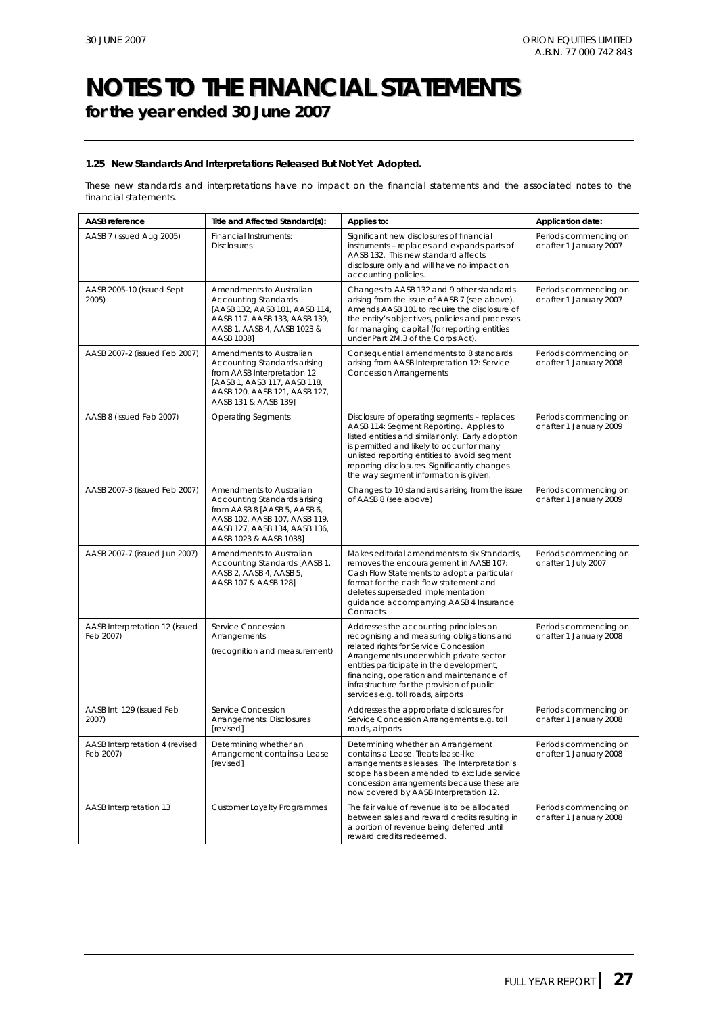### **NOTES TO THE FINANCIAL STATEMENTS for the year ended 30 June 2007**

#### **1.25 New Standards And Interpretations Released But Not Yet Adopted.**

These new standards and interpretations have no impact on the financial statements and the associated notes to the financial statements.

| AASB reference                              | Title and Affected Standard(s):                                                                                                                                                      | Applies to:                                                                                                                                                                                                                                                                                                                                        | Application date:                                |
|---------------------------------------------|--------------------------------------------------------------------------------------------------------------------------------------------------------------------------------------|----------------------------------------------------------------------------------------------------------------------------------------------------------------------------------------------------------------------------------------------------------------------------------------------------------------------------------------------------|--------------------------------------------------|
| AASB 7 (issued Aug 2005)                    | Financial Instruments:<br><b>Disclosures</b>                                                                                                                                         | Significant new disclosures of financial<br>instruments - replaces and expands parts of<br>AASB 132. This new standard affects<br>disclosure only and will have no impact on<br>accounting policies.                                                                                                                                               | Periods commencing on<br>or after 1 January 2007 |
| AASB 2005-10 (issued Sept<br>2005)          | Amendments to Australian<br><b>Accounting Standards</b><br>[AASB 132, AASB 101, AASB 114,<br>AASB 117, AASB 133, AASB 139,<br>AASB 1, AASB 4, AASB 1023 &<br>AASB 1038]              | Changes to AASB 132 and 9 other standards<br>arising from the issue of AASB 7 (see above).<br>Amends AASB 101 to require the disclosure of<br>the entity's objectives, policies and processes<br>for managing capital (for reporting entities<br>under Part 2M.3 of the Corps Act).                                                                | Periods commencing on<br>or after 1 January 2007 |
| AASB 2007-2 (issued Feb 2007)               | Amendments to Australian<br>Accounting Standards arising<br>from AASB Interpretation 12<br>[AASB 1, AASB 117, AASB 118,<br>AASB 120, AASB 121, AASB 127,<br>AASB 131 & AASB 139]     | Consequential amendments to 8 standards<br>arising from AASB Interpretation 12: Service<br><b>Concession Arrangements</b>                                                                                                                                                                                                                          | Periods commencing on<br>or after 1 January 2008 |
| AASB 8 (issued Feb 2007)                    | <b>Operating Segments</b>                                                                                                                                                            | Disclosure of operating segments - replaces<br>AASB 114: Segment Reporting. Applies to<br>listed entities and similar only. Early adoption<br>is permitted and likely to occur for many<br>unlisted reporting entities to avoid segment<br>reporting disclosures. Significantly changes<br>the way segment information is given.                   | Periods commencing on<br>or after 1 January 2009 |
| AASB 2007-3 (issued Feb 2007)               | Amendments to Australian<br>Accounting Standards arising<br>from AASB 8 [AASB 5, AASB 6,<br>AASB 102, AASB 107, AASB 119,<br>AASB 127, AASB 134, AASB 136,<br>AASB 1023 & AASB 1038] | Changes to 10 standards arising from the issue<br>of AASB 8 (see above)                                                                                                                                                                                                                                                                            | Periods commencing on<br>or after 1 January 2009 |
| AASB 2007-7 (issued Jun 2007)               | Amendments to Australian<br>Accounting Standards [AASB 1,<br>AASB 2, AASB 4, AASB 5,<br>AASB 107 & AASB 128]                                                                         | Makes editorial amendments to six Standards,<br>removes the encouragement in AASB 107:<br>Cash Flow Statements to adopt a particular<br>format for the cash flow statement and<br>deletes superseded implementation<br>guidance accompanying AASB 4 Insurance<br>Contracts.                                                                        | Periods commencing on<br>or after 1 July 2007    |
| AASB Interpretation 12 (issued<br>Feb 2007) | Service Concession<br>Arrangements<br>(recognition and measurement)                                                                                                                  | Addresses the accounting principles on<br>recognising and measuring obligations and<br>related rights for Service Concession<br>Arrangements under which private sector<br>entities participate in the development,<br>financing, operation and maintenance of<br>infrastructure for the provision of public<br>services e.g. toll roads, airports | Periods commencing on<br>or after 1 January 2008 |
| AASB Int 129 (issued Feb<br>2007)           | Service Concession<br>Arrangements: Disclosures<br>[revised]                                                                                                                         | Addresses the appropriate disclosures for<br>Service Concession Arrangements e.g. toll<br>roads, airports                                                                                                                                                                                                                                          | Periods commencing on<br>or after 1 January 2008 |
| AASB Interpretation 4 (revised<br>Feb 2007) | Determining whether an<br>Arrangement contains a Lease<br>[revised]                                                                                                                  | Determining whether an Arrangement<br>contains a Lease. Treats lease-like<br>arrangements as leases. The Interpretation's<br>scope has been amended to exclude service<br>concession arrangements because these are<br>now covered by AASB Interpretation 12.                                                                                      | Periods commencing on<br>or after 1 January 2008 |
| AASB Interpretation 13                      | <b>Customer Loyalty Programmes</b>                                                                                                                                                   | The fair value of revenue is to be allocated<br>between sales and reward credits resulting in<br>a portion of revenue being deferred until<br>reward credits redeemed.                                                                                                                                                                             | Periods commencing on<br>or after 1 January 2008 |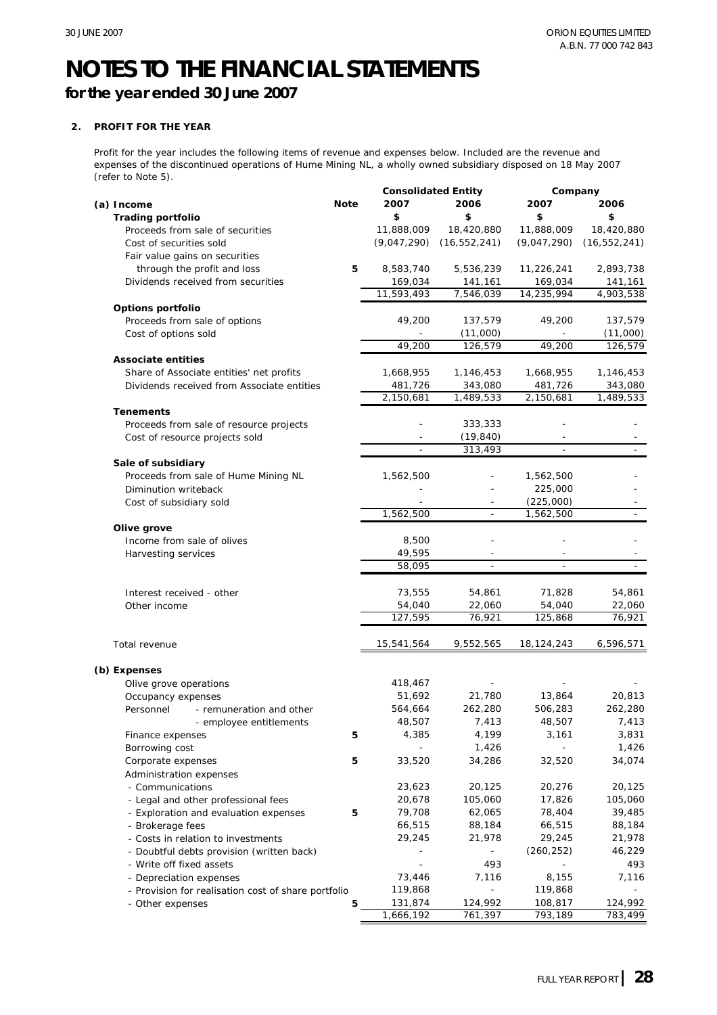**for the year ended 30 June 2007**

#### **2. PROFIT FOR THE YEAR**

Profit for the year includes the following items of revenue and expenses below. Included are the revenue and expenses of the discontinued operations of Hume Mining NL, a wholly owned subsidiary disposed on 18 May 2007 (refer to Note 5).

|                                                     |             | <b>Consolidated Entity</b> |                          | Company        |                |
|-----------------------------------------------------|-------------|----------------------------|--------------------------|----------------|----------------|
| (a) Income                                          | <b>Note</b> | 2007                       | 2006                     | 2007           | 2006           |
| <b>Trading portfolio</b>                            |             | \$                         | \$                       | \$             | \$             |
| Proceeds from sale of securities                    |             | 11,888,009                 | 18,420,880               | 11,888,009     | 18,420,880     |
| Cost of securities sold                             |             | (9,047,290)                | (16, 552, 241)           | (9,047,290)    | (16, 552, 241) |
|                                                     |             |                            |                          |                |                |
| Fair value gains on securities                      |             |                            |                          |                |                |
| through the profit and loss                         | 5           | 8,583,740                  | 5,536,239                | 11,226,241     | 2,893,738      |
| Dividends received from securities                  |             | 169,034                    | 141,161                  | 169,034        | 141,161        |
|                                                     |             | 11,593,493                 | 7,546,039                | 14,235,994     | 4,903,538      |
| Options portfolio                                   |             |                            |                          |                |                |
| Proceeds from sale of options                       |             | 49,200                     | 137,579                  | 49,200         | 137,579        |
| Cost of options sold                                |             |                            | (11,000)                 |                | (11,000)       |
|                                                     |             | 49,200                     | 126,579                  | 49,200         | 126,579        |
| <b>Associate entities</b>                           |             |                            |                          |                |                |
| Share of Associate entities' net profits            |             | 1,668,955                  | 1,146,453                | 1,668,955      | 1,146,453      |
|                                                     |             |                            |                          |                |                |
| Dividends received from Associate entities          |             | 481,726                    | 343,080                  | 481,726        | 343,080        |
|                                                     |             | 2,150,681                  | 1,489,533                | 2,150,681      | 1,489,533      |
| <b>Tenements</b>                                    |             |                            |                          |                |                |
| Proceeds from sale of resource projects             |             |                            | 333,333                  |                |                |
| Cost of resource projects sold                      |             |                            | (19, 840)                |                |                |
|                                                     |             | ÷,                         | 313,493                  | $\bar{a}$      |                |
| Sale of subsidiary                                  |             |                            |                          |                |                |
| Proceeds from sale of Hume Mining NL                |             | 1,562,500                  |                          | 1,562,500      |                |
| Diminution writeback                                |             |                            |                          | 225,000        |                |
| Cost of subsidiary sold                             |             |                            |                          | (225,000)      |                |
|                                                     |             | 1,562,500                  | $\equiv$                 | 1,562,500      |                |
|                                                     |             |                            |                          |                |                |
| Olive grove                                         |             |                            |                          |                |                |
| Income from sale of olives                          |             | 8,500                      |                          |                |                |
| Harvesting services                                 |             | 49,595                     |                          |                |                |
|                                                     |             | 58,095                     | $\overline{a}$           | $\overline{a}$ |                |
|                                                     |             |                            |                          |                |                |
| Interest received - other                           |             | 73,555                     | 54,861                   | 71,828         | 54,861         |
| Other income                                        |             | 54,040                     | 22,060                   | 54,040         | 22,060         |
|                                                     |             | 127,595                    | 76,921                   | 125,868        | 76,921         |
|                                                     |             |                            |                          |                |                |
| Total revenue                                       |             | 15,541,564                 | 9,552,565                | 18,124,243     | 6,596,571      |
|                                                     |             |                            |                          |                |                |
|                                                     |             |                            |                          |                |                |
| (b) Expenses                                        |             |                            |                          |                |                |
| Olive grove operations                              |             | 418,467                    |                          |                |                |
| Occupancy expenses                                  |             | 51,692                     | 21,780                   | 13,864         | 20,813         |
| Personnel<br>- remuneration and other               |             | 564,664                    | 262,280                  | 506,283        | 262,280        |
| - employee entitlements                             |             | 48,507                     | 7,413                    | 48,507         | 7,413          |
| Finance expenses                                    | 5           | 4,385                      | 4,199                    | 3,161          | 3,831          |
| Borrowing cost                                      |             |                            | 1,426                    |                | 1,426          |
| Corporate expenses                                  | 5           | 33,520                     | 34,286                   | 32,520         | 34,074         |
| Administration expenses                             |             |                            |                          |                |                |
| - Communications                                    |             | 23,623                     | 20,125                   | 20,276         | 20,125         |
| - Legal and other professional fees                 |             | 20,678                     | 105,060                  | 17,826         | 105,060        |
|                                                     |             | 79,708                     |                          |                |                |
| - Exploration and evaluation expenses               | 5           |                            | 62,065                   | 78,404         | 39,485         |
| - Brokerage fees                                    |             | 66,515                     | 88,184                   | 66,515         | 88,184         |
| - Costs in relation to investments                  |             | 29,245                     | 21,978                   | 29,245         | 21,978         |
| - Doubtful debts provision (written back)           |             |                            | $\overline{\phantom{a}}$ | (260, 252)     | 46,229         |
| - Write off fixed assets                            |             |                            | 493                      |                | 493            |
| - Depreciation expenses                             |             | 73,446                     | 7,116                    | 8,155          | 7,116          |
| - Provision for realisation cost of share portfolio |             | 119,868                    |                          | 119,868        |                |
| - Other expenses                                    | 5           | 131,874                    | 124,992                  | 108,817        | 124,992        |
|                                                     |             | 1,666,192                  | 761,397                  | 793,189        | 783,499        |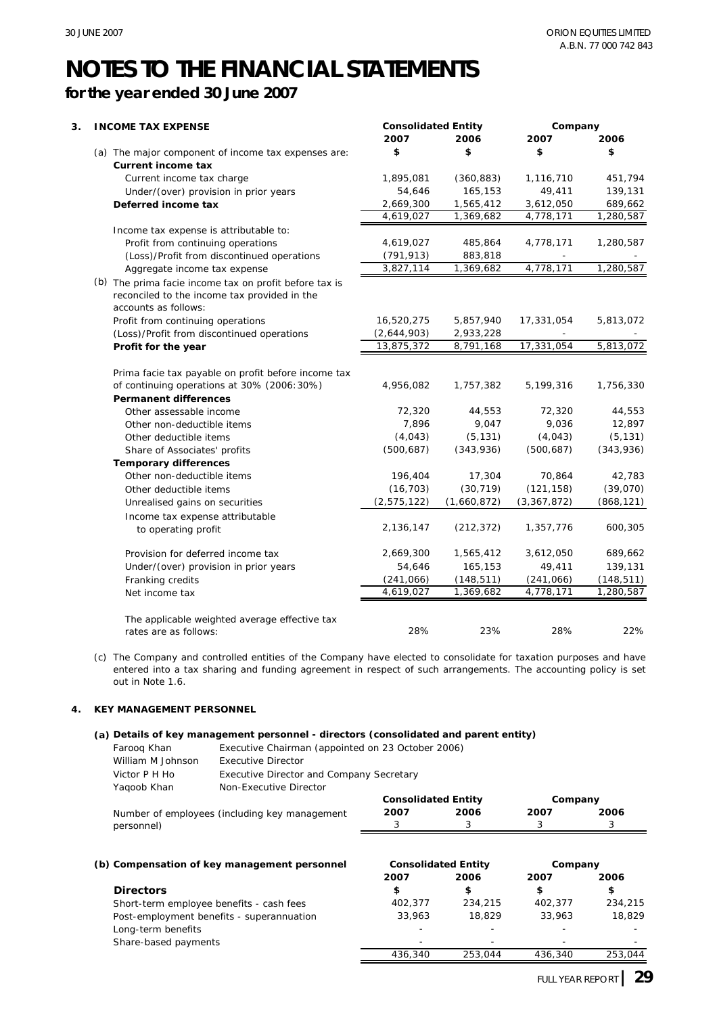### **for the year ended 30 June 2007**

| 3. | <b>INCOME TAX EXPENSE</b>                                  | <b>Consolidated Entity</b> |             | Company     |            |
|----|------------------------------------------------------------|----------------------------|-------------|-------------|------------|
|    |                                                            | 2007                       | 2006        | 2007        | 2006       |
|    | (a) The major component of income tax expenses are:        | \$                         | \$          | \$          | \$         |
|    | <b>Current income tax</b>                                  |                            |             |             |            |
|    | Current income tax charge                                  | 1,895,081                  | (360, 883)  | 1,116,710   | 451,794    |
|    | Under/(over) provision in prior years                      | 54,646                     | 165,153     | 49,411      | 139,131    |
|    | Deferred income tax                                        | 2,669,300                  | 1,565,412   | 3,612,050   | 689,662    |
|    |                                                            | 4,619,027                  | 1,369,682   | 4,778,171   | 1,280,587  |
|    | Income tax expense is attributable to:                     |                            |             |             |            |
|    | Profit from continuing operations                          | 4,619,027                  | 485,864     | 4,778,171   | 1,280,587  |
|    | (Loss)/Profit from discontinued operations                 | (791, 913)                 | 883,818     |             |            |
|    | Aggregate income tax expense                               | 3,827,114                  | 1,369,682   | 4,778,171   | 1,280,587  |
|    | (b) The prima facie income tax on profit before tax is     |                            |             |             |            |
|    | reconciled to the income tax provided in the               |                            |             |             |            |
|    | accounts as follows:                                       |                            |             |             |            |
|    | Profit from continuing operations                          | 16,520,275                 | 5,857,940   | 17,331,054  | 5,813,072  |
|    | (Loss)/Profit from discontinued operations                 | (2,644,903)                | 2,933,228   |             |            |
|    | Profit for the year                                        | 13,875,372                 | 8,791,168   | 17,331,054  | 5,813,072  |
|    | Prima facie tax payable on profit before income tax        |                            |             |             |            |
|    | of continuing operations at 30% (2006:30%)                 | 4,956,082                  | 1,757,382   | 5,199,316   | 1,756,330  |
|    | <b>Permanent differences</b>                               |                            |             |             |            |
|    | Other assessable income                                    | 72,320                     | 44,553      | 72,320      | 44,553     |
|    | Other non-deductible items                                 | 7,896                      | 9,047       | 9,036       | 12,897     |
|    | Other deductible items                                     | (4,043)                    | (5, 131)    | (4,043)     | (5, 131)   |
|    |                                                            | (500, 687)                 | (343,936)   | (500, 687)  | (343,936)  |
|    | Share of Associates' profits                               |                            |             |             |            |
|    | <b>Temporary differences</b><br>Other non-deductible items | 196,404                    | 17,304      | 70,864      | 42,783     |
|    | Other deductible items                                     | (16, 703)                  | (30, 719)   | (121, 158)  | (39,070)   |
|    |                                                            |                            |             |             |            |
|    | Unrealised gains on securities                             | (2, 575, 122)              | (1,660,872) | (3,367,872) | (868, 121) |
|    | Income tax expense attributable                            |                            |             |             |            |
|    | to operating profit                                        | 2,136,147                  | (212, 372)  | 1,357,776   | 600,305    |
|    | Provision for deferred income tax                          | 2,669,300                  | 1,565,412   | 3,612,050   | 689,662    |
|    | Under/(over) provision in prior years                      | 54,646                     | 165,153     | 49,411      | 139,131    |
|    | Franking credits                                           | (241, 066)                 | (148, 511)  | (241, 066)  | (148, 511) |
|    | Net income tax                                             | 4,619,027                  | 1,369,682   | 4,778,171   | 1,280,587  |
|    | The applicable weighted average effective tax              |                            |             |             |            |
|    | rates are as follows:                                      | 28%                        | 23%         | 28%         | 22%        |
|    |                                                            |                            |             |             |            |

(c) The Company and controlled entities of the Company have elected to consolidate for taxation purposes and have entered into a tax sharing and funding agreement in respect of such arrangements. The accounting policy is set out in Note 1.6.

#### **4. KEY MANAGEMENT PERSONNEL**

#### **(a) Details of key management personnel - directors (consolidated and parent entity)**

| Faroog Khan       | Executive Chairman (appointed on 23 October 2006) |
|-------------------|---------------------------------------------------|
| William M Johnson | <b>Executive Director</b>                         |
| Victor P H Ho     | Executive Director and Company Secretary          |
| Yagoob Khan       | Non-Executive Director                            |

|                                               | <b>Consolidated Entity</b> |      | Company |      |
|-----------------------------------------------|----------------------------|------|---------|------|
| Number of employees (including key management | 2007                       | 2006 | 2007    | 2006 |
| personnel)                                    |                            |      |         |      |
|                                               |                            |      |         |      |
|                                               |                            |      |         |      |

| (b) Compensation of key management personnel | <b>Consolidated Entity</b> |         | Company                  |         |
|----------------------------------------------|----------------------------|---------|--------------------------|---------|
|                                              | 2007                       | 2006    | 2007                     | 2006    |
| <b>Directors</b>                             | \$                         | \$      | \$                       | \$      |
| Short-term employee benefits - cash fees     | 402.377                    | 234,215 | 402.377                  | 234,215 |
| Post-employment benefits - superannuation    | 33,963                     | 18,829  | 33,963                   | 18,829  |
| Long-term benefits                           | $\overline{\phantom{0}}$   |         | $\overline{\phantom{0}}$ |         |
| Share-based payments                         |                            |         | -                        |         |
|                                              | 436,340                    | 253.044 | 436,340                  | 253,044 |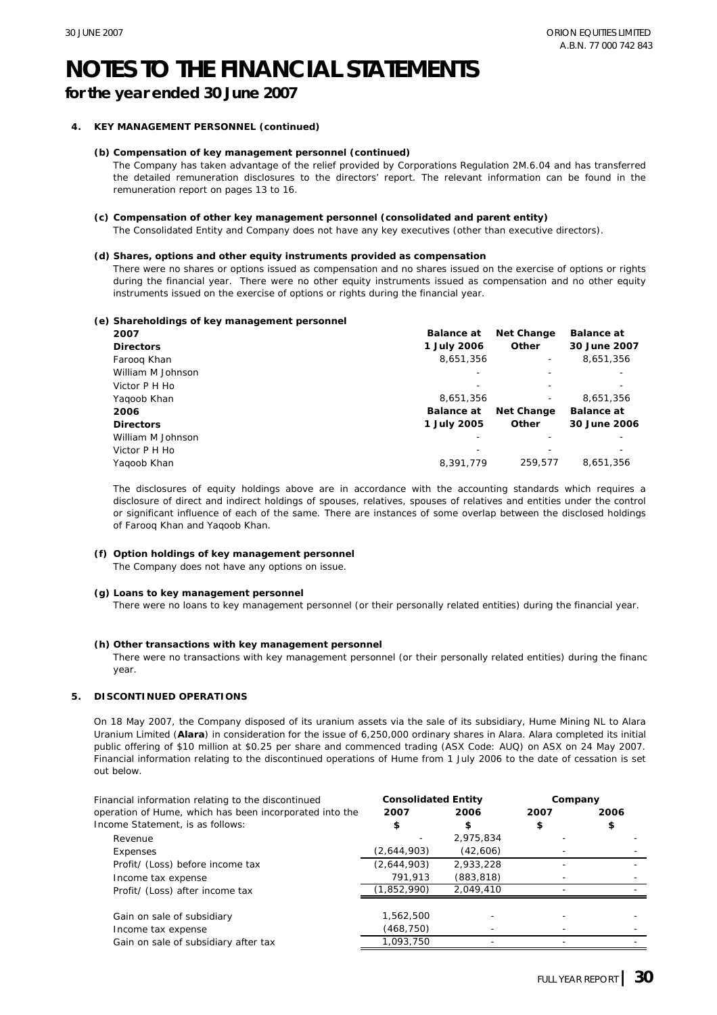**for the year ended 30 June 2007**

#### **4. KEY MANAGEMENT PERSONNEL (continued)**

#### **(b) Compensation of key management personnel (continued)**

The Company has taken advantage of the relief provided by Corporations Regulation 2M.6.04 and has transferred the detailed remuneration disclosures to the directors' report. The relevant information can be found in the remuneration report on pages 13 to 16.

#### **(c) Compensation of other key management personnel (consolidated and parent entity)**

The Consolidated Entity and Company does not have any key executives (other than executive directors).

#### **(d) Shares, options and other equity instruments provided as compensation**

There were no shares or options issued as compensation and no shares issued on the exercise of options or rights during the financial year. There were no other equity instruments issued as compensation and no other equity instruments issued on the exercise of options or rights during the financial year.

#### **(e) Shareholdings of key management personnel**

| 2007              | <b>Balance at</b> | Net Change | <b>Balance at</b> |
|-------------------|-------------------|------------|-------------------|
| <b>Directors</b>  | 1 July 2006       | Other      | 30 June 2007      |
| Faroog Khan       | 8,651,356         |            | 8,651,356         |
| William M Johnson |                   |            |                   |
| Victor P H Ho     |                   |            |                   |
| Yagoob Khan       | 8,651,356         |            | 8,651,356         |
| 2006              | <b>Balance at</b> | Net Change | <b>Balance at</b> |
| <b>Directors</b>  | 1 July 2005       | Other      | 30 June 2006      |
| William M Johnson |                   |            |                   |
| Victor P H Ho     |                   |            |                   |
| Yagoob Khan       | 8.391.779         | 259.577    | 8.651.356         |

The disclosures of equity holdings above are in accordance with the accounting standards which requires a disclosure of direct and indirect holdings of spouses, relatives, spouses of relatives and entities under the control or significant influence of each of the same. There are instances of some overlap between the disclosed holdings of Farooq Khan and Yaqoob Khan.

#### **(f) Option holdings of key management personnel**

The Company does not have any options on issue.

#### **(g) Loans to key management personnel**

There were no loans to key management personnel (or their personally related entities) during the financial year.

#### **(h) Other transactions with key management personnel**

There were no transactions with key management personnel (or their personally related entities) during the financ year.

#### **5. DISCONTINUED OPERATIONS**

On 18 May 2007, the Company disposed of its uranium assets via the sale of its subsidiary, Hume Mining NL to Alara Uranium Limited (**Alara**) in consideration for the issue of 6,250,000 ordinary shares in Alara. Alara completed its initial public offering of \$10 million at \$0.25 per share and commenced trading (ASX Code: AUQ) on ASX on 24 May 2007. Financial information relating to the discontinued operations of Hume from 1 July 2006 to the date of cessation is set out below.

| Financial information relating to the discontinued      | <b>Consolidated Entity</b> |            | Company |      |
|---------------------------------------------------------|----------------------------|------------|---------|------|
| operation of Hume, which has been incorporated into the | 2007                       | 2006       | 2007    | 2006 |
| Income Statement, is as follows:                        | \$                         | \$         | \$      | \$   |
| Revenue                                                 |                            | 2,975,834  |         |      |
| Expenses                                                | (2,644,903)                | (42,606)   |         |      |
| Profit/ (Loss) before income tax                        | (2,644,903)                | 2,933,228  |         |      |
| Income tax expense                                      | 791,913                    | (883, 818) |         |      |
| Profit/ (Loss) after income tax                         | (1,852,990)                | 2.049.410  |         |      |
| Gain on sale of subsidiary                              | 1,562,500                  |            |         |      |
| Income tax expense                                      | (468,750)                  |            |         |      |
| Gain on sale of subsidiary after tax                    | 1.093.750                  |            |         |      |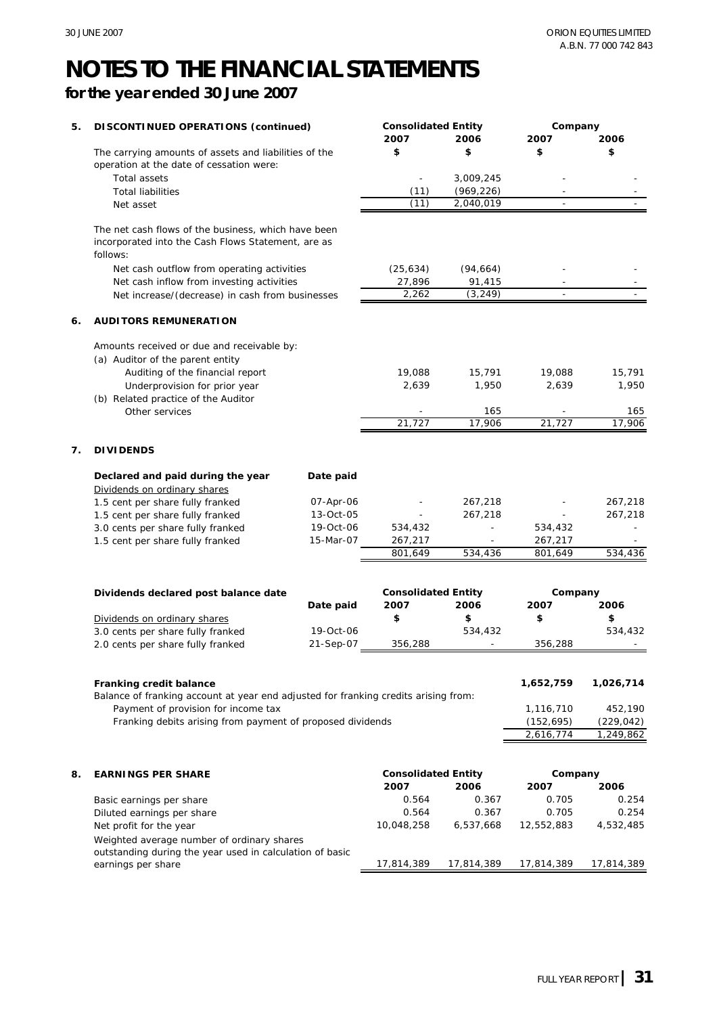### **for the year ended 30 June 2007**

| \$<br>\$<br>\$<br>The carrying amounts of assets and liabilities of the<br>\$<br>operation at the date of cessation were:<br>3,009,245<br><b>Total assets</b><br>(969, 226)<br><b>Total liabilities</b><br>(11)<br>(11)<br>2,040,019<br>Net asset<br>The net cash flows of the business, which have been<br>incorporated into the Cash Flows Statement, are as<br>follows:<br>(25, 634)<br>(94, 664)<br>Net cash outflow from operating activities<br>27,896<br>91,415<br>Net cash inflow from investing activities<br>2,262<br>(3, 249)<br>Net increase/(decrease) in cash from businesses<br><b>AUDITORS REMUNERATION</b><br>Amounts received or due and receivable by:<br>(a) Auditor of the parent entity<br>15,791<br>Auditing of the financial report<br>19,088<br>15,791<br>19,088<br>1,950<br>1,950<br>Underprovision for prior year<br>2,639<br>2,639<br>(b) Related practice of the Auditor<br>Other services<br>165<br>165<br>21,727<br>21,727<br>17,906<br>17,906<br><b>DIVIDENDS</b><br>Date paid<br>Declared and paid during the year<br>Dividends on ordinary shares<br>1.5 cent per share fully franked<br>07-Apr-06<br>267,218<br>267,218<br>267,218<br>1.5 cent per share fully franked<br>13-Oct-05<br>267,218<br>3.0 cents per share fully franked<br>19-Oct-06<br>534,432<br>534,432<br>1.5 cent per share fully franked<br>15-Mar-07<br>267,217<br>267,217<br>534,436<br>801,649<br>534,436<br>801,649<br><b>Consolidated Entity</b><br>Dividends declared post balance date<br>Company<br>2007<br>2006<br>2007<br>2006<br>Date paid<br>\$<br>\$<br>\$<br>\$<br>Dividends on ordinary shares<br>3.0 cents per share fully franked<br>19-Oct-06<br>534,432<br>534,432<br>21-Sep-07<br>356,288<br>356,288<br>2.0 cents per share fully franked<br>1,026,714<br>Franking credit balance<br>1,652,759<br>Balance of franking account at year end adjusted for franking credits arising from:<br>Payment of provision for income tax<br>1,116,710<br>452,190<br>Franking debits arising from payment of proposed dividends<br>(152, 695)<br>(229, 042)<br>2,616,774<br>1,249,862<br><b>Consolidated Entity</b><br>Company<br><b>EARNINGS PER SHARE</b><br>2007<br>2006<br>2007<br>2006<br>0.564<br>0.367<br>0.705<br>0.254<br>Basic earnings per share<br>0.254<br>0.564<br>0.367<br>0.705<br>Diluted earnings per share<br>10,048,258<br>6,537,668<br>12,552,883<br>4,532,485<br>Net profit for the year<br>Weighted average number of ordinary shares<br>outstanding during the year used in calculation of basic<br>17,814,389<br>17,814,389<br>17,814,389<br>17,814,389<br>earnings per share | 5. | DISCONTINUED OPERATIONS (continued) | <b>Consolidated Entity</b><br>2007 | 2006 | Company<br>2007 | 2006 |
|--------------------------------------------------------------------------------------------------------------------------------------------------------------------------------------------------------------------------------------------------------------------------------------------------------------------------------------------------------------------------------------------------------------------------------------------------------------------------------------------------------------------------------------------------------------------------------------------------------------------------------------------------------------------------------------------------------------------------------------------------------------------------------------------------------------------------------------------------------------------------------------------------------------------------------------------------------------------------------------------------------------------------------------------------------------------------------------------------------------------------------------------------------------------------------------------------------------------------------------------------------------------------------------------------------------------------------------------------------------------------------------------------------------------------------------------------------------------------------------------------------------------------------------------------------------------------------------------------------------------------------------------------------------------------------------------------------------------------------------------------------------------------------------------------------------------------------------------------------------------------------------------------------------------------------------------------------------------------------------------------------------------------------------------------------------------------------------------------------------------------------------------------------------------------------------------------------------------------------------------------------------------------------------------------------------------------------------------------------------------------------------------------------------------------------------------------------------------------------------------------------------------------------------------------------------------------------------------------------------------|----|-------------------------------------|------------------------------------|------|-----------------|------|
|                                                                                                                                                                                                                                                                                                                                                                                                                                                                                                                                                                                                                                                                                                                                                                                                                                                                                                                                                                                                                                                                                                                                                                                                                                                                                                                                                                                                                                                                                                                                                                                                                                                                                                                                                                                                                                                                                                                                                                                                                                                                                                                                                                                                                                                                                                                                                                                                                                                                                                                                                                                                                    |    |                                     |                                    |      |                 |      |
|                                                                                                                                                                                                                                                                                                                                                                                                                                                                                                                                                                                                                                                                                                                                                                                                                                                                                                                                                                                                                                                                                                                                                                                                                                                                                                                                                                                                                                                                                                                                                                                                                                                                                                                                                                                                                                                                                                                                                                                                                                                                                                                                                                                                                                                                                                                                                                                                                                                                                                                                                                                                                    |    |                                     |                                    |      |                 |      |
|                                                                                                                                                                                                                                                                                                                                                                                                                                                                                                                                                                                                                                                                                                                                                                                                                                                                                                                                                                                                                                                                                                                                                                                                                                                                                                                                                                                                                                                                                                                                                                                                                                                                                                                                                                                                                                                                                                                                                                                                                                                                                                                                                                                                                                                                                                                                                                                                                                                                                                                                                                                                                    |    |                                     |                                    |      |                 |      |
|                                                                                                                                                                                                                                                                                                                                                                                                                                                                                                                                                                                                                                                                                                                                                                                                                                                                                                                                                                                                                                                                                                                                                                                                                                                                                                                                                                                                                                                                                                                                                                                                                                                                                                                                                                                                                                                                                                                                                                                                                                                                                                                                                                                                                                                                                                                                                                                                                                                                                                                                                                                                                    |    |                                     |                                    |      |                 |      |
|                                                                                                                                                                                                                                                                                                                                                                                                                                                                                                                                                                                                                                                                                                                                                                                                                                                                                                                                                                                                                                                                                                                                                                                                                                                                                                                                                                                                                                                                                                                                                                                                                                                                                                                                                                                                                                                                                                                                                                                                                                                                                                                                                                                                                                                                                                                                                                                                                                                                                                                                                                                                                    |    |                                     |                                    |      |                 |      |
|                                                                                                                                                                                                                                                                                                                                                                                                                                                                                                                                                                                                                                                                                                                                                                                                                                                                                                                                                                                                                                                                                                                                                                                                                                                                                                                                                                                                                                                                                                                                                                                                                                                                                                                                                                                                                                                                                                                                                                                                                                                                                                                                                                                                                                                                                                                                                                                                                                                                                                                                                                                                                    |    |                                     |                                    |      |                 |      |
|                                                                                                                                                                                                                                                                                                                                                                                                                                                                                                                                                                                                                                                                                                                                                                                                                                                                                                                                                                                                                                                                                                                                                                                                                                                                                                                                                                                                                                                                                                                                                                                                                                                                                                                                                                                                                                                                                                                                                                                                                                                                                                                                                                                                                                                                                                                                                                                                                                                                                                                                                                                                                    |    |                                     |                                    |      |                 |      |
|                                                                                                                                                                                                                                                                                                                                                                                                                                                                                                                                                                                                                                                                                                                                                                                                                                                                                                                                                                                                                                                                                                                                                                                                                                                                                                                                                                                                                                                                                                                                                                                                                                                                                                                                                                                                                                                                                                                                                                                                                                                                                                                                                                                                                                                                                                                                                                                                                                                                                                                                                                                                                    |    |                                     |                                    |      |                 |      |
|                                                                                                                                                                                                                                                                                                                                                                                                                                                                                                                                                                                                                                                                                                                                                                                                                                                                                                                                                                                                                                                                                                                                                                                                                                                                                                                                                                                                                                                                                                                                                                                                                                                                                                                                                                                                                                                                                                                                                                                                                                                                                                                                                                                                                                                                                                                                                                                                                                                                                                                                                                                                                    |    |                                     |                                    |      |                 |      |
|                                                                                                                                                                                                                                                                                                                                                                                                                                                                                                                                                                                                                                                                                                                                                                                                                                                                                                                                                                                                                                                                                                                                                                                                                                                                                                                                                                                                                                                                                                                                                                                                                                                                                                                                                                                                                                                                                                                                                                                                                                                                                                                                                                                                                                                                                                                                                                                                                                                                                                                                                                                                                    | 6. |                                     |                                    |      |                 |      |
|                                                                                                                                                                                                                                                                                                                                                                                                                                                                                                                                                                                                                                                                                                                                                                                                                                                                                                                                                                                                                                                                                                                                                                                                                                                                                                                                                                                                                                                                                                                                                                                                                                                                                                                                                                                                                                                                                                                                                                                                                                                                                                                                                                                                                                                                                                                                                                                                                                                                                                                                                                                                                    |    |                                     |                                    |      |                 |      |
|                                                                                                                                                                                                                                                                                                                                                                                                                                                                                                                                                                                                                                                                                                                                                                                                                                                                                                                                                                                                                                                                                                                                                                                                                                                                                                                                                                                                                                                                                                                                                                                                                                                                                                                                                                                                                                                                                                                                                                                                                                                                                                                                                                                                                                                                                                                                                                                                                                                                                                                                                                                                                    |    |                                     |                                    |      |                 |      |
|                                                                                                                                                                                                                                                                                                                                                                                                                                                                                                                                                                                                                                                                                                                                                                                                                                                                                                                                                                                                                                                                                                                                                                                                                                                                                                                                                                                                                                                                                                                                                                                                                                                                                                                                                                                                                                                                                                                                                                                                                                                                                                                                                                                                                                                                                                                                                                                                                                                                                                                                                                                                                    |    |                                     |                                    |      |                 |      |
|                                                                                                                                                                                                                                                                                                                                                                                                                                                                                                                                                                                                                                                                                                                                                                                                                                                                                                                                                                                                                                                                                                                                                                                                                                                                                                                                                                                                                                                                                                                                                                                                                                                                                                                                                                                                                                                                                                                                                                                                                                                                                                                                                                                                                                                                                                                                                                                                                                                                                                                                                                                                                    |    |                                     |                                    |      |                 |      |
|                                                                                                                                                                                                                                                                                                                                                                                                                                                                                                                                                                                                                                                                                                                                                                                                                                                                                                                                                                                                                                                                                                                                                                                                                                                                                                                                                                                                                                                                                                                                                                                                                                                                                                                                                                                                                                                                                                                                                                                                                                                                                                                                                                                                                                                                                                                                                                                                                                                                                                                                                                                                                    |    |                                     |                                    |      |                 |      |
|                                                                                                                                                                                                                                                                                                                                                                                                                                                                                                                                                                                                                                                                                                                                                                                                                                                                                                                                                                                                                                                                                                                                                                                                                                                                                                                                                                                                                                                                                                                                                                                                                                                                                                                                                                                                                                                                                                                                                                                                                                                                                                                                                                                                                                                                                                                                                                                                                                                                                                                                                                                                                    |    |                                     |                                    |      |                 |      |
|                                                                                                                                                                                                                                                                                                                                                                                                                                                                                                                                                                                                                                                                                                                                                                                                                                                                                                                                                                                                                                                                                                                                                                                                                                                                                                                                                                                                                                                                                                                                                                                                                                                                                                                                                                                                                                                                                                                                                                                                                                                                                                                                                                                                                                                                                                                                                                                                                                                                                                                                                                                                                    |    |                                     |                                    |      |                 |      |
|                                                                                                                                                                                                                                                                                                                                                                                                                                                                                                                                                                                                                                                                                                                                                                                                                                                                                                                                                                                                                                                                                                                                                                                                                                                                                                                                                                                                                                                                                                                                                                                                                                                                                                                                                                                                                                                                                                                                                                                                                                                                                                                                                                                                                                                                                                                                                                                                                                                                                                                                                                                                                    |    |                                     |                                    |      |                 |      |
|                                                                                                                                                                                                                                                                                                                                                                                                                                                                                                                                                                                                                                                                                                                                                                                                                                                                                                                                                                                                                                                                                                                                                                                                                                                                                                                                                                                                                                                                                                                                                                                                                                                                                                                                                                                                                                                                                                                                                                                                                                                                                                                                                                                                                                                                                                                                                                                                                                                                                                                                                                                                                    | 7. |                                     |                                    |      |                 |      |
|                                                                                                                                                                                                                                                                                                                                                                                                                                                                                                                                                                                                                                                                                                                                                                                                                                                                                                                                                                                                                                                                                                                                                                                                                                                                                                                                                                                                                                                                                                                                                                                                                                                                                                                                                                                                                                                                                                                                                                                                                                                                                                                                                                                                                                                                                                                                                                                                                                                                                                                                                                                                                    |    |                                     |                                    |      |                 |      |
|                                                                                                                                                                                                                                                                                                                                                                                                                                                                                                                                                                                                                                                                                                                                                                                                                                                                                                                                                                                                                                                                                                                                                                                                                                                                                                                                                                                                                                                                                                                                                                                                                                                                                                                                                                                                                                                                                                                                                                                                                                                                                                                                                                                                                                                                                                                                                                                                                                                                                                                                                                                                                    |    |                                     |                                    |      |                 |      |
|                                                                                                                                                                                                                                                                                                                                                                                                                                                                                                                                                                                                                                                                                                                                                                                                                                                                                                                                                                                                                                                                                                                                                                                                                                                                                                                                                                                                                                                                                                                                                                                                                                                                                                                                                                                                                                                                                                                                                                                                                                                                                                                                                                                                                                                                                                                                                                                                                                                                                                                                                                                                                    |    |                                     |                                    |      |                 |      |
|                                                                                                                                                                                                                                                                                                                                                                                                                                                                                                                                                                                                                                                                                                                                                                                                                                                                                                                                                                                                                                                                                                                                                                                                                                                                                                                                                                                                                                                                                                                                                                                                                                                                                                                                                                                                                                                                                                                                                                                                                                                                                                                                                                                                                                                                                                                                                                                                                                                                                                                                                                                                                    |    |                                     |                                    |      |                 |      |
|                                                                                                                                                                                                                                                                                                                                                                                                                                                                                                                                                                                                                                                                                                                                                                                                                                                                                                                                                                                                                                                                                                                                                                                                                                                                                                                                                                                                                                                                                                                                                                                                                                                                                                                                                                                                                                                                                                                                                                                                                                                                                                                                                                                                                                                                                                                                                                                                                                                                                                                                                                                                                    |    |                                     |                                    |      |                 |      |
|                                                                                                                                                                                                                                                                                                                                                                                                                                                                                                                                                                                                                                                                                                                                                                                                                                                                                                                                                                                                                                                                                                                                                                                                                                                                                                                                                                                                                                                                                                                                                                                                                                                                                                                                                                                                                                                                                                                                                                                                                                                                                                                                                                                                                                                                                                                                                                                                                                                                                                                                                                                                                    |    |                                     |                                    |      |                 |      |
|                                                                                                                                                                                                                                                                                                                                                                                                                                                                                                                                                                                                                                                                                                                                                                                                                                                                                                                                                                                                                                                                                                                                                                                                                                                                                                                                                                                                                                                                                                                                                                                                                                                                                                                                                                                                                                                                                                                                                                                                                                                                                                                                                                                                                                                                                                                                                                                                                                                                                                                                                                                                                    |    |                                     |                                    |      |                 |      |
|                                                                                                                                                                                                                                                                                                                                                                                                                                                                                                                                                                                                                                                                                                                                                                                                                                                                                                                                                                                                                                                                                                                                                                                                                                                                                                                                                                                                                                                                                                                                                                                                                                                                                                                                                                                                                                                                                                                                                                                                                                                                                                                                                                                                                                                                                                                                                                                                                                                                                                                                                                                                                    |    |                                     |                                    |      |                 |      |
|                                                                                                                                                                                                                                                                                                                                                                                                                                                                                                                                                                                                                                                                                                                                                                                                                                                                                                                                                                                                                                                                                                                                                                                                                                                                                                                                                                                                                                                                                                                                                                                                                                                                                                                                                                                                                                                                                                                                                                                                                                                                                                                                                                                                                                                                                                                                                                                                                                                                                                                                                                                                                    |    |                                     |                                    |      |                 |      |
|                                                                                                                                                                                                                                                                                                                                                                                                                                                                                                                                                                                                                                                                                                                                                                                                                                                                                                                                                                                                                                                                                                                                                                                                                                                                                                                                                                                                                                                                                                                                                                                                                                                                                                                                                                                                                                                                                                                                                                                                                                                                                                                                                                                                                                                                                                                                                                                                                                                                                                                                                                                                                    |    |                                     |                                    |      |                 |      |
|                                                                                                                                                                                                                                                                                                                                                                                                                                                                                                                                                                                                                                                                                                                                                                                                                                                                                                                                                                                                                                                                                                                                                                                                                                                                                                                                                                                                                                                                                                                                                                                                                                                                                                                                                                                                                                                                                                                                                                                                                                                                                                                                                                                                                                                                                                                                                                                                                                                                                                                                                                                                                    |    |                                     |                                    |      |                 |      |
|                                                                                                                                                                                                                                                                                                                                                                                                                                                                                                                                                                                                                                                                                                                                                                                                                                                                                                                                                                                                                                                                                                                                                                                                                                                                                                                                                                                                                                                                                                                                                                                                                                                                                                                                                                                                                                                                                                                                                                                                                                                                                                                                                                                                                                                                                                                                                                                                                                                                                                                                                                                                                    |    |                                     |                                    |      |                 |      |
|                                                                                                                                                                                                                                                                                                                                                                                                                                                                                                                                                                                                                                                                                                                                                                                                                                                                                                                                                                                                                                                                                                                                                                                                                                                                                                                                                                                                                                                                                                                                                                                                                                                                                                                                                                                                                                                                                                                                                                                                                                                                                                                                                                                                                                                                                                                                                                                                                                                                                                                                                                                                                    |    |                                     |                                    |      |                 |      |
|                                                                                                                                                                                                                                                                                                                                                                                                                                                                                                                                                                                                                                                                                                                                                                                                                                                                                                                                                                                                                                                                                                                                                                                                                                                                                                                                                                                                                                                                                                                                                                                                                                                                                                                                                                                                                                                                                                                                                                                                                                                                                                                                                                                                                                                                                                                                                                                                                                                                                                                                                                                                                    |    |                                     |                                    |      |                 |      |
|                                                                                                                                                                                                                                                                                                                                                                                                                                                                                                                                                                                                                                                                                                                                                                                                                                                                                                                                                                                                                                                                                                                                                                                                                                                                                                                                                                                                                                                                                                                                                                                                                                                                                                                                                                                                                                                                                                                                                                                                                                                                                                                                                                                                                                                                                                                                                                                                                                                                                                                                                                                                                    |    |                                     |                                    |      |                 |      |
|                                                                                                                                                                                                                                                                                                                                                                                                                                                                                                                                                                                                                                                                                                                                                                                                                                                                                                                                                                                                                                                                                                                                                                                                                                                                                                                                                                                                                                                                                                                                                                                                                                                                                                                                                                                                                                                                                                                                                                                                                                                                                                                                                                                                                                                                                                                                                                                                                                                                                                                                                                                                                    |    |                                     |                                    |      |                 |      |
|                                                                                                                                                                                                                                                                                                                                                                                                                                                                                                                                                                                                                                                                                                                                                                                                                                                                                                                                                                                                                                                                                                                                                                                                                                                                                                                                                                                                                                                                                                                                                                                                                                                                                                                                                                                                                                                                                                                                                                                                                                                                                                                                                                                                                                                                                                                                                                                                                                                                                                                                                                                                                    |    |                                     |                                    |      |                 |      |
|                                                                                                                                                                                                                                                                                                                                                                                                                                                                                                                                                                                                                                                                                                                                                                                                                                                                                                                                                                                                                                                                                                                                                                                                                                                                                                                                                                                                                                                                                                                                                                                                                                                                                                                                                                                                                                                                                                                                                                                                                                                                                                                                                                                                                                                                                                                                                                                                                                                                                                                                                                                                                    |    |                                     |                                    |      |                 |      |
|                                                                                                                                                                                                                                                                                                                                                                                                                                                                                                                                                                                                                                                                                                                                                                                                                                                                                                                                                                                                                                                                                                                                                                                                                                                                                                                                                                                                                                                                                                                                                                                                                                                                                                                                                                                                                                                                                                                                                                                                                                                                                                                                                                                                                                                                                                                                                                                                                                                                                                                                                                                                                    | 8. |                                     |                                    |      |                 |      |
|                                                                                                                                                                                                                                                                                                                                                                                                                                                                                                                                                                                                                                                                                                                                                                                                                                                                                                                                                                                                                                                                                                                                                                                                                                                                                                                                                                                                                                                                                                                                                                                                                                                                                                                                                                                                                                                                                                                                                                                                                                                                                                                                                                                                                                                                                                                                                                                                                                                                                                                                                                                                                    |    |                                     |                                    |      |                 |      |
|                                                                                                                                                                                                                                                                                                                                                                                                                                                                                                                                                                                                                                                                                                                                                                                                                                                                                                                                                                                                                                                                                                                                                                                                                                                                                                                                                                                                                                                                                                                                                                                                                                                                                                                                                                                                                                                                                                                                                                                                                                                                                                                                                                                                                                                                                                                                                                                                                                                                                                                                                                                                                    |    |                                     |                                    |      |                 |      |
|                                                                                                                                                                                                                                                                                                                                                                                                                                                                                                                                                                                                                                                                                                                                                                                                                                                                                                                                                                                                                                                                                                                                                                                                                                                                                                                                                                                                                                                                                                                                                                                                                                                                                                                                                                                                                                                                                                                                                                                                                                                                                                                                                                                                                                                                                                                                                                                                                                                                                                                                                                                                                    |    |                                     |                                    |      |                 |      |
|                                                                                                                                                                                                                                                                                                                                                                                                                                                                                                                                                                                                                                                                                                                                                                                                                                                                                                                                                                                                                                                                                                                                                                                                                                                                                                                                                                                                                                                                                                                                                                                                                                                                                                                                                                                                                                                                                                                                                                                                                                                                                                                                                                                                                                                                                                                                                                                                                                                                                                                                                                                                                    |    |                                     |                                    |      |                 |      |
|                                                                                                                                                                                                                                                                                                                                                                                                                                                                                                                                                                                                                                                                                                                                                                                                                                                                                                                                                                                                                                                                                                                                                                                                                                                                                                                                                                                                                                                                                                                                                                                                                                                                                                                                                                                                                                                                                                                                                                                                                                                                                                                                                                                                                                                                                                                                                                                                                                                                                                                                                                                                                    |    |                                     |                                    |      |                 |      |
|                                                                                                                                                                                                                                                                                                                                                                                                                                                                                                                                                                                                                                                                                                                                                                                                                                                                                                                                                                                                                                                                                                                                                                                                                                                                                                                                                                                                                                                                                                                                                                                                                                                                                                                                                                                                                                                                                                                                                                                                                                                                                                                                                                                                                                                                                                                                                                                                                                                                                                                                                                                                                    |    |                                     |                                    |      |                 |      |
|                                                                                                                                                                                                                                                                                                                                                                                                                                                                                                                                                                                                                                                                                                                                                                                                                                                                                                                                                                                                                                                                                                                                                                                                                                                                                                                                                                                                                                                                                                                                                                                                                                                                                                                                                                                                                                                                                                                                                                                                                                                                                                                                                                                                                                                                                                                                                                                                                                                                                                                                                                                                                    |    |                                     |                                    |      |                 |      |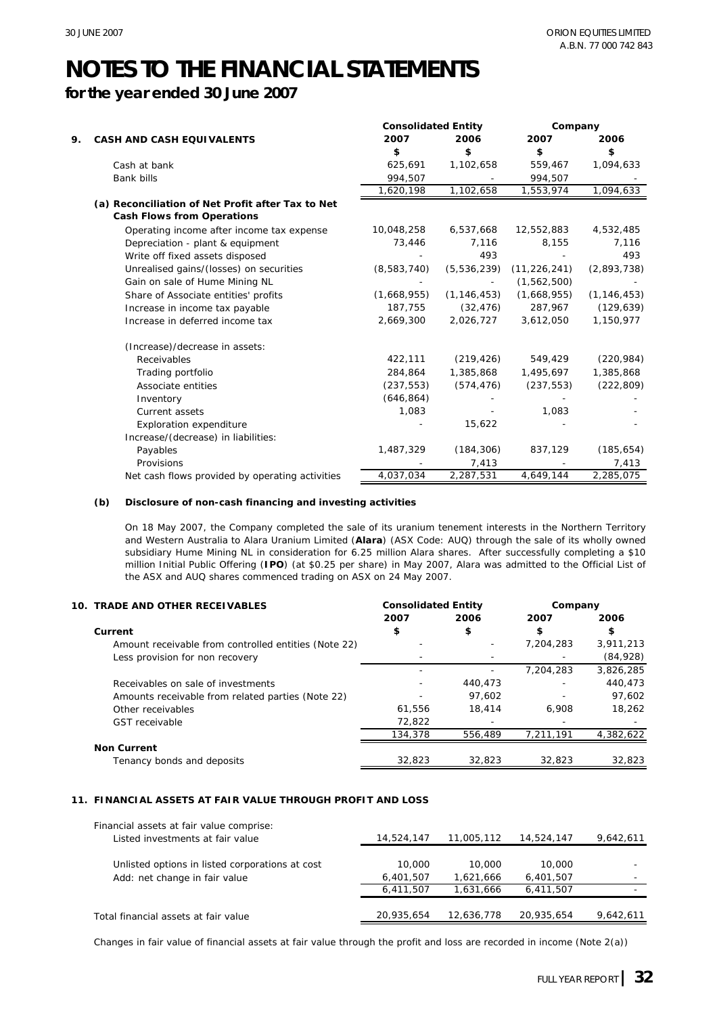**for the year ended 30 June 2007**

|    |                                                                                        | <b>Consolidated Entity</b> |               | Company        |               |
|----|----------------------------------------------------------------------------------------|----------------------------|---------------|----------------|---------------|
| 9. | <b>CASH AND CASH EQUIVALENTS</b>                                                       | 2007                       | 2006          | 2007           | 2006          |
|    |                                                                                        | \$                         | \$            | \$             | \$            |
|    | Cash at bank                                                                           | 625,691                    | 1,102,658     | 559,467        | 1,094,633     |
|    | <b>Bank bills</b>                                                                      | 994,507                    |               | 994,507        |               |
|    |                                                                                        | 1,620,198                  | 1,102,658     | 1,553,974      | 1,094,633     |
|    | (a) Reconciliation of Net Profit after Tax to Net<br><b>Cash Flows from Operations</b> |                            |               |                |               |
|    | Operating income after income tax expense                                              | 10,048,258                 | 6,537,668     | 12,552,883     | 4,532,485     |
|    | Depreciation - plant & equipment                                                       | 73,446                     | 7,116         | 8,155          | 7,116         |
|    | Write off fixed assets disposed                                                        |                            | 493           |                | 493           |
|    | Unrealised gains/(losses) on securities                                                | (8,583,740)                | (5, 536, 239) | (11, 226, 241) | (2,893,738)   |
|    | Gain on sale of Hume Mining NL                                                         |                            |               | (1,562,500)    |               |
|    | Share of Associate entities' profits                                                   | (1,668,955)                | (1, 146, 453) | (1,668,955)    | (1, 146, 453) |
|    | Increase in income tax payable                                                         | 187,755                    | (32, 476)     | 287,967        | (129, 639)    |
|    | Increase in deferred income tax                                                        | 2,669,300                  | 2,026,727     | 3,612,050      | 1,150,977     |
|    | (Increase)/decrease in assets:                                                         |                            |               |                |               |
|    | Receivables                                                                            | 422,111                    | (219, 426)    | 549,429        | (220, 984)    |
|    | Trading portfolio                                                                      | 284,864                    | 1,385,868     | 1,495,697      | 1,385,868     |
|    | Associate entities                                                                     | (237, 553)                 | (574, 476)    | (237, 553)     | (222, 809)    |
|    | Inventory                                                                              | (646, 864)                 |               |                |               |
|    | <b>Current assets</b>                                                                  | 1,083                      |               | 1,083          |               |
|    | Exploration expenditure                                                                |                            | 15,622        |                |               |
|    | Increase/(decrease) in liabilities:                                                    |                            |               |                |               |
|    | Payables                                                                               | 1,487,329                  | (184, 306)    | 837,129        | (185, 654)    |
|    | Provisions                                                                             |                            | 7,413         |                | 7,413         |
|    | Net cash flows provided by operating activities                                        | 4,037,034                  | 2,287,531     | 4,649,144      | 2,285,075     |

#### **(b) Disclosure of non-cash financing and investing activities**

On 18 May 2007, the Company completed the sale of its uranium tenement interests in the Northern Territory and Western Australia to Alara Uranium Limited (**Alara**) (ASX Code: AUQ) through the sale of its wholly owned subsidiary Hume Mining NL in consideration for 6.25 million Alara shares. After successfully completing a \$10 million Initial Public Offering (**IPO**) (at \$0.25 per share) in May 2007, Alara was admitted to the Official List of the ASX and AUQ shares commenced trading on ASX on 24 May 2007.

| 2007<br>2006<br>2007<br>\$<br>\$<br>\$<br>Current<br>7,204,283<br>Amount receivable from controlled entities (Note 22) | 10. TRADE AND OTHER RECEIVABLES | <b>Consolidated Entity</b> |  | Company |           |
|------------------------------------------------------------------------------------------------------------------------|---------------------------------|----------------------------|--|---------|-----------|
|                                                                                                                        |                                 |                            |  |         | 2006      |
|                                                                                                                        |                                 |                            |  |         | \$        |
|                                                                                                                        |                                 |                            |  |         | 3,911,213 |
|                                                                                                                        | Less provision for non recovery |                            |  |         | (84,928)  |
| 7,204,283                                                                                                              |                                 |                            |  |         | 3,826,285 |
| Receivables on sale of investments<br>440.473                                                                          |                                 |                            |  |         | 440.473   |
| 97.602<br>Amounts receivable from related parties (Note 22)                                                            |                                 |                            |  |         | 97.602    |
| 18,414<br>61.556<br>6.908<br>Other receivables                                                                         |                                 |                            |  |         | 18,262    |
| 72,822<br><b>GST</b> receivable                                                                                        |                                 |                            |  |         |           |
| 134,378<br>556.489<br>7.211.191                                                                                        |                                 |                            |  |         | 4,382,622 |
| <b>Non Current</b>                                                                                                     |                                 |                            |  |         |           |
| 32,823<br>32,823<br>32,823<br>Tenancy bonds and deposits                                                               |                                 |                            |  |         | 32,823    |

#### **11. FINANCIAL ASSETS AT FAIR VALUE THROUGH PROFIT AND LOSS**

| Financial assets at fair value comprise:        |            |            |            |           |
|-------------------------------------------------|------------|------------|------------|-----------|
| Listed investments at fair value                | 14,524,147 | 11,005,112 | 14,524,147 | 9,642,611 |
| Unlisted options in listed corporations at cost | 10,000     | 10,000     | 10,000     |           |
| Add: net change in fair value                   | 6,401,507  | 1,621,666  | 6,401,507  |           |
|                                                 | 6,411,507  | 1,631,666  | 6,411,507  |           |
| Total financial assets at fair value            | 20,935,654 | 12,636,778 | 20,935,654 | 9,642,611 |
|                                                 |            |            |            |           |

Changes in fair value of financial assets at fair value through the profit and loss are recorded in income (Note 2(a))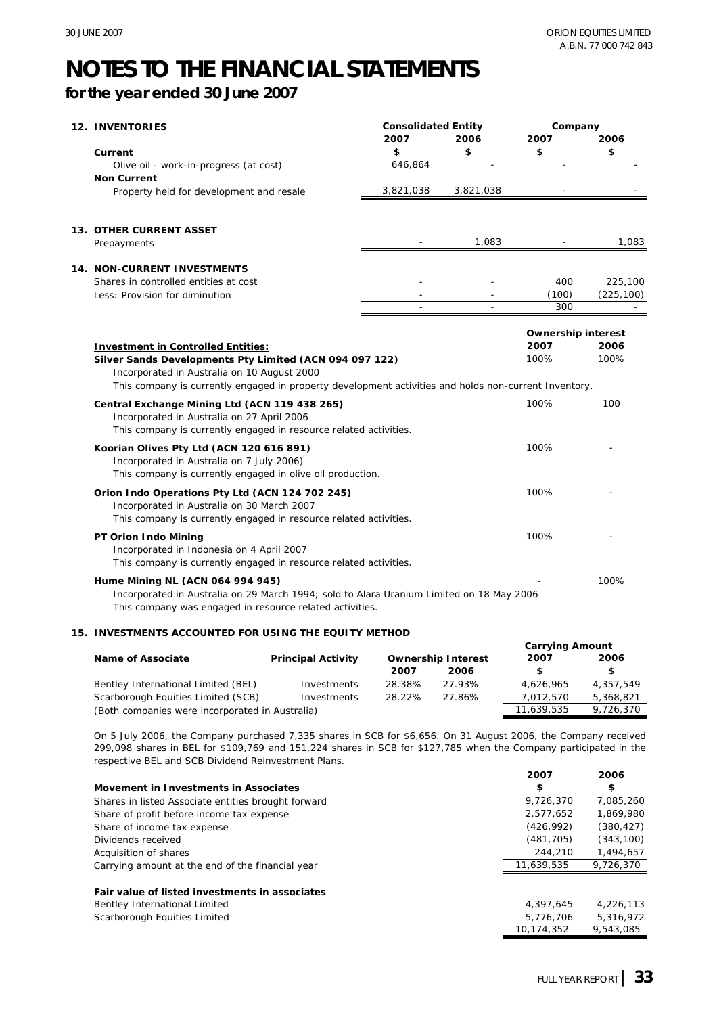### **for the year ended 30 June 2007**

| <b>12. INVENTORIES</b>                                                                                                                                                                                          | <b>Consolidated Entity</b> |           | Company                   |            |
|-----------------------------------------------------------------------------------------------------------------------------------------------------------------------------------------------------------------|----------------------------|-----------|---------------------------|------------|
|                                                                                                                                                                                                                 | 2007                       | 2006      | 2007                      | 2006       |
| Current                                                                                                                                                                                                         | \$                         | \$        | \$                        | \$         |
| Olive oil - work-in-progress (at cost)                                                                                                                                                                          | 646,864                    |           |                           |            |
| <b>Non Current</b>                                                                                                                                                                                              |                            |           |                           |            |
| Property held for development and resale                                                                                                                                                                        | 3,821,038                  | 3,821,038 |                           |            |
| <b>13. OTHER CURRENT ASSET</b>                                                                                                                                                                                  |                            |           |                           |            |
| Prepayments                                                                                                                                                                                                     |                            | 1,083     |                           | 1,083      |
| <b>14. NON-CURRENT INVESTMENTS</b>                                                                                                                                                                              |                            |           |                           |            |
| Shares in controlled entities at cost                                                                                                                                                                           |                            |           | 400                       | 225,100    |
| Less: Provision for diminution                                                                                                                                                                                  |                            |           | (100)<br>300              | (225, 100) |
|                                                                                                                                                                                                                 |                            |           |                           |            |
|                                                                                                                                                                                                                 |                            |           | <b>Ownership interest</b> |            |
| <b>Investment in Controlled Entities:</b>                                                                                                                                                                       |                            |           | 2007                      | 2006       |
| Silver Sands Developments Pty Limited (ACN 094 097 122)<br>Incorporated in Australia on 10 August 2000<br>This company is currently engaged in property development activities and holds non-current Inventory. |                            |           | 100%                      | 100%       |
| Central Exchange Mining Ltd (ACN 119 438 265)<br>Incorporated in Australia on 27 April 2006<br>This company is currently engaged in resource related activities.                                                |                            |           | 100%                      | 100        |
| Koorian Olives Pty Ltd (ACN 120 616 891)<br>Incorporated in Australia on 7 July 2006)<br>This company is currently engaged in olive oil production.                                                             |                            |           | 100%                      |            |
| Orion Indo Operations Pty Ltd (ACN 124 702 245)<br>Incorporated in Australia on 30 March 2007<br>This company is currently engaged in resource related activities.                                              |                            |           | 100%                      |            |
| PT Orion Indo Mining<br>Incorporated in Indonesia on 4 April 2007<br>This company is currently engaged in resource related activities.                                                                          |                            |           | 100%                      |            |
| Hume Mining NL (ACN 064 994 945)<br>Incorporated in Australia on 29 March 1994; sold to Alara Uranium Limited on 18 May 2006<br>This company was engaged in resource related activities.                        |                            |           |                           | 100%       |

#### **15. INVESTMENTS ACCOUNTED FOR USING THE EQUITY METHOD**

|                                                 |                           |                           |        | <b>Carrying Amount</b> |           |
|-------------------------------------------------|---------------------------|---------------------------|--------|------------------------|-----------|
| <b>Name of Associate</b>                        | <b>Principal Activity</b> | <b>Ownership Interest</b> |        | 2007                   | 2006      |
|                                                 |                           | 2007                      | 2006   |                        | S.        |
| Bentley International Limited (BEL)             | Investments               | 28.38%                    | 27.93% | 4.626.965              | 4.357.549 |
| Scarborough Equities Limited (SCB)              | Investments               | 28.22%                    | 27.86% | 7.012.570              | 5,368,821 |
| (Both companies were incorporated in Australia) |                           |                           |        |                        | 9,726,370 |

On 5 July 2006, the Company purchased 7,335 shares in SCB for \$6,656. On 31 August 2006, the Company received 299,098 shares in BEL for \$109,769 and 151,224 shares in SCB for \$127,785 when the Company participated in the respective BEL and SCB Dividend Reinvestment Plans.

|                                                     | 2007       | 2006       |
|-----------------------------------------------------|------------|------------|
| Movement in Investments in Associates               | \$         | \$         |
| Shares in listed Associate entities brought forward | 9,726,370  | 7,085,260  |
| Share of profit before income tax expense           | 2.577.652  | 1.869.980  |
| Share of income tax expense                         | (426.992)  | (380, 427) |
| Dividends received                                  | (481, 705) | (343, 100) |
| Acquisition of shares                               | 244,210    | 1,494,657  |
| Carrying amount at the end of the financial year    | 11.639.535 | 9.726.370  |
| Fair value of listed investments in associates      |            |            |
| Bentley International Limited                       | 4.397.645  | 4.226.113  |
| Scarborough Equities Limited                        | 5,776,706  | 5,316,972  |
|                                                     | 10.174.352 | 9.543.085  |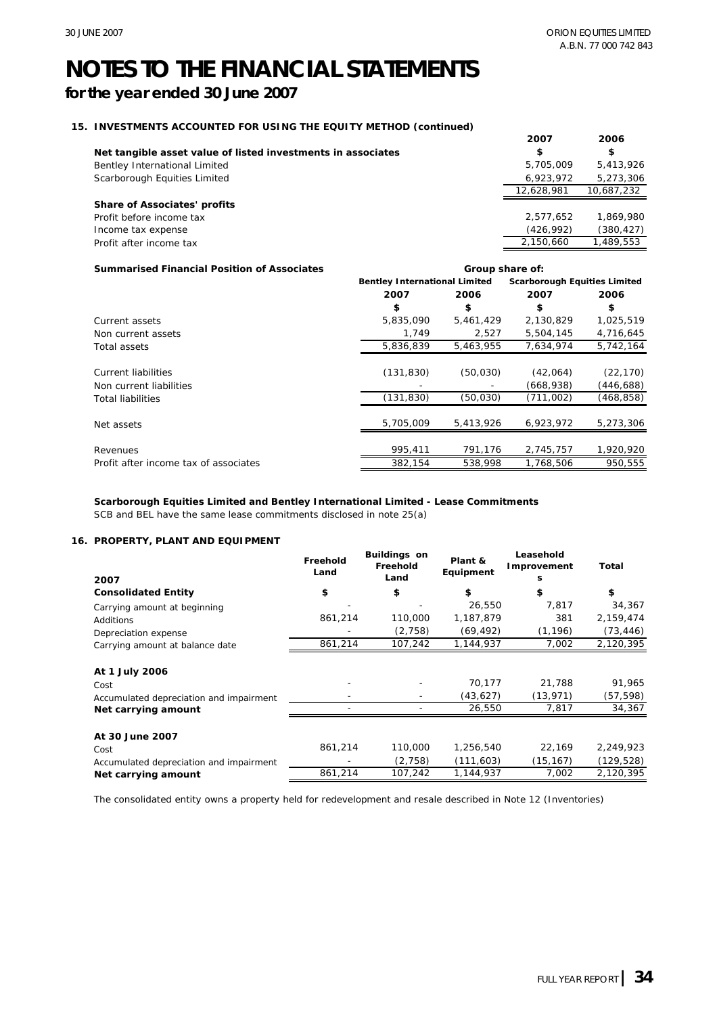**Group share of:**

### **NOTES TO THE FINANCIAL STATEMENTS**

### **for the year ended 30 June 2007**

#### **15. INVESTMENTS ACCOUNTED FOR USING THE EQUITY METHOD (continued)**

| THE LOOP HILL MUSEUM COLLEGE THE LOOP THE THILL MULTING (COMMITTEE) |            |            |
|---------------------------------------------------------------------|------------|------------|
|                                                                     | 2007       | 2006       |
| Net tangible asset value of listed investments in associates        | \$         | \$         |
| Bentley International Limited                                       | 5,705,009  | 5.413.926  |
| Scarborough Equities Limited                                        | 6,923,972  | 5,273,306  |
|                                                                     | 12.628.981 | 10,687,232 |
| <b>Share of Associates' profits</b>                                 |            |            |
| Profit before income tax                                            | 2,577,652  | 1.869.980  |
| Income tax expense                                                  | (426, 992) | (380, 427) |
| Profit after income tax                                             | 2,150,660  | 1,489,553  |
|                                                                     |            |            |

#### **Summarised Financial Position of Associates**

|                                       |            | <b>Bentley International Limited</b> |           | <b>Scarborough Equities Limited</b> |
|---------------------------------------|------------|--------------------------------------|-----------|-------------------------------------|
|                                       | 2007       | 2006                                 | 2007      | 2006                                |
|                                       | \$         | \$                                   | \$        | \$                                  |
| Current assets                        | 5,835,090  | 5,461,429                            | 2,130,829 | 1,025,519                           |
| Non current assets                    | 1.749      | 2,527                                | 5,504,145 | 4,716,645                           |
| Total assets                          | 5,836,839  | 5,463,955                            | 7.634.974 | 5.742.164                           |
| Current liabilities                   | (131, 830) | (50,030)                             | (42,064)  | (22, 170)                           |
| Non current liabilities               |            |                                      | (668,938) | (446,688)                           |
| <b>Total liabilities</b>              | (131, 830) | (50,030)                             | (711,002) | (468,858)                           |
| Net assets                            | 5,705,009  | 5,413,926                            | 6.923.972 | 5,273,306                           |
| Revenues                              | 995,411    | 791,176                              | 2,745,757 | 1,920,920                           |
| Profit after income tax of associates | 382,154    | 538,998                              | 1,768,506 | 950,555                             |

#### **Scarborough Equities Limited and Bentley International Limited - Lease Commitments**

SCB and BEL have the same lease commitments disclosed in note 25(a)

#### **16. PROPERTY, PLANT AND EQUIPMENT**

| 2007                                    | Freehold<br>Land | <b>Buildings on</b><br>Freehold<br>Land | Plant &<br>Equipment | Leasehold<br>Improvement<br>s | Total      |
|-----------------------------------------|------------------|-----------------------------------------|----------------------|-------------------------------|------------|
| <b>Consolidated Entity</b>              | \$               | \$                                      | \$                   | \$                            | \$         |
| Carrying amount at beginning            |                  |                                         | 26,550               | 7.817                         | 34,367     |
| <b>Additions</b>                        | 861,214          | 110,000                                 | 1,187,879            | 381                           | 2,159,474  |
| Depreciation expense                    |                  | (2,758)                                 | (69, 492)            | (1, 196)                      | (73, 446)  |
| Carrying amount at balance date         | 861,214          | 107,242                                 | 1,144,937            | 7,002                         | 2,120,395  |
| At 1 July 2006                          |                  |                                         |                      |                               |            |
| Cost                                    |                  |                                         | 70,177               | 21,788                        | 91,965     |
| Accumulated depreciation and impairment |                  |                                         | (43, 627)            | (13, 971)                     | (57, 598)  |
| Net carrying amount                     |                  |                                         | 26,550               | 7,817                         | 34,367     |
| At 30 June 2007                         |                  |                                         |                      |                               |            |
| Cost                                    | 861,214          | 110,000                                 | 1,256,540            | 22,169                        | 2,249,923  |
| Accumulated depreciation and impairment |                  | (2,758)                                 | (111, 603)           | (15, 167)                     | (129, 528) |
| Net carrying amount                     | 861,214          | 107,242                                 | 1,144,937            | 7,002                         | 2,120,395  |

The consolidated entity owns a property held for redevelopment and resale described in Note 12 (Inventories)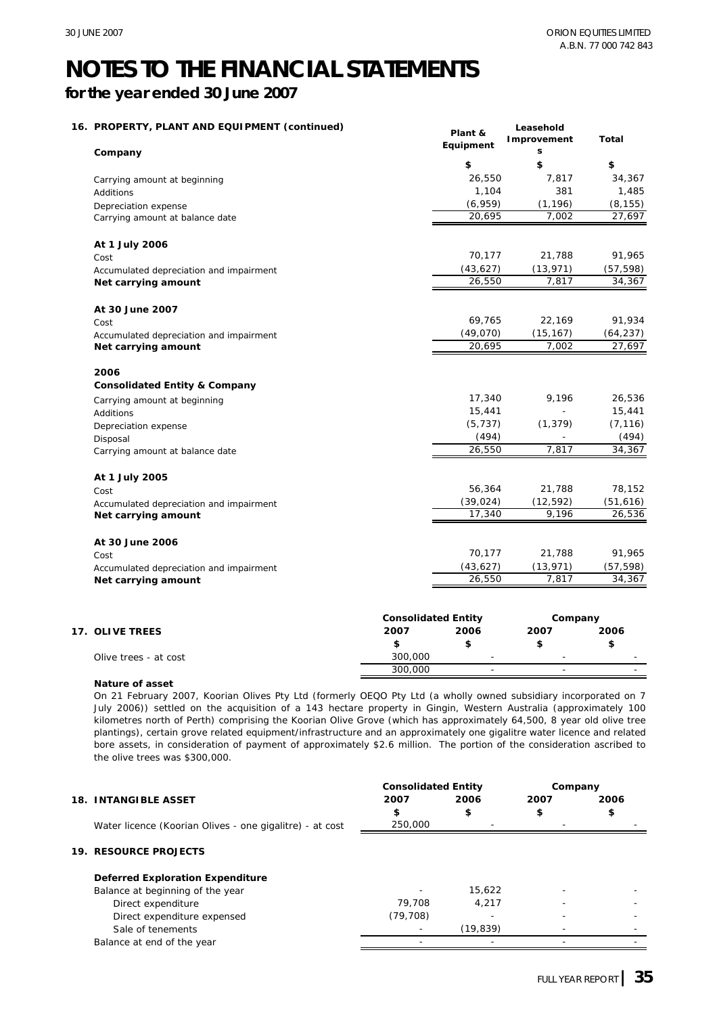**Leasehold** 

### **NOTES TO THE FINANCIAL STATEMENTS**

### **for the year ended 30 June 2007**

#### **16. PROPERTY, PLANT AND EQUIPMENT (continued)**

| PROPERTY, PLANT AND EQUIPMENT (CONTINUED)<br>Company | Plant &<br>Equipment       | Leasehold<br>Improvement<br>s | <b>Total</b> |
|------------------------------------------------------|----------------------------|-------------------------------|--------------|
|                                                      | \$                         | \$                            | \$           |
| Carrying amount at beginning                         | 26,550                     | 7,817                         | 34,367       |
| Additions                                            | 1,104                      | 381                           | 1,485        |
| Depreciation expense                                 | (6,959)                    | (1, 196)                      | (8, 155)     |
| Carrying amount at balance date                      | 20,695                     | 7,002                         | 27,697       |
| At 1 July 2006                                       |                            |                               |              |
| Cost                                                 | 70,177                     | 21,788                        | 91,965       |
| Accumulated depreciation and impairment              | (43, 627)                  | (13, 971)                     | (57, 598)    |
| Net carrying amount                                  | 26,550                     | 7,817                         | 34,367       |
| At 30 June 2007                                      |                            |                               |              |
| Cost                                                 | 69,765                     | 22,169                        | 91,934       |
| Accumulated depreciation and impairment              | (49,070)                   | (15, 167)                     | (64, 237)    |
| Net carrying amount                                  | 20,695                     | 7,002                         | 27,697       |
| 2006                                                 |                            |                               |              |
| <b>Consolidated Entity &amp; Company</b>             |                            |                               |              |
| Carrying amount at beginning                         | 17,340                     | 9,196                         | 26,536       |
| Additions                                            | 15,441                     |                               | 15,441       |
| Depreciation expense                                 | (5, 737)                   | (1, 379)                      | (7, 116)     |
| Disposal                                             | (494)                      |                               | (494)        |
| Carrying amount at balance date                      | 26,550                     | 7,817                         | 34,367       |
| At 1 July 2005                                       |                            |                               |              |
| Cost                                                 | 56,364                     | 21,788                        | 78,152       |
| Accumulated depreciation and impairment              | (39, 024)                  | (12, 592)                     | (51, 616)    |
| Net carrying amount                                  | 17,340                     | 9,196                         | 26,536       |
| At 30 June 2006                                      |                            |                               |              |
| Cost                                                 | 70,177                     | 21,788                        | 91,965       |
| Accumulated depreciation and impairment              | (43, 627)                  | (13, 971)                     | (57, 598)    |
| Net carrying amount                                  | 26,550                     | 7,817                         | 34,367       |
|                                                      | <b>Consolidated Entity</b> | Company                       |              |

| 2007    | 2006                     | 2007                     | 2006                     |
|---------|--------------------------|--------------------------|--------------------------|
|         |                          |                          |                          |
| 300,000 | $\overline{\phantom{a}}$ | $\overline{\phantom{a}}$ | $\overline{\phantom{a}}$ |
| 300,000 | $\overline{\phantom{a}}$ | $\overline{\phantom{a}}$ | $\overline{\phantom{a}}$ |
|         |                          |                          | -----------              |

#### **Nature of asset**

On 21 February 2007, Koorian Olives Pty Ltd (formerly OEQO Pty Ltd (a wholly owned subsidiary incorporated on 7 July 2006)) settled on the acquisition of a 143 hectare property in Gingin, Western Australia (approximately 100 kilometres north of Perth) comprising the Koorian Olive Grove (which has approximately 64,500, 8 year old olive tree plantings), certain grove related equipment/infrastructure and an approximately one gigalitre water licence and related bore assets, in consideration of payment of approximately \$2.6 million. The portion of the consideration ascribed to the olive trees was \$300,000.

|  |                                                          | <b>Consolidated Entity</b> |          | Company |      |
|--|----------------------------------------------------------|----------------------------|----------|---------|------|
|  | <b>18. INTANGIBLE ASSET</b>                              | 2007                       | 2006     | 2007    | 2006 |
|  |                                                          | \$                         | \$       | \$      | \$   |
|  | Water licence (Koorian Olives - one gigalitre) - at cost | 250,000                    |          |         |      |
|  | <b>19. RESOURCE PROJECTS</b>                             |                            |          |         |      |
|  | <b>Deferred Exploration Expenditure</b>                  |                            |          |         |      |
|  | Balance at beginning of the year                         |                            | 15,622   |         |      |
|  | Direct expenditure                                       | 79.708                     | 4.217    |         |      |
|  | Direct expenditure expensed                              | (79, 708)                  |          |         |      |
|  | Sale of tenements                                        |                            | (19,839) |         |      |
|  | Balance at end of the year                               |                            |          |         |      |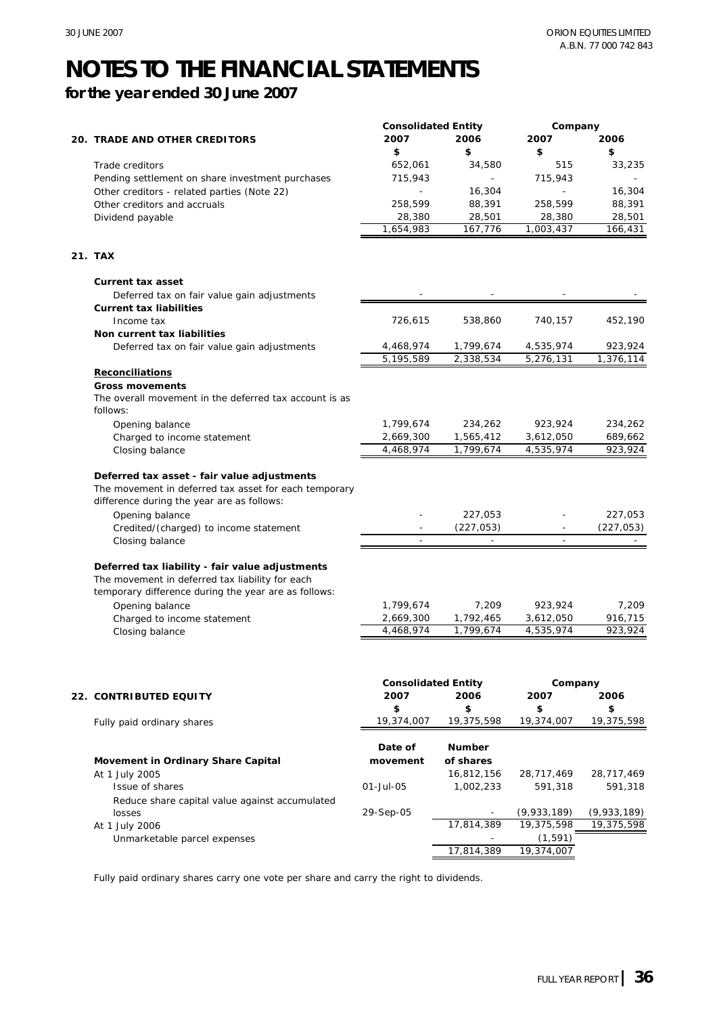**for the year ended 30 June 2007**

|                                                        | <b>Consolidated Entity</b> |                                        | Company     |                      |
|--------------------------------------------------------|----------------------------|----------------------------------------|-------------|----------------------|
| 20. TRADE AND OTHER CREDITORS                          | 2007                       | 2006                                   | 2007        | 2006                 |
|                                                        | \$                         | \$                                     | \$          | \$                   |
| Trade creditors                                        | 652,061                    | 34,580                                 | 515         | 33,235               |
| Pending settlement on share investment purchases       | 715,943                    |                                        | 715,943     |                      |
| Other creditors - related parties (Note 22)            |                            | 16,304                                 |             | 16,304               |
| Other creditors and accruals                           | 258,599                    | 88,391                                 | 258,599     | 88,391               |
|                                                        | 28,380                     | 28,501                                 | 28,380      | 28,501               |
| Dividend payable                                       | 1,654,983                  | 167,776                                | 1,003,437   | 166,431              |
|                                                        |                            |                                        |             |                      |
| 21. TAX                                                |                            |                                        |             |                      |
| <b>Current tax asset</b>                               |                            |                                        |             |                      |
| Deferred tax on fair value gain adjustments            |                            |                                        |             |                      |
| <b>Current tax liabilities</b>                         |                            |                                        |             |                      |
| Income tax                                             | 726,615                    | 538,860                                | 740,157     | 452,190              |
| Non current tax liabilities                            |                            |                                        |             |                      |
| Deferred tax on fair value gain adjustments            | 4,468,974                  | 1,799,674                              | 4,535,974   | 923,924              |
|                                                        | 5,195,589                  | 2,338,534                              | 5,276,131   | 1,376,114            |
| Reconciliations                                        |                            |                                        |             |                      |
| <b>Gross movements</b>                                 |                            |                                        |             |                      |
| The overall movement in the deferred tax account is as |                            |                                        |             |                      |
| follows:                                               |                            |                                        |             |                      |
| Opening balance                                        | 1,799,674                  | 234,262                                | 923,924     | 234,262              |
| Charged to income statement                            | 2,669,300                  | 1,565,412                              | 3,612,050   | 689,662              |
| Closing balance                                        | 4,468,974                  | 1,799,674                              | 4,535,974   | 923,924              |
|                                                        |                            |                                        |             |                      |
| Deferred tax asset - fair value adjustments            |                            |                                        |             |                      |
| The movement in deferred tax asset for each temporary  |                            |                                        |             |                      |
| difference during the year are as follows:             |                            |                                        |             |                      |
|                                                        |                            | 227,053                                |             | 227,053              |
| Opening balance                                        |                            |                                        |             |                      |
| Credited/(charged) to income statement                 | $\sim$                     | (227, 053)<br>$\overline{\phantom{a}}$ | $\sim$      | (227, 053)<br>$\sim$ |
| Closing balance                                        |                            |                                        |             |                      |
|                                                        |                            |                                        |             |                      |
| Deferred tax liability - fair value adjustments        |                            |                                        |             |                      |
| The movement in deferred tax liability for each        |                            |                                        |             |                      |
| temporary difference during the year are as follows:   |                            |                                        |             |                      |
| Opening balance                                        | 1,799,674                  | 7,209                                  | 923,924     | 7,209                |
| Charged to income statement                            | 2,669,300                  | 1,792,465                              | 3,612,050   | 916,715              |
| Closing balance                                        | 4,468,974                  | 1,799,674                              | 4,535,974   | 923,924              |
|                                                        |                            |                                        |             |                      |
|                                                        | <b>Consolidated Entity</b> |                                        | Company     |                      |
|                                                        | 2007                       | 2006                                   | 2007        | 2006                 |
| 22.  CONTRIBUTED EQUITY                                | \$                         | \$                                     | \$          | \$                   |
|                                                        | 19,374,007                 | 19,375,598                             | 19,374,007  | 19,375,598           |
| Fully paid ordinary shares                             |                            |                                        |             |                      |
|                                                        |                            | Number                                 |             |                      |
|                                                        | Date of<br>movement        | of shares                              |             |                      |
| Movement in Ordinary Share Capital                     |                            |                                        |             |                      |
| At 1 July 2005                                         |                            | 16,812,156                             | 28,717,469  | 28,717,469           |
| Issue of shares                                        | 01-Jul-05                  | 1,002,233                              | 591,318     | 591,318              |
| Reduce share capital value against accumulated         |                            |                                        |             |                      |
| losses                                                 | 29-Sep-05                  |                                        | (9,933,189) | (9,933,189)          |
| At 1 July 2006                                         |                            | 17,814,389                             | 19,375,598  | 19,375,598           |
| Unmarketable parcel expenses                           |                            |                                        | (1, 591)    |                      |
|                                                        |                            | 17,814,389                             | 19,374,007  |                      |

Fully paid ordinary shares carry one vote per share and carry the right to dividends.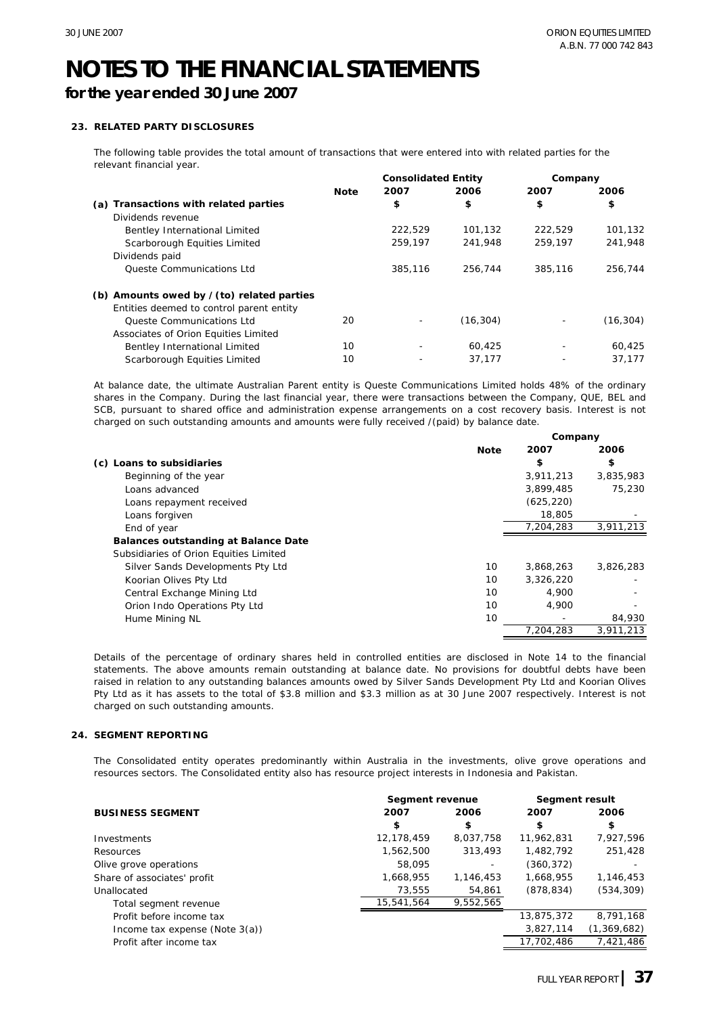### **for the year ended 30 June 2007**

#### **23. RELATED PARTY DISCLOSURES**

The following table provides the total amount of transactions that were entered into with related parties for the relevant financial year.

|                                                 |             | <b>Consolidated Entity</b> |           | Company |           |
|-------------------------------------------------|-------------|----------------------------|-----------|---------|-----------|
|                                                 | <b>Note</b> | 2007                       | 2006      | 2007    | 2006      |
| Transactions with related parties<br>(a)        |             | \$                         | \$        | \$      | \$        |
| Dividends revenue                               |             |                            |           |         |           |
| Bentley International Limited                   |             | 222,529                    | 101.132   | 222.529 | 101,132   |
| Scarborough Equities Limited                    |             | 259.197                    | 241.948   | 259.197 | 241.948   |
| Dividends paid                                  |             |                            |           |         |           |
| <b>Oueste Communications Ltd</b>                |             | 385,116                    | 256,744   | 385,116 | 256,744   |
| (b) Amounts owed by $\ell$ (to) related parties |             |                            |           |         |           |
| Entities deemed to control parent entity        |             |                            |           |         |           |
| <b>Oueste Communications Ltd</b>                | 20          |                            | (16, 304) |         | (16, 304) |
| Associates of Orion Equities Limited            |             |                            |           |         |           |
| Bentley International Limited                   | 10          | ٠                          | 60.425    |         | 60.425    |
| Scarborough Equities Limited                    | 10          |                            | 37.177    |         | 37,177    |

At balance date, the ultimate Australian Parent entity is Queste Communications Limited holds 48% of the ordinary shares in the Company. During the last financial year, there were transactions between the Company, QUE, BEL and SCB, pursuant to shared office and administration expense arrangements on a cost recovery basis. Interest is not charged on such outstanding amounts and amounts were fully received /(paid) by balance date.

|                                             | Company     |            |           |
|---------------------------------------------|-------------|------------|-----------|
|                                             | <b>Note</b> | 2007       | 2006      |
| (c) Loans to subsidiaries                   |             | \$         | \$        |
| Beginning of the year                       |             | 3,911,213  | 3,835,983 |
| Loans advanced                              |             | 3,899,485  | 75,230    |
| Loans repayment received                    |             | (625, 220) |           |
| Loans forgiven                              |             | 18,805     |           |
| End of year                                 |             | 7.204.283  | 3,911,213 |
| <b>Balances outstanding at Balance Date</b> |             |            |           |
| Subsidiaries of Orion Equities Limited      |             |            |           |
| Silver Sands Developments Pty Ltd           | 10          | 3,868,263  | 3,826,283 |
| Koorian Olives Pty Ltd                      | 10          | 3,326,220  |           |
| Central Exchange Mining Ltd                 | 10          | 4.900      |           |
| Orion Indo Operations Pty Ltd               | 10          | 4,900      |           |
| Hume Mining NL                              | 10          |            | 84,930    |
|                                             |             | 7.204.283  | 3.911.213 |

Details of the percentage of ordinary shares held in controlled entities are disclosed in Note 14 to the financial statements. The above amounts remain outstanding at balance date. No provisions for doubtful debts have been raised in relation to any outstanding balances amounts owed by Silver Sands Development Pty Ltd and Koorian Olives Pty Ltd as it has assets to the total of \$3.8 million and \$3.3 million as at 30 June 2007 respectively. Interest is not charged on such outstanding amounts.

#### **24. SEGMENT REPORTING**

The Consolidated entity operates predominantly within Australia in the investments, olive grove operations and resources sectors. The Consolidated entity also has resource project interests in Indonesia and Pakistan.

|                                   | Segment revenue | <b>Segment result</b> |            |               |
|-----------------------------------|-----------------|-----------------------|------------|---------------|
| <b>BUSINESS SEGMENT</b>           | 2007            | 2006                  | 2007       | 2006          |
|                                   | \$              | \$                    | \$         | \$            |
| Investments                       | 12,178,459      | 8,037,758             | 11,962,831 | 7,927,596     |
| Resources                         | 1,562,500       | 313,493               | 1,482,792  | 251,428       |
| Olive grove operations            | 58,095          |                       | (360, 372) |               |
| Share of associates' profit       | 1,668,955       | 1,146,453             | 1,668,955  | 1,146,453     |
| Unallocated                       | 73.555          | 54,861                | (878, 834) | (534, 309)    |
| Total segment revenue             | 15,541,564      | 9,552,565             |            |               |
| Profit before income tax          |                 |                       | 13,875,372 | 8,791,168     |
| Income tax expense (Note $3(a)$ ) |                 |                       | 3,827,114  | (1, 369, 682) |
| Profit after income tax           |                 |                       | 17,702,486 | 7.421.486     |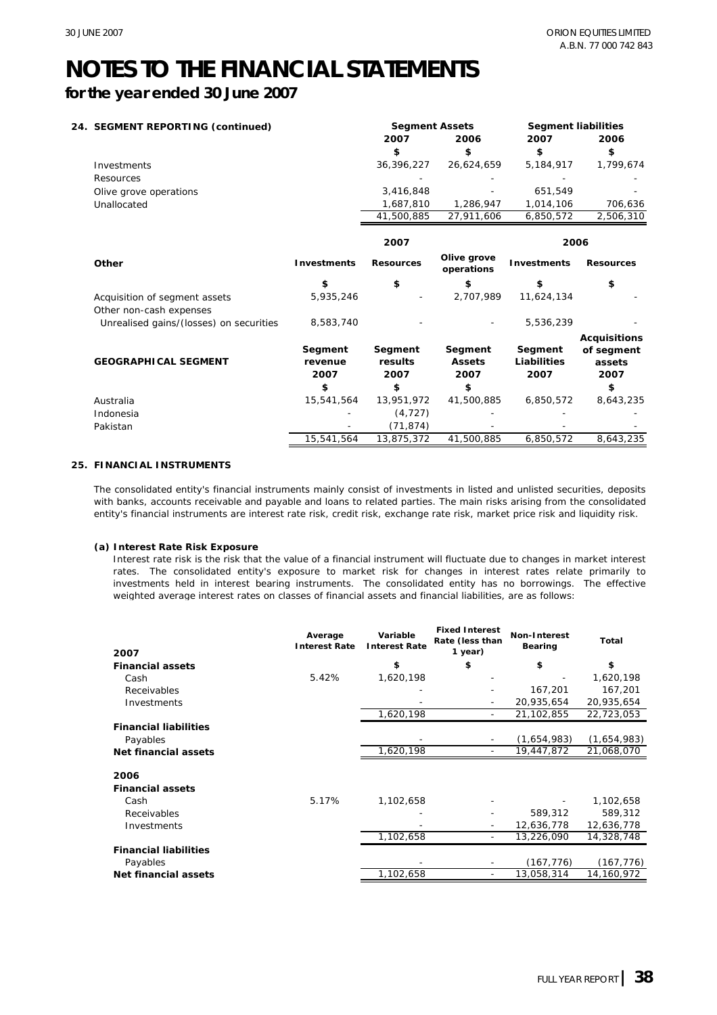**for the year ended 30 June 2007**

| 24. SEGMENT REPORTING (continued) |                                         |                    | <b>Segment Assets</b> |                           | <b>Segment liabilities</b> |                     |
|-----------------------------------|-----------------------------------------|--------------------|-----------------------|---------------------------|----------------------------|---------------------|
|                                   |                                         |                    | 2007                  | 2006                      | 2007                       | 2006                |
|                                   |                                         |                    | \$                    | \$                        | \$                         | \$                  |
|                                   | Investments                             |                    | 36,396,227            | 26,624,659                | 5,184,917                  | 1,799,674           |
|                                   | Resources                               |                    |                       |                           |                            |                     |
|                                   | Olive grove operations                  |                    | 3,416,848             |                           | 651,549                    |                     |
|                                   | Unallocated                             |                    | 1,687,810             | 1,286,947                 | 1,014,106                  | 706,636             |
|                                   |                                         |                    | 41,500,885            | 27,911,606                | 6,850,572                  | 2,506,310           |
|                                   |                                         |                    | 2007                  |                           | 2006                       |                     |
|                                   | Other                                   | <b>Investments</b> | <b>Resources</b>      | Olive grove<br>operations | <b>Investments</b>         | <b>Resources</b>    |
|                                   |                                         | \$                 | \$                    | \$                        | \$                         | \$                  |
|                                   | Acquisition of segment assets           | 5,935,246          |                       | 2,707,989                 | 11,624,134                 |                     |
|                                   | Other non-cash expenses                 |                    |                       |                           |                            |                     |
|                                   | Unrealised gains/(losses) on securities | 8,583,740          |                       |                           | 5,536,239                  |                     |
|                                   |                                         |                    |                       |                           |                            | <b>Acquisitions</b> |
|                                   |                                         | Segment            | Segment               | Segment                   | Segment                    | of segment          |
|                                   | <b>GEOGRAPHICAL SEGMENT</b>             | revenue            | results               | <b>Assets</b>             | Liabilities                | assets              |
|                                   |                                         | 2007               | 2007                  | 2007                      | 2007                       | 2007                |
|                                   |                                         | \$                 | \$                    | \$                        |                            | \$                  |
|                                   | Australia                               | 15,541,564         | 13,951,972            | 41,500,885                | 6,850,572                  | 8,643,235           |
|                                   | Indonesia                               |                    | (4, 727)              |                           |                            |                     |
|                                   | Pakistan                                |                    | (71, 874)             |                           |                            |                     |
|                                   |                                         | 15,541,564         | 13,875,372            | 41,500,885                | 6,850,572                  | 8,643,235           |

#### **25. FINANCIAL INSTRUMENTS**

The consolidated entity's financial instruments mainly consist of investments in listed and unlisted securities, deposits with banks, accounts receivable and payable and loans to related parties. The main risks arising from the consolidated entity's financial instruments are interest rate risk, credit risk, exchange rate risk, market price risk and liquidity risk.

#### **(a) Interest Rate Risk Exposure**

Interest rate risk is the risk that the value of a financial instrument will fluctuate due to changes in market interest rates. The consolidated entity's exposure to market risk for changes in interest rates relate primarily to investments held in interest bearing instruments. The consolidated entity has no borrowings. The effective weighted average interest rates on classes of financial assets and financial liabilities, are as follows:

| 2007                         | Average<br><b>Interest Rate</b> | Variable<br><b>Interest Rate</b> | <b>Fixed Interest</b><br>Rate (less than<br>1 year) | Non-Interest<br>Bearing | Total       |
|------------------------------|---------------------------------|----------------------------------|-----------------------------------------------------|-------------------------|-------------|
| <b>Financial assets</b>      |                                 | \$                               | \$                                                  | \$                      | \$          |
| Cash                         | 5.42%                           | 1,620,198                        |                                                     |                         | 1,620,198   |
| Receivables                  |                                 |                                  |                                                     | 167,201                 | 167,201     |
| Investments                  |                                 |                                  |                                                     | 20,935,654              | 20,935,654  |
|                              |                                 | 1,620,198                        |                                                     | 21,102,855              | 22,723,053  |
| <b>Financial liabilities</b> |                                 |                                  |                                                     |                         |             |
| Payables                     |                                 |                                  |                                                     | (1,654,983)             | (1,654,983) |
| Net financial assets         |                                 | 1,620,198                        |                                                     | 19,447,872              | 21,068,070  |
| 2006                         |                                 |                                  |                                                     |                         |             |
| <b>Financial assets</b>      |                                 |                                  |                                                     |                         |             |
| Cash                         | 5.17%                           | 1,102,658                        |                                                     |                         | 1,102,658   |
| Receivables                  |                                 |                                  |                                                     | 589,312                 | 589,312     |
| Investments                  |                                 |                                  |                                                     | 12,636,778              | 12,636,778  |
|                              |                                 | 1,102,658                        |                                                     | 13,226,090              | 14,328,748  |
| <b>Financial liabilities</b> |                                 |                                  |                                                     |                         |             |
| Payables                     |                                 |                                  |                                                     | (167, 776)              | (167, 776)  |
| Net financial assets         |                                 | 1,102,658                        |                                                     | 13,058,314              | 14,160,972  |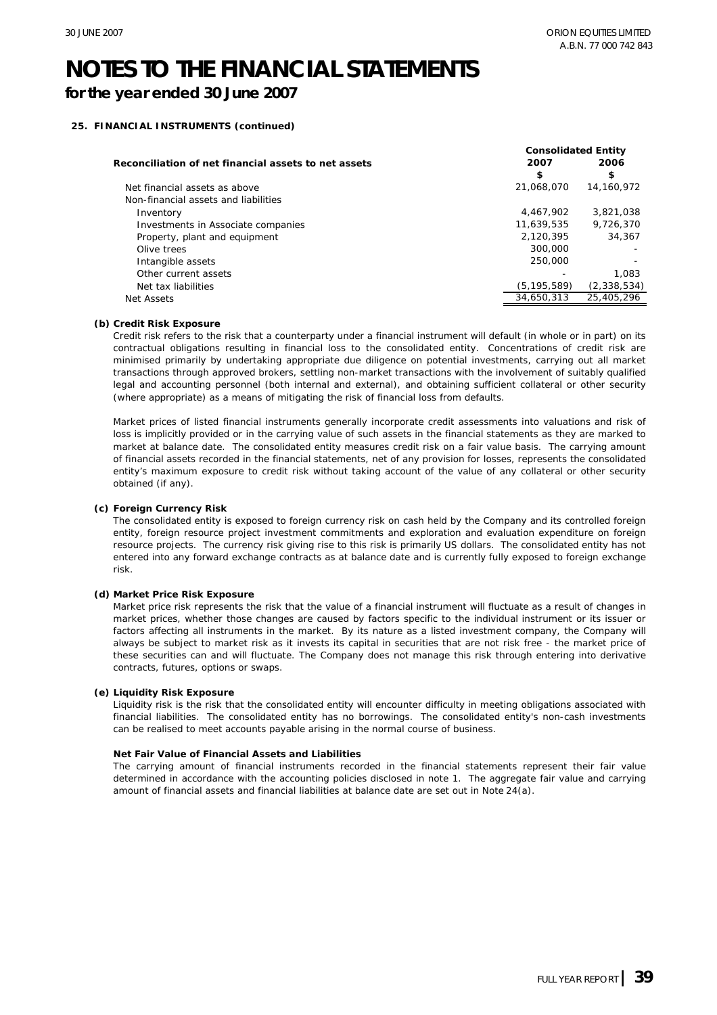**for the year ended 30 June 2007**

#### **25. FINANCIAL INSTRUMENTS (continued)**

|                                                      | <b>Consolidated Entity</b> |             |  |
|------------------------------------------------------|----------------------------|-------------|--|
| Reconciliation of net financial assets to net assets | 2007                       | 2006        |  |
|                                                      | \$                         | \$          |  |
| Net financial assets as above                        | 21,068,070                 | 14.160.972  |  |
| Non-financial assets and liabilities                 |                            |             |  |
| Inventory                                            | 4.467.902                  | 3.821.038   |  |
| Investments in Associate companies                   | 11.639.535                 | 9,726,370   |  |
| Property, plant and equipment                        | 2.120.395                  | 34,367      |  |
| Olive trees                                          | 300,000                    |             |  |
| Intangible assets                                    | 250,000                    |             |  |
| Other current assets                                 |                            | 1.083       |  |
| Net tax liabilities                                  | (5, 195, 589)              | (2,338,534) |  |
| Net Assets                                           | 34,650,313                 | 25,405,296  |  |

#### **(b) Credit Risk Exposure**

Credit risk refers to the risk that a counterparty under a financial instrument will default (in whole or in part) on its contractual obligations resulting in financial loss to the consolidated entity. Concentrations of credit risk are minimised primarily by undertaking appropriate due diligence on potential investments, carrying out all market transactions through approved brokers, settling non-market transactions with the involvement of suitably qualified legal and accounting personnel (both internal and external), and obtaining sufficient collateral or other security (where appropriate) as a means of mitigating the risk of financial loss from defaults.

Market prices of listed financial instruments generally incorporate credit assessments into valuations and risk of loss is implicitly provided or in the carrying value of such assets in the financial statements as they are marked to market at balance date. The consolidated entity measures credit risk on a fair value basis. The carrying amount of financial assets recorded in the financial statements, net of any provision for losses, represents the consolidated entity's maximum exposure to credit risk without taking account of the value of any collateral or other security obtained (if any).

#### **(c) Foreign Currency Risk**

The consolidated entity is exposed to foreign currency risk on cash held by the Company and its controlled foreign entity, foreign resource project investment commitments and exploration and evaluation expenditure on foreign resource projects. The currency risk giving rise to this risk is primarily US dollars. The consolidated entity has not entered into any forward exchange contracts as at balance date and is currently fully exposed to foreign exchange risk.

#### **(d) Market Price Risk Exposure**

Market price risk represents the risk that the value of a financial instrument will fluctuate as a result of changes in market prices, whether those changes are caused by factors specific to the individual instrument or its issuer or factors affecting all instruments in the market. By its nature as a listed investment company, the Company will always be subject to market risk as it invests its capital in securities that are not risk free - the market price of these securities can and will fluctuate. The Company does not manage this risk through entering into derivative contracts, futures, options or swaps.

#### **(e) Liquidity Risk Exposure**

Liquidity risk is the risk that the consolidated entity will encounter difficulty in meeting obligations associated with financial liabilities. The consolidated entity has no borrowings. The consolidated entity's non-cash investments can be realised to meet accounts payable arising in the normal course of business.

#### **Net Fair Value of Financial Assets and Liabilities**

The carrying amount of financial instruments recorded in the financial statements represent their fair value determined in accordance with the accounting policies disclosed in note 1. The aggregate fair value and carrying amount of financial assets and financial liabilities at balance date are set out in Note 24(a).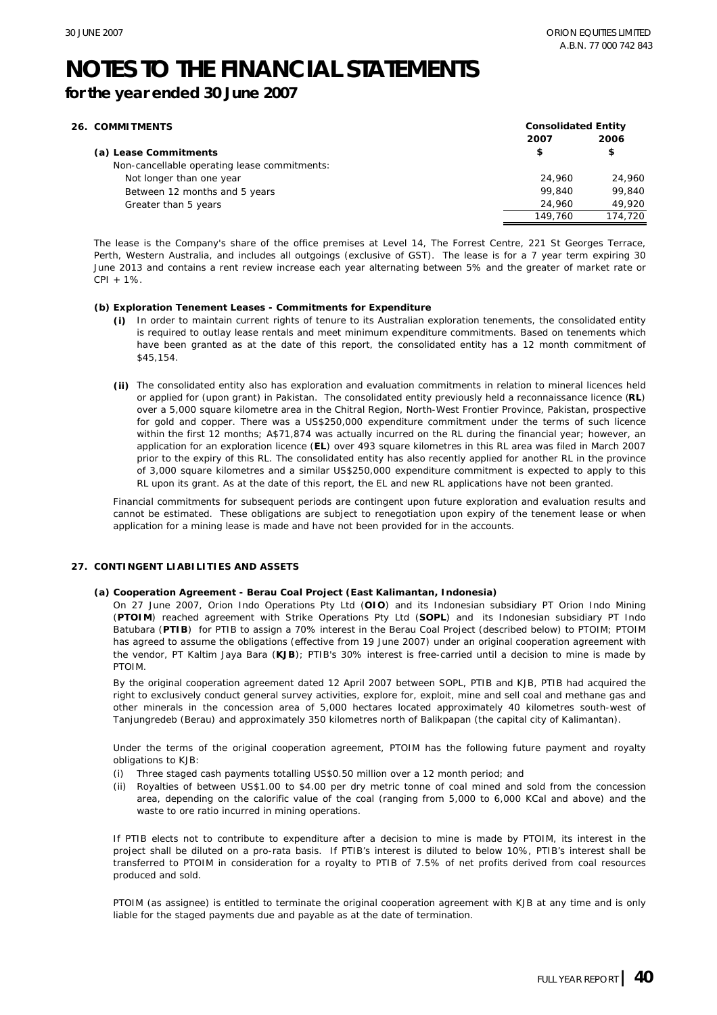**for the year ended 30 June 2007**

| <b>26. COMMITMENTS</b>                       | <b>Consolidated Entity</b> |         |  |
|----------------------------------------------|----------------------------|---------|--|
|                                              | 2007                       | 2006    |  |
| (a) Lease Commitments                        | \$                         | \$      |  |
| Non-cancellable operating lease commitments: |                            |         |  |
| Not longer than one year                     | 24,960                     | 24,960  |  |
| Between 12 months and 5 years                | 99,840                     | 99.840  |  |
| Greater than 5 years                         | 24,960                     | 49.920  |  |
|                                              | 149.760                    | 174,720 |  |

The lease is the Company's share of the office premises at Level 14, The Forrest Centre, 221 St Georges Terrace, Perth, Western Australia, and includes all outgoings (exclusive of GST). The lease is for a 7 year term expiring 30 June 2013 and contains a rent review increase each year alternating between 5% and the greater of market rate or CPI + 1%.

#### **(b) Exploration Tenement Leases - Commitments for Expenditure**

- **(i)** In order to maintain current rights of tenure to its Australian exploration tenements, the consolidated entity is required to outlay lease rentals and meet minimum expenditure commitments. Based on tenements which have been granted as at the date of this report, the consolidated entity has a 12 month commitment of \$45,154.
- **(ii)** The consolidated entity also has exploration and evaluation commitments in relation to mineral licences held or applied for (upon grant) in Pakistan. The consolidated entity previously held a reconnaissance licence (**RL**) over a 5,000 square kilometre area in the Chitral Region, North-West Frontier Province, Pakistan, prospective for gold and copper. There was a US\$250,000 expenditure commitment under the terms of such licence within the first 12 months; A\$71,874 was actually incurred on the RL during the financial year; however, an application for an exploration licence (**EL**) over 493 square kilometres in this RL area was filed in March 2007 prior to the expiry of this RL. The consolidated entity has also recently applied for another RL in the province of 3,000 square kilometres and a similar US\$250,000 expenditure commitment is expected to apply to this RL upon its grant. As at the date of this report, the EL and new RL applications have not been granted.

Financial commitments for subsequent periods are contingent upon future exploration and evaluation results and cannot be estimated. These obligations are subject to renegotiation upon expiry of the tenement lease or when application for a mining lease is made and have not been provided for in the accounts.

#### **27. CONTINGENT LIABILITIES AND ASSETS**

#### **(a) Cooperation Agreement - Berau Coal Project (East Kalimantan, Indonesia)**

On 27 June 2007, Orion Indo Operations Pty Ltd (**OIO**) and its Indonesian subsidiary PT Orion Indo Mining (**PTOIM**) reached agreement with Strike Operations Pty Ltd (**SOPL**) and its Indonesian subsidiary PT Indo Batubara (**PTIB**) for PTIB to assign a 70% interest in the Berau Coal Project (described below) to PTOIM; PTOIM has agreed to assume the obligations (effective from 19 June 2007) under an original cooperation agreement with the vendor, PT Kaltim Jaya Bara (**KJB**); PTIB's 30% interest is free-carried until a decision to mine is made by **PTOIM** 

By the original cooperation agreement dated 12 April 2007 between SOPL, PTIB and KJB, PTIB had acquired the right to exclusively conduct general survey activities, explore for, exploit, mine and sell coal and methane gas and other minerals in the concession area of 5,000 hectares located approximately 40 kilometres south-west of Tanjungredeb (Berau) and approximately 350 kilometres north of Balikpapan (the capital city of Kalimantan).

Under the terms of the original cooperation agreement, PTOIM has the following future payment and royalty obligations to KJB:

- Three staged cash payments totalling US\$0.50 million over a 12 month period; and (i)
- (ii) Royalties of between US\$1.00 to \$4.00 per dry metric tonne of coal mined and sold from the concession area, depending on the calorific value of the coal (ranging from 5,000 to 6,000 KCal and above) and the waste to ore ratio incurred in mining operations.

If PTIB elects not to contribute to expenditure after a decision to mine is made by PTOIM, its interest in the project shall be diluted on a pro-rata basis. If PTIB's interest is diluted to below 10%, PTIB's interest shall be transferred to PTOIM in consideration for a royalty to PTIB of 7.5% of net profits derived from coal resources produced and sold.

PTOIM (as assignee) is entitled to terminate the original cooperation agreement with KJB at any time and is only liable for the staged payments due and payable as at the date of termination.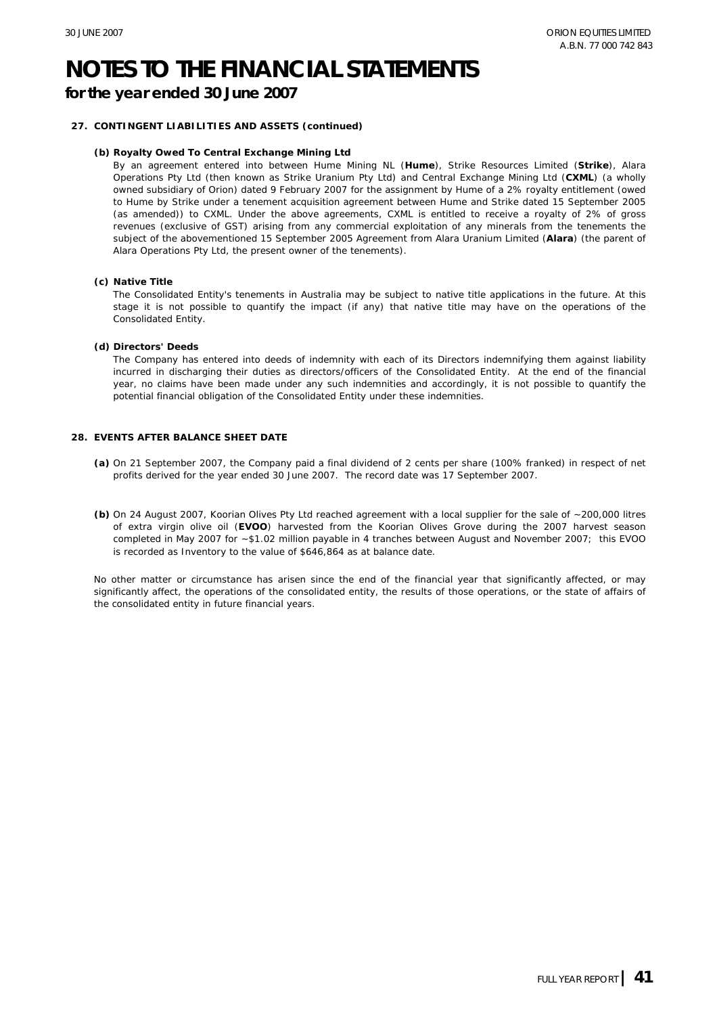#### **for the year ended 30 June 2007**

#### **27. CONTINGENT LIABILITIES AND ASSETS (continued)**

#### **(b) Royalty Owed To Central Exchange Mining Ltd**

By an agreement entered into between Hume Mining NL (**Hume**), Strike Resources Limited (**Strike**), Alara Operations Pty Ltd (then known as Strike Uranium Pty Ltd) and Central Exchange Mining Ltd (**CXML**) (a wholly owned subsidiary of Orion) dated 9 February 2007 for the assignment by Hume of a 2% royalty entitlement (owed to Hume by Strike under a tenement acquisition agreement between Hume and Strike dated 15 September 2005 (as amended)) to CXML. Under the above agreements, CXML is entitled to receive a royalty of 2% of gross revenues (exclusive of GST) arising from any commercial exploitation of any minerals from the tenements the subject of the abovementioned 15 September 2005 Agreement from Alara Uranium Limited (**Alara**) (the parent of Alara Operations Pty Ltd, the present owner of the tenements).

#### **(c) Native Title**

The Consolidated Entity's tenements in Australia may be subject to native title applications in the future. At this stage it is not possible to quantify the impact (if any) that native title may have on the operations of the Consolidated Entity.

#### **(d) Directors' Deeds**

The Company has entered into deeds of indemnity with each of its Directors indemnifying them against liability incurred in discharging their duties as directors/officers of the Consolidated Entity. At the end of the financial year, no claims have been made under any such indemnities and accordingly, it is not possible to quantify the potential financial obligation of the Consolidated Entity under these indemnities.

#### **28. EVENTS AFTER BALANCE SHEET DATE**

- **(a)** On 21 September 2007, the Company paid a final dividend of 2 cents per share (100% franked) in respect of net profits derived for the year ended 30 June 2007. The record date was 17 September 2007.
- **(b)** On 24 August 2007, Koorian Olives Pty Ltd reached agreement with a local supplier for the sale of ~200,000 litres of extra virgin olive oil (**EVOO**) harvested from the Koorian Olives Grove during the 2007 harvest season completed in May 2007 for ~\$1.02 million payable in 4 tranches between August and November 2007; this EVOO is recorded as Inventory to the value of \$646,864 as at balance date.

No other matter or circumstance has arisen since the end of the financial year that significantly affected, or may significantly affect, the operations of the consolidated entity, the results of those operations, or the state of affairs of the consolidated entity in future financial years.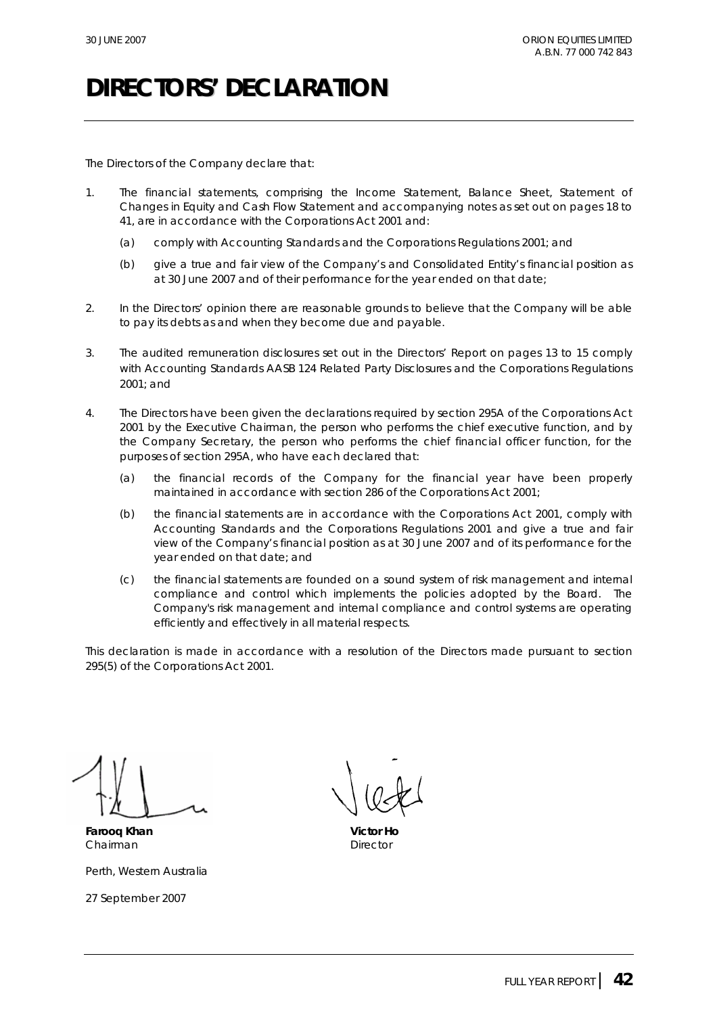### **DIRECTORS' DECLARATION**

The Directors of the Company declare that:

- 1. The financial statements, comprising the Income Statement, Balance Sheet, Statement of Changes in Equity and Cash Flow Statement and accompanying notes as set out on pages 18 to 41, are in accordance with the *Corporations Act 2001* and:
	- (a) comply with Accounting Standards and the Corporations Regulations 2001; and
	- (b) give a true and fair view of the Company's and Consolidated Entity's financial position as at 30 June 2007 and of their performance for the year ended on that date;
- 2. In the Directors' opinion there are reasonable grounds to believe that the Company will be able to pay its debts as and when they become due and payable.
- 3. The audited remuneration disclosures set out in the Directors' Report on pages 13 to 15 comply with Accounting Standards AASB 124 Related Party Disclosures and the Corporations Regulations 2001; and
- 4. The Directors have been given the declarations required by section 295A of the *Corporations Act 2001* by the Executive Chairman, the person who performs the chief executive function, and by the Company Secretary, the person who performs the chief financial officer function, for the purposes of section 295A, who have each declared that:
	- (a) the financial records of the Company for the financial year have been properly maintained in accordance with section 286 of the *Corporations Act 2001*;
	- (b) the financial statements are in accordance with the *Corporations Act 2001,* comply with Accounting Standards and the Corporations Regulations 2001 and give a true and fair view of the Company's financial position as at 30 June 2007 and of its performance for the year ended on that date; and
	- (c) the financial statements are founded on a sound system of risk management and internal compliance and control which implements the policies adopted by the Board. The Company's risk management and internal compliance and control systems are operating efficiently and effectively in all material respects.

This declaration is made in accordance with a resolution of the Directors made pursuant to section 295(5) of the *Corporations Act 2001*.

**Farooq Khan Victor Ho** Chairman **Director** Director

Perth, Western Australia

27 September 2007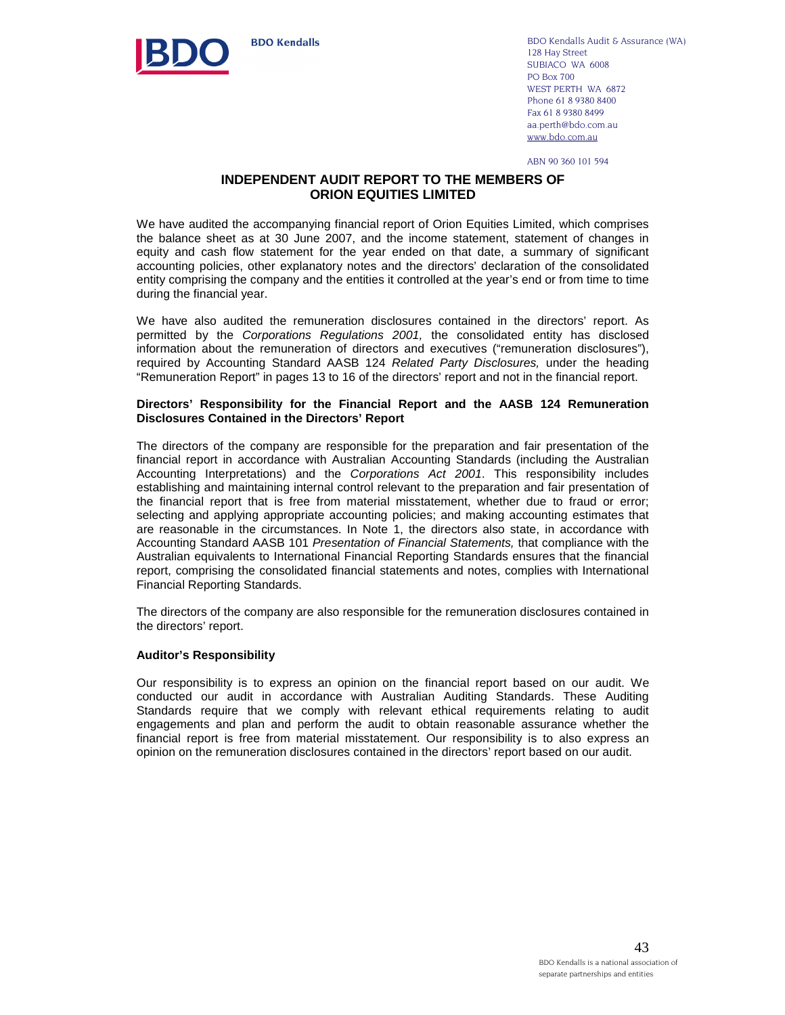

**BDO Kendalls** 

BDO Kendalls Audit & Assurance (WA) 128 Hay Street SUBIACO WA 6008 PO Box 700 WEST PERTH WA 6872 Phone 61 8 9380 8400 Fax 61 8 9380 8499 aa.perth@bdo.com.au www.bdo.com.au

ABN 90 360 101 594

#### **INDEPENDENT AUDIT REPORT TO THE MEMBERS OF ORION EQUITIES LIMITED**

We have audited the accompanying financial report of Orion Equities Limited, which comprises the balance sheet as at 30 June 2007, and the income statement, statement of changes in equity and cash flow statement for the year ended on that date, a summary of significant accounting policies, other explanatory notes and the directors' declaration of the consolidated entity comprising the company and the entities it controlled at the year's end or from time to time during the financial year.

We have also audited the remuneration disclosures contained in the directors' report. As permitted by the Corporations Regulations 2001, the consolidated entity has disclosed information about the remuneration of directors and executives ("remuneration disclosures"), required by Accounting Standard AASB 124 Related Party Disclosures, under the heading "Remuneration Report" in pages 13 to 16 of the directors' report and not in the financial report.

#### **Directors' Responsibility for the Financial Report and the AASB 124 Remuneration Disclosures Contained in the Directors' Report**

The directors of the company are responsible for the preparation and fair presentation of the financial report in accordance with Australian Accounting Standards (including the Australian Accounting Interpretations) and the Corporations Act 2001. This responsibility includes establishing and maintaining internal control relevant to the preparation and fair presentation of the financial report that is free from material misstatement, whether due to fraud or error; selecting and applying appropriate accounting policies; and making accounting estimates that are reasonable in the circumstances. In Note 1, the directors also state, in accordance with Accounting Standard AASB 101 Presentation of Financial Statements, that compliance with the Australian equivalents to International Financial Reporting Standards ensures that the financial report, comprising the consolidated financial statements and notes, complies with International Financial Reporting Standards.

The directors of the company are also responsible for the remuneration disclosures contained in the directors' report.

#### **Auditor's Responsibility**

Our responsibility is to express an opinion on the financial report based on our audit. We conducted our audit in accordance with Australian Auditing Standards. These Auditing Standards require that we comply with relevant ethical requirements relating to audit engagements and plan and perform the audit to obtain reasonable assurance whether the financial report is free from material misstatement. Our responsibility is to also express an opinion on the remuneration disclosures contained in the directors' report based on our audit.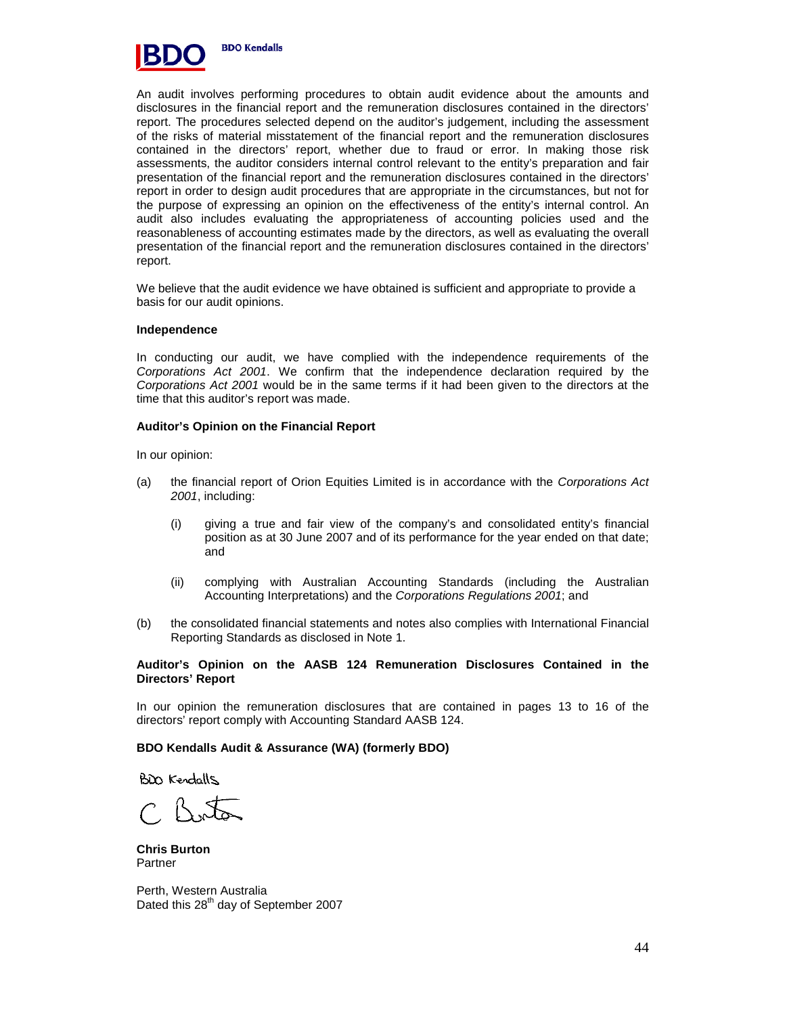

An audit involves performing procedures to obtain audit evidence about the amounts and disclosures in the financial report and the remuneration disclosures contained in the directors' report. The procedures selected depend on the auditor's judgement, including the assessment of the risks of material misstatement of the financial report and the remuneration disclosures contained in the directors' report, whether due to fraud or error. In making those risk assessments, the auditor considers internal control relevant to the entity's preparation and fair presentation of the financial report and the remuneration disclosures contained in the directors' report in order to design audit procedures that are appropriate in the circumstances, but not for the purpose of expressing an opinion on the effectiveness of the entity's internal control. An audit also includes evaluating the appropriateness of accounting policies used and the reasonableness of accounting estimates made by the directors, as well as evaluating the overall presentation of the financial report and the remuneration disclosures contained in the directors' report.

We believe that the audit evidence we have obtained is sufficient and appropriate to provide a basis for our audit opinions.

#### **Independence**

In conducting our audit, we have complied with the independence requirements of the Corporations Act 2001. We confirm that the independence declaration required by the Corporations Act 2001 would be in the same terms if it had been given to the directors at the time that this auditor's report was made.

#### **Auditor's Opinion on the Financial Report**

In our opinion:

- (a) the financial report of Orion Equities Limited is in accordance with the Corporations Act 2001, including:
	- (i) giving a true and fair view of the company's and consolidated entity's financial position as at 30 June 2007 and of its performance for the year ended on that date; and
	- (ii) complying with Australian Accounting Standards (including the Australian Accounting Interpretations) and the Corporations Regulations 2001; and
- (b) the consolidated financial statements and notes also complies with International Financial Reporting Standards as disclosed in Note 1.

#### **Auditor's Opinion on the AASB 124 Remuneration Disclosures Contained in the Directors' Report**

In our opinion the remuneration disclosures that are contained in pages 13 to 16 of the directors' report comply with Accounting Standard AASB 124.

#### **BDO Kendalls Audit & Assurance (WA) (formerly BDO)**

BD Kendalls

 $CRA$ 

**Chris Burton**  Partner

Perth, Western Australia Dated this 28<sup>th</sup> day of September 2007